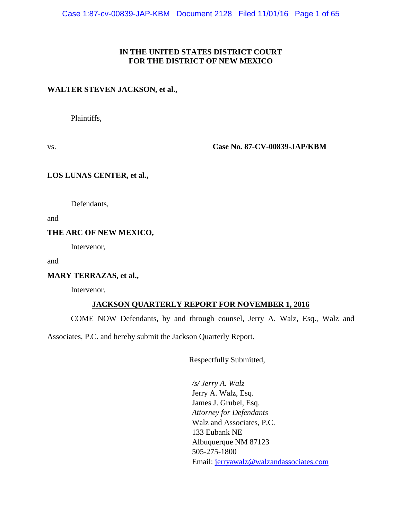#### **IN THE UNITED STATES DISTRICT COURT FOR THE DISTRICT OF NEW MEXICO**

#### **WALTER STEVEN JACKSON, et al.,**

Plaintiffs,

vs. **Case No. 87-CV-00839-JAP/KBM**

#### **LOS LUNAS CENTER, et al.,**

Defendants,

and

#### **THE ARC OF NEW MEXICO,**

Intervenor,

and

#### **MARY TERRAZAS, et al.,**

Intervenor.

#### **JACKSON QUARTERLY REPORT FOR NOVEMBER 1, 2016**

COME NOW Defendants, by and through counsel, Jerry A. Walz, Esq., Walz and

Associates, P.C. and hereby submit the Jackson Quarterly Report.

Respectfully Submitted,

*/s/ Jerry A. Walz* Jerry A. Walz, Esq. James J. Grubel, Esq. *Attorney for Defendants* Walz and Associates, P.C. 133 Eubank NE Albuquerque NM 87123 505-275-1800 Email: [jerryawalz@walzandassociates.com](mailto:jerryawalz@walzandassociates.com)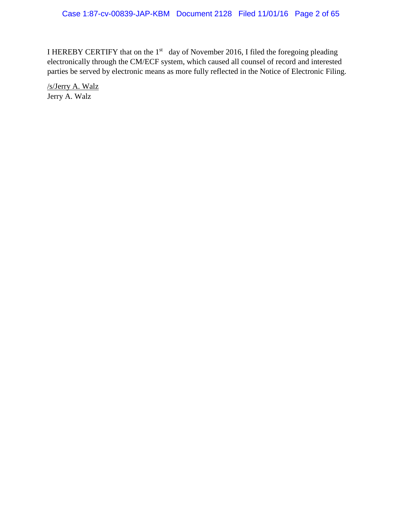I HEREBY CERTIFY that on the  $1<sup>st</sup>$  day of November 2016, I filed the foregoing pleading electronically through the CM/ECF system, which caused all counsel of record and interested parties be served by electronic means as more fully reflected in the Notice of Electronic Filing.

/s/Jerry A. Walz Jerry A. Walz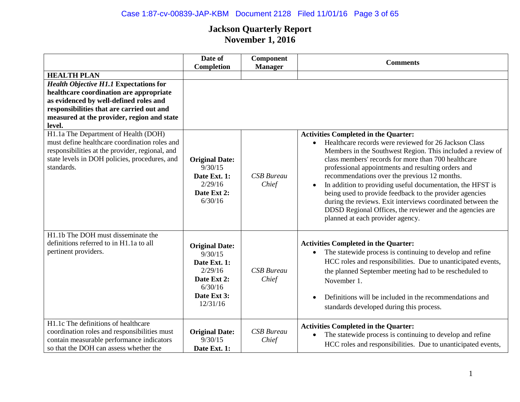|                                                                                                                                                                                                                                         | Date of<br>Completion                                                                                            | Component<br><b>Manager</b> | <b>Comments</b>                                                                                                                                                                                                                                                                                                                                                                                                                                                                                                                                                                                                         |
|-----------------------------------------------------------------------------------------------------------------------------------------------------------------------------------------------------------------------------------------|------------------------------------------------------------------------------------------------------------------|-----------------------------|-------------------------------------------------------------------------------------------------------------------------------------------------------------------------------------------------------------------------------------------------------------------------------------------------------------------------------------------------------------------------------------------------------------------------------------------------------------------------------------------------------------------------------------------------------------------------------------------------------------------------|
| <b>HEALTH PLAN</b>                                                                                                                                                                                                                      |                                                                                                                  |                             |                                                                                                                                                                                                                                                                                                                                                                                                                                                                                                                                                                                                                         |
| <b>Health Objective H1.1 Expectations for</b><br>healthcare coordination are appropriate<br>as evidenced by well-defined roles and<br>responsibilities that are carried out and<br>measured at the provider, region and state<br>level. |                                                                                                                  |                             |                                                                                                                                                                                                                                                                                                                                                                                                                                                                                                                                                                                                                         |
| H1.1a The Department of Health (DOH)<br>must define healthcare coordination roles and<br>responsibilities at the provider, regional, and<br>state levels in DOH policies, procedures, and<br>standards.                                 | <b>Original Date:</b><br>9/30/15<br>Date Ext. 1:<br>2/29/16<br>Date Ext 2:<br>6/30/16                            | <b>CSB</b> Bureau<br>Chief  | <b>Activities Completed in the Quarter:</b><br>Healthcare records were reviewed for 26 Jackson Class<br>Members in the Southwest Region. This included a review of<br>class members' records for more than 700 healthcare<br>professional appointments and resulting orders and<br>recommendations over the previous 12 months.<br>In addition to providing useful documentation, the HFST is<br>being used to provide feedback to the provider agencies<br>during the reviews. Exit interviews coordinated between the<br>DDSD Regional Offices, the reviewer and the agencies are<br>planned at each provider agency. |
| H1.1b The DOH must disseminate the<br>definitions referred to in H1.1a to all<br>pertinent providers.                                                                                                                                   | <b>Original Date:</b><br>9/30/15<br>Date Ext. 1:<br>2/29/16<br>Date Ext 2:<br>6/30/16<br>Date Ext 3:<br>12/31/16 | <b>CSB</b> Bureau<br>Chief  | <b>Activities Completed in the Quarter:</b><br>The statewide process is continuing to develop and refine<br>HCC roles and responsibilities. Due to unanticipated events,<br>the planned September meeting had to be rescheduled to<br>November 1.<br>Definitions will be included in the recommendations and<br>standards developed during this process.                                                                                                                                                                                                                                                                |
| H1.1c The definitions of healthcare<br>coordination roles and responsibilities must<br>contain measurable performance indicators<br>so that the DOH can assess whether the                                                              | <b>Original Date:</b><br>9/30/15<br>Date Ext. 1:                                                                 | <b>CSB</b> Bureau<br>Chief  | <b>Activities Completed in the Quarter:</b><br>The statewide process is continuing to develop and refine<br>HCC roles and responsibilities. Due to unanticipated events,                                                                                                                                                                                                                                                                                                                                                                                                                                                |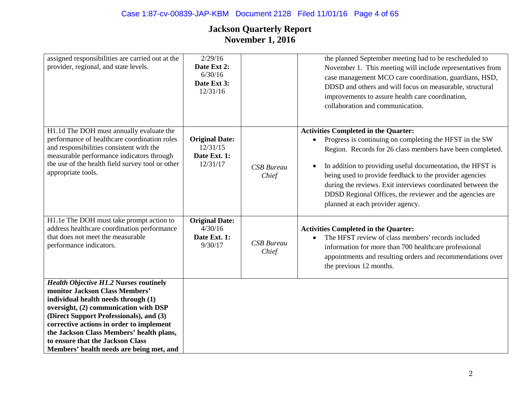| assigned responsibilities are carried out at the<br>provider, regional, and state levels.                                                                                                                                                                                                                                                                                          | 2/29/16<br>Date Ext 2:<br>6/30/16<br>Date Ext 3:<br>12/31/16  |                            | the planned September meeting had to be rescheduled to<br>November 1. This meeting will include representatives from<br>case management MCO care coordination, guardians, HSD,<br>DDSD and others and will focus on measurable, structural<br>improvements to assure health care coordination,<br>collaboration and communication.                                                                                                                                                    |
|------------------------------------------------------------------------------------------------------------------------------------------------------------------------------------------------------------------------------------------------------------------------------------------------------------------------------------------------------------------------------------|---------------------------------------------------------------|----------------------------|---------------------------------------------------------------------------------------------------------------------------------------------------------------------------------------------------------------------------------------------------------------------------------------------------------------------------------------------------------------------------------------------------------------------------------------------------------------------------------------|
| H1.1d The DOH must annually evaluate the<br>performance of healthcare coordination roles<br>and responsibilities consistent with the<br>measurable performance indicators through<br>the use of the health field survey tool or other<br>appropriate tools.                                                                                                                        | <b>Original Date:</b><br>12/31/15<br>Date Ext. 1:<br>12/31/17 | <b>CSB</b> Bureau<br>Chief | <b>Activities Completed in the Quarter:</b><br>Progress is continuing on completing the HFST in the SW<br>$\bullet$<br>Region. Records for 26 class members have been completed.<br>In addition to providing useful documentation, the HFST is<br>$\bullet$<br>being used to provide feedback to the provider agencies<br>during the reviews. Exit interviews coordinated between the<br>DDSD Regional Offices, the reviewer and the agencies are<br>planned at each provider agency. |
| H1.1e The DOH must take prompt action to<br>address healthcare coordination performance<br>that does not meet the measurable<br>performance indicators.                                                                                                                                                                                                                            | <b>Original Date:</b><br>4/30/16<br>Date Ext. 1:<br>9/30/17   | <b>CSB</b> Bureau<br>Chief | <b>Activities Completed in the Quarter:</b><br>The HFST review of class members' records included<br>information for more than 700 healthcare professional<br>appointments and resulting orders and recommendations over<br>the previous 12 months.                                                                                                                                                                                                                                   |
| <b>Health Objective H1.2 Nurses routinely</b><br>monitor Jackson Class Members'<br>individual health needs through (1)<br>oversight, (2) communication with DSP<br>(Direct Support Professionals), and (3)<br>corrective actions in order to implement<br>the Jackson Class Members' health plans,<br>to ensure that the Jackson Class<br>Members' health needs are being met, and |                                                               |                            |                                                                                                                                                                                                                                                                                                                                                                                                                                                                                       |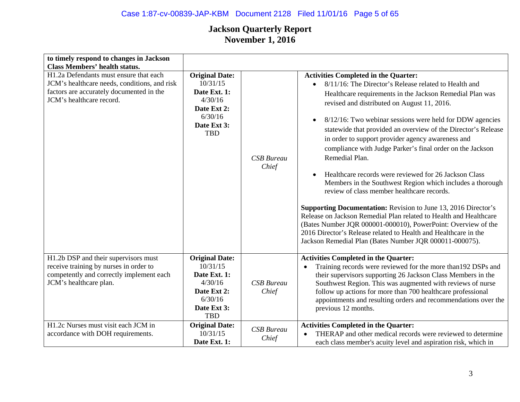# Case 1:87-cv-00839-JAP-KBM Document 2128 Filed 11/01/16 Page 5 of 65

| to timely respond to changes in Jackson<br><b>Class Members' health status.</b>                                                                                |                                                                                                                     |                            |                                                                                                                                                                                                                                                                                                                                                                                                                                                                                                                                                                                                                                                                                                                                                                                                                                                                                                                                                                                                                |
|----------------------------------------------------------------------------------------------------------------------------------------------------------------|---------------------------------------------------------------------------------------------------------------------|----------------------------|----------------------------------------------------------------------------------------------------------------------------------------------------------------------------------------------------------------------------------------------------------------------------------------------------------------------------------------------------------------------------------------------------------------------------------------------------------------------------------------------------------------------------------------------------------------------------------------------------------------------------------------------------------------------------------------------------------------------------------------------------------------------------------------------------------------------------------------------------------------------------------------------------------------------------------------------------------------------------------------------------------------|
| H1.2a Defendants must ensure that each<br>JCM's healthcare needs, conditions, and risk<br>factors are accurately documented in the<br>JCM's healthcare record. | <b>Original Date:</b><br>10/31/15<br>Date Ext. 1:<br>4/30/16<br>Date Ext 2:<br>6/30/16<br>Date Ext 3:<br><b>TBD</b> | <b>CSB</b> Bureau<br>Chief | <b>Activities Completed in the Quarter:</b><br>8/11/16: The Director's Release related to Health and<br>Healthcare requirements in the Jackson Remedial Plan was<br>revised and distributed on August 11, 2016.<br>8/12/16: Two webinar sessions were held for DDW agencies<br>$\bullet$<br>statewide that provided an overview of the Director's Release<br>in order to support provider agency awareness and<br>compliance with Judge Parker's final order on the Jackson<br>Remedial Plan.<br>Healthcare records were reviewed for 26 Jackson Class<br>Members in the Southwest Region which includes a thorough<br>review of class member healthcare records.<br><b>Supporting Documentation:</b> Revision to June 13, 2016 Director's<br>Release on Jackson Remedial Plan related to Health and Healthcare<br>(Bates Number JQR 000001-000010), PowerPoint: Overview of the<br>2016 Director's Release related to Health and Healthcare in the<br>Jackson Remedial Plan (Bates Number JQR 000011-000075). |
| H1.2b DSP and their supervisors must<br>receive training by nurses in order to<br>competently and correctly implement each<br>JCM's healthcare plan.           | <b>Original Date:</b><br>10/31/15<br>Date Ext. 1:<br>4/30/16<br>Date Ext 2:<br>6/30/16<br>Date Ext 3:<br><b>TBD</b> | <b>CSB</b> Bureau<br>Chief | <b>Activities Completed in the Quarter:</b><br>Training records were reviewed for the more than 192 DSPs and<br>$\bullet$<br>their supervisors supporting 26 Jackson Class Members in the<br>Southwest Region. This was augmented with reviews of nurse<br>follow up actions for more than 700 healthcare professional<br>appointments and resulting orders and recommendations over the<br>previous 12 months.                                                                                                                                                                                                                                                                                                                                                                                                                                                                                                                                                                                                |
| H1.2c Nurses must visit each JCM in<br>accordance with DOH requirements.                                                                                       | <b>Original Date:</b><br>10/31/15<br>Date Ext. 1:                                                                   | <b>CSB</b> Bureau<br>Chief | <b>Activities Completed in the Quarter:</b><br>THERAP and other medical records were reviewed to determine<br>each class member's acuity level and aspiration risk, which in                                                                                                                                                                                                                                                                                                                                                                                                                                                                                                                                                                                                                                                                                                                                                                                                                                   |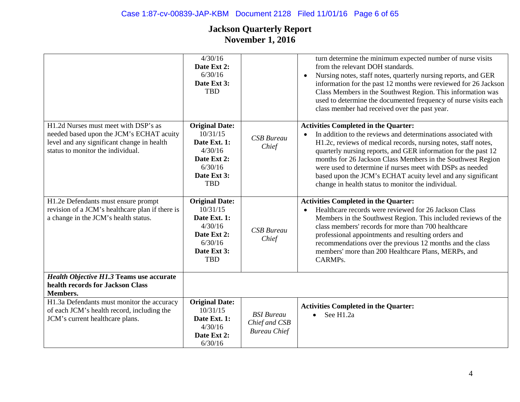# Case 1:87-cv-00839-JAP-KBM Document 2128 Filed 11/01/16 Page 6 of 65

|                                                                                                                                                                     | 4/30/16<br>Date Ext 2:<br>6/30/16<br>Date Ext 3:<br><b>TBD</b>                                                      |                                                           | turn determine the minimum expected number of nurse visits<br>from the relevant DOH standards.<br>Nursing notes, staff notes, quarterly nursing reports, and GER<br>$\bullet$<br>information for the past 12 months were reviewed for 26 Jackson<br>Class Members in the Southwest Region. This information was<br>used to determine the documented frequency of nurse visits each<br>class member had received over the past year.                                                                            |
|---------------------------------------------------------------------------------------------------------------------------------------------------------------------|---------------------------------------------------------------------------------------------------------------------|-----------------------------------------------------------|----------------------------------------------------------------------------------------------------------------------------------------------------------------------------------------------------------------------------------------------------------------------------------------------------------------------------------------------------------------------------------------------------------------------------------------------------------------------------------------------------------------|
| H1.2d Nurses must meet with DSP's as<br>needed based upon the JCM's ECHAT acuity<br>level and any significant change in health<br>status to monitor the individual. | <b>Original Date:</b><br>10/31/15<br>Date Ext. 1:<br>4/30/16<br>Date Ext 2:<br>6/30/16<br>Date Ext 3:<br><b>TBD</b> | <b>CSB</b> Bureau<br>Chief                                | <b>Activities Completed in the Quarter:</b><br>In addition to the reviews and determinations associated with<br>$\bullet$<br>H1.2c, reviews of medical records, nursing notes, staff notes,<br>quarterly nursing reports, and GER information for the past 12<br>months for 26 Jackson Class Members in the Southwest Region<br>were used to determine if nurses meet with DSPs as needed<br>based upon the JCM's ECHAT acuity level and any significant<br>change in health status to monitor the individual. |
| H1.2e Defendants must ensure prompt<br>revision of a JCM's healthcare plan if there is<br>a change in the JCM's health status.                                      | <b>Original Date:</b><br>10/31/15<br>Date Ext. 1:<br>4/30/16<br>Date Ext 2:<br>6/30/16<br>Date Ext 3:<br><b>TBD</b> | <b>CSB</b> Bureau<br>Chief                                | <b>Activities Completed in the Quarter:</b><br>Healthcare records were reviewed for 26 Jackson Class<br>$\bullet$<br>Members in the Southwest Region. This included reviews of the<br>class members' records for more than 700 healthcare<br>professional appointments and resulting orders and<br>recommendations over the previous 12 months and the class<br>members' more than 200 Healthcare Plans, MERPs, and<br>CARMPs.                                                                                 |
| <b>Health Objective H1.3 Teams use accurate</b><br>health records for Jackson Class<br>Members.                                                                     |                                                                                                                     |                                                           |                                                                                                                                                                                                                                                                                                                                                                                                                                                                                                                |
| H1.3a Defendants must monitor the accuracy<br>of each JCM's health record, including the<br>JCM's current healthcare plans.                                         | <b>Original Date:</b><br>10/31/15<br>Date Ext. 1:<br>4/30/16<br>Date Ext 2:<br>6/30/16                              | <b>BSI</b> Bureau<br>Chief and CSB<br><b>Bureau Chief</b> | <b>Activities Completed in the Quarter:</b><br>See H1.2a<br>$\bullet$                                                                                                                                                                                                                                                                                                                                                                                                                                          |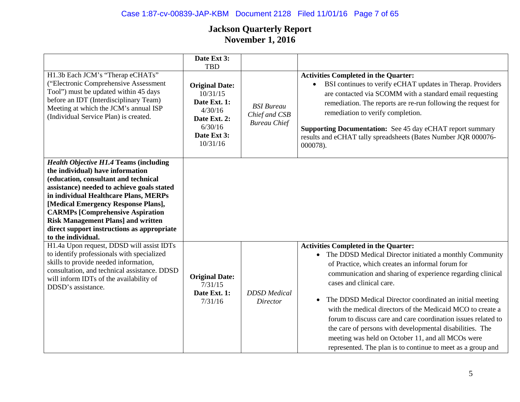# Case 1:87-cv-00839-JAP-KBM Document 2128 Filed 11/01/16 Page 7 of 65

|                                                                                                                                                                                                                                                                                                                                                                                                                     | Date Ext 3:<br><b>TBD</b>                                                                                          |                                                           |                                                                                                                                                                                                                                                                                                                                                                                                                                                                                                                                                                                                                                                |
|---------------------------------------------------------------------------------------------------------------------------------------------------------------------------------------------------------------------------------------------------------------------------------------------------------------------------------------------------------------------------------------------------------------------|--------------------------------------------------------------------------------------------------------------------|-----------------------------------------------------------|------------------------------------------------------------------------------------------------------------------------------------------------------------------------------------------------------------------------------------------------------------------------------------------------------------------------------------------------------------------------------------------------------------------------------------------------------------------------------------------------------------------------------------------------------------------------------------------------------------------------------------------------|
| H1.3b Each JCM's "Therap eCHATs"<br>("Electronic Comprehensive Assessment<br>Tool") must be updated within 45 days<br>before an IDT (Interdisciplinary Team)<br>Meeting at which the JCM's annual ISP<br>(Individual Service Plan) is created.                                                                                                                                                                      | <b>Original Date:</b><br>10/31/15<br>Date Ext. 1:<br>4/30/16<br>Date Ext. 2:<br>6/30/16<br>Date Ext 3:<br>10/31/16 | <b>BSI</b> Bureau<br>Chief and CSB<br><b>Bureau Chief</b> | <b>Activities Completed in the Quarter:</b><br>BSI continues to verify eCHAT updates in Therap. Providers<br>are contacted via SCOMM with a standard email requesting<br>remediation. The reports are re-run following the request for<br>remediation to verify completion.<br><b>Supporting Documentation:</b> See 45 day eCHAT report summary<br>results and eCHAT tally spreadsheets (Bates Number JQR 000076-<br>000078).                                                                                                                                                                                                                  |
| <b>Health Objective H1.4 Teams (including</b><br>the individual) have information<br>(education, consultant and technical<br>assistance) needed to achieve goals stated<br>in individual Healthcare Plans, MERPs<br>[Medical Emergency Response Plans],<br><b>CARMPs [Comprehensive Aspiration</b><br><b>Risk Management Plans] and written</b><br>direct support instructions as appropriate<br>to the individual. |                                                                                                                    |                                                           |                                                                                                                                                                                                                                                                                                                                                                                                                                                                                                                                                                                                                                                |
| H1.4a Upon request, DDSD will assist IDTs<br>to identify professionals with specialized<br>skills to provide needed information,<br>consultation, and technical assistance. DDSD<br>will inform IDTs of the availability of<br>DDSD's assistance.                                                                                                                                                                   | <b>Original Date:</b><br>7/31/15<br>Date Ext. 1:<br>7/31/16                                                        | <b>DDSD</b> Medical<br>Director                           | <b>Activities Completed in the Quarter:</b><br>• The DDSD Medical Director initiated a monthly Community<br>of Practice, which creates an informal forum for<br>communication and sharing of experience regarding clinical<br>cases and clinical care.<br>The DDSD Medical Director coordinated an initial meeting<br>$\bullet$<br>with the medical directors of the Medicaid MCO to create a<br>forum to discuss care and care coordination issues related to<br>the care of persons with developmental disabilities. The<br>meeting was held on October 11, and all MCOs were<br>represented. The plan is to continue to meet as a group and |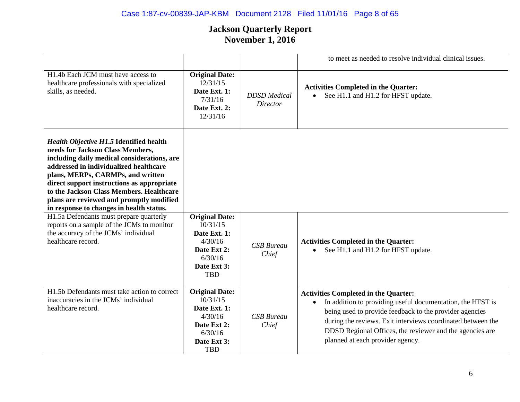# Case 1:87-cv-00839-JAP-KBM Document 2128 Filed 11/01/16 Page 8 of 65

|                                                                                                                                                                                                                                                                                                                                                                                                    |                                                                                                                     |                                        | to meet as needed to resolve individual clinical issues.                                                                                                                                                                                                                                                                                         |
|----------------------------------------------------------------------------------------------------------------------------------------------------------------------------------------------------------------------------------------------------------------------------------------------------------------------------------------------------------------------------------------------------|---------------------------------------------------------------------------------------------------------------------|----------------------------------------|--------------------------------------------------------------------------------------------------------------------------------------------------------------------------------------------------------------------------------------------------------------------------------------------------------------------------------------------------|
| H1.4b Each JCM must have access to<br>healthcare professionals with specialized<br>skills, as needed.                                                                                                                                                                                                                                                                                              | <b>Original Date:</b><br>12/31/15<br>Date Ext. 1:<br>7/31/16<br>Date Ext. 2:<br>12/31/16                            | <b>DDSD</b> Medical<br><b>Director</b> | <b>Activities Completed in the Quarter:</b><br>See H1.1 and H1.2 for HFST update.<br>$\bullet$                                                                                                                                                                                                                                                   |
| <b>Health Objective H1.5 Identified health</b><br>needs for Jackson Class Members,<br>including daily medical considerations, are<br>addressed in individualized healthcare<br>plans, MERPs, CARMPs, and written<br>direct support instructions as appropriate<br>to the Jackson Class Members. Healthcare<br>plans are reviewed and promptly modified<br>in response to changes in health status. |                                                                                                                     |                                        |                                                                                                                                                                                                                                                                                                                                                  |
| H1.5a Defendants must prepare quarterly<br>reports on a sample of the JCMs to monitor<br>the accuracy of the JCMs' individual<br>healthcare record.                                                                                                                                                                                                                                                | <b>Original Date:</b><br>10/31/15<br>Date Ext. 1:<br>4/30/16<br>Date Ext 2:<br>6/30/16<br>Date Ext 3:<br><b>TBD</b> | <b>CSB</b> Bureau<br>Chief             | <b>Activities Completed in the Quarter:</b><br>See H1.1 and H1.2 for HFST update.                                                                                                                                                                                                                                                                |
| H1.5b Defendants must take action to correct<br>inaccuracies in the JCMs' individual<br>healthcare record.                                                                                                                                                                                                                                                                                         | <b>Original Date:</b><br>10/31/15<br>Date Ext. 1:<br>4/30/16<br>Date Ext 2:<br>6/30/16<br>Date Ext 3:<br><b>TBD</b> | <b>CSB</b> Bureau<br>Chief             | <b>Activities Completed in the Quarter:</b><br>In addition to providing useful documentation, the HFST is<br>$\bullet$<br>being used to provide feedback to the provider agencies<br>during the reviews. Exit interviews coordinated between the<br>DDSD Regional Offices, the reviewer and the agencies are<br>planned at each provider agency. |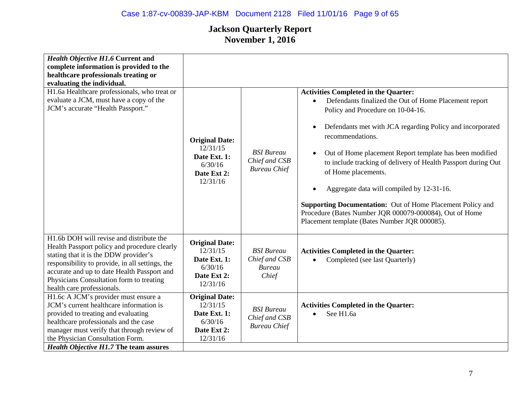## Case 1:87-cv-00839-JAP-KBM Document 2128 Filed 11/01/16 Page 9 of 65

| <b>Health Objective H1.6 Current and</b><br>complete information is provided to the<br>healthcare professionals treating or<br>evaluating the individual.<br>H1.6a Healthcare professionals, who treat or<br>evaluate a JCM, must have a copy of the<br>JCM's accurate "Health Passport."                     | <b>Original Date:</b><br>12/31/15<br>Date Ext. 1:<br>6/30/16<br>Date Ext 2:<br>12/31/16 | <b>BSI</b> Bureau<br>Chief and CSB<br><b>Bureau Chief</b>    | <b>Activities Completed in the Quarter:</b><br>Defendants finalized the Out of Home Placement report<br>$\bullet$<br>Policy and Procedure on 10-04-16.<br>Defendants met with JCA regarding Policy and incorporated<br>$\bullet$<br>recommendations.<br>Out of Home placement Report template has been modified<br>$\bullet$<br>to include tracking of delivery of Health Passport during Out<br>of Home placements.<br>Aggregate data will compiled by 12-31-16.<br>$\bullet$<br><b>Supporting Documentation:</b> Out of Home Placement Policy and<br>Procedure (Bates Number JQR 000079-000084), Out of Home<br>Placement template (Bates Number JQR 000085). |
|---------------------------------------------------------------------------------------------------------------------------------------------------------------------------------------------------------------------------------------------------------------------------------------------------------------|-----------------------------------------------------------------------------------------|--------------------------------------------------------------|-----------------------------------------------------------------------------------------------------------------------------------------------------------------------------------------------------------------------------------------------------------------------------------------------------------------------------------------------------------------------------------------------------------------------------------------------------------------------------------------------------------------------------------------------------------------------------------------------------------------------------------------------------------------|
| H1.6b DOH will revise and distribute the<br>Health Passport policy and procedure clearly<br>stating that it is the DDW provider's<br>responsibility to provide, in all settings, the<br>accurate and up to date Health Passport and<br>Physicians Consultation form to treating<br>health care professionals. | <b>Original Date:</b><br>12/31/15<br>Date Ext. 1:<br>6/30/16<br>Date Ext 2:<br>12/31/16 | <b>BSI</b> Bureau<br>Chief and CSB<br><b>Bureau</b><br>Chief | <b>Activities Completed in the Quarter:</b><br>Completed (see last Quarterly)                                                                                                                                                                                                                                                                                                                                                                                                                                                                                                                                                                                   |
| H1.6c A JCM's provider must ensure a<br>JCM's current healthcare information is<br>provided to treating and evaluating<br>healthcare professionals and the case<br>manager must verify that through review of<br>the Physician Consultation Form.<br><b>Health Objective H1.7 The team assures</b>            | <b>Original Date:</b><br>12/31/15<br>Date Ext. 1:<br>6/30/16<br>Date Ext 2:<br>12/31/16 | <b>BSI</b> Bureau<br>Chief and CSB<br><b>Bureau Chief</b>    | <b>Activities Completed in the Quarter:</b><br>See H1.6a<br>$\bullet$                                                                                                                                                                                                                                                                                                                                                                                                                                                                                                                                                                                           |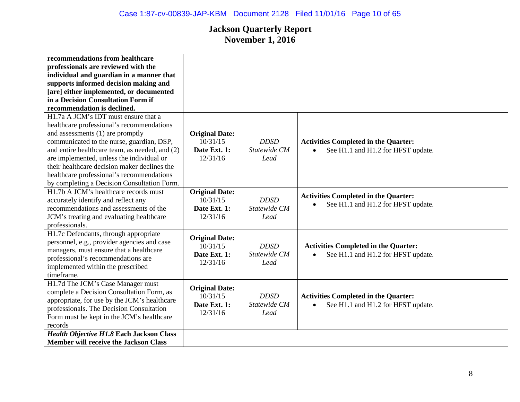| recommendations from healthcare                 |                       |              |                                                 |
|-------------------------------------------------|-----------------------|--------------|-------------------------------------------------|
|                                                 |                       |              |                                                 |
| professionals are reviewed with the             |                       |              |                                                 |
| individual and guardian in a manner that        |                       |              |                                                 |
| supports informed decision making and           |                       |              |                                                 |
| [are] either implemented, or documented         |                       |              |                                                 |
| in a Decision Consultation Form if              |                       |              |                                                 |
| recommendation is declined.                     |                       |              |                                                 |
| H1.7a A JCM's IDT must ensure that a            |                       |              |                                                 |
| healthcare professional's recommendations       |                       |              |                                                 |
| and assessments (1) are promptly                | <b>Original Date:</b> |              |                                                 |
| communicated to the nurse, guardian, DSP,       | 10/31/15              | <b>DDSD</b>  | <b>Activities Completed in the Quarter:</b>     |
| and entire healthcare team, as needed, and (2)  | Date Ext. 1:          | Statewide CM | See H1.1 and H1.2 for HFST update.<br>$\bullet$ |
| are implemented, unless the individual or       | 12/31/16              | Lead         |                                                 |
| their healthcare decision maker declines the    |                       |              |                                                 |
| healthcare professional's recommendations       |                       |              |                                                 |
| by completing a Decision Consultation Form.     |                       |              |                                                 |
| H1.7b A JCM's healthcare records must           | <b>Original Date:</b> |              |                                                 |
| accurately identify and reflect any             | 10/31/15              | <b>DDSD</b>  | <b>Activities Completed in the Quarter:</b>     |
| recommendations and assessments of the          | Date Ext. 1:          | Statewide CM | See H1.1 and H1.2 for HFST update.<br>$\bullet$ |
| JCM's treating and evaluating healthcare        | 12/31/16              | Lead         |                                                 |
| professionals.                                  |                       |              |                                                 |
| H1.7c Defendants, through appropriate           |                       |              |                                                 |
| personnel, e.g., provider agencies and case     | <b>Original Date:</b> |              |                                                 |
| managers, must ensure that a healthcare         | 10/31/15              | <b>DDSD</b>  | <b>Activities Completed in the Quarter:</b>     |
| professional's recommendations are              | Date Ext. 1:          | Statewide CM | See H1.1 and H1.2 for HFST update.<br>$\bullet$ |
| implemented within the prescribed               | 12/31/16              | Lead         |                                                 |
| timeframe.                                      |                       |              |                                                 |
| H1.7d The JCM's Case Manager must               |                       |              |                                                 |
| complete a Decision Consultation Form, as       | <b>Original Date:</b> |              |                                                 |
| appropriate, for use by the JCM's healthcare    | 10/31/15              | <b>DDSD</b>  | <b>Activities Completed in the Quarter:</b>     |
|                                                 | Date Ext. 1:          | Statewide CM | See H1.1 and H1.2 for HFST update.<br>$\bullet$ |
| professionals. The Decision Consultation        | 12/31/16              | Lead         |                                                 |
| Form must be kept in the JCM's healthcare       |                       |              |                                                 |
| records                                         |                       |              |                                                 |
| <b>Health Objective H1.8 Each Jackson Class</b> |                       |              |                                                 |
| <b>Member will receive the Jackson Class</b>    |                       |              |                                                 |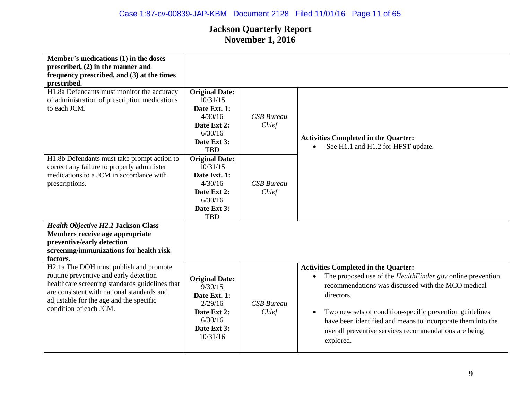## Case 1:87-cv-00839-JAP-KBM Document 2128 Filed 11/01/16 Page 11 of 65

| Member's medications (1) in the doses<br>prescribed, $(2)$ in the manner and<br>frequency prescribed, and (3) at the times<br>prescribed.                                                                                                             |                                                                                                                     |                            |                                                                                                                                                                                                                                                                                                                                                                                                    |
|-------------------------------------------------------------------------------------------------------------------------------------------------------------------------------------------------------------------------------------------------------|---------------------------------------------------------------------------------------------------------------------|----------------------------|----------------------------------------------------------------------------------------------------------------------------------------------------------------------------------------------------------------------------------------------------------------------------------------------------------------------------------------------------------------------------------------------------|
| H1.8a Defendants must monitor the accuracy<br>of administration of prescription medications<br>to each JCM.                                                                                                                                           | <b>Original Date:</b><br>10/31/15<br>Date Ext. 1:<br>4/30/16<br>Date Ext 2:<br>6/30/16<br>Date Ext 3:<br><b>TBD</b> | <b>CSB</b> Bureau<br>Chief | <b>Activities Completed in the Quarter:</b><br>See H1.1 and H1.2 for HFST update.                                                                                                                                                                                                                                                                                                                  |
| H1.8b Defendants must take prompt action to<br>correct any failure to properly administer<br>medications to a JCM in accordance with<br>prescriptions.                                                                                                | <b>Original Date:</b><br>10/31/15<br>Date Ext. 1:<br>4/30/16<br>Date Ext 2:<br>6/30/16<br>Date Ext 3:<br><b>TBD</b> | <b>CSB</b> Bureau<br>Chief |                                                                                                                                                                                                                                                                                                                                                                                                    |
| <b>Health Objective H2.1 Jackson Class</b><br>Members receive age appropriate<br>preventive/early detection<br>screening/immunizations for health risk<br>factors.                                                                                    |                                                                                                                     |                            |                                                                                                                                                                                                                                                                                                                                                                                                    |
| H2.1a The DOH must publish and promote<br>routine preventive and early detection<br>healthcare screening standards guidelines that<br>are consistent with national standards and<br>adjustable for the age and the specific<br>condition of each JCM. | <b>Original Date:</b><br>9/30/15<br>Date Ext. 1:<br>2/29/16<br>Date Ext 2:<br>6/30/16<br>Date Ext 3:<br>10/31/16    | <b>CSB</b> Bureau<br>Chief | <b>Activities Completed in the Quarter:</b><br>The proposed use of the <i>HealthFinder.gov</i> online prevention<br>recommendations was discussed with the MCO medical<br>directors.<br>Two new sets of condition-specific prevention guidelines<br>$\bullet$<br>have been identified and means to incorporate them into the<br>overall preventive services recommendations are being<br>explored. |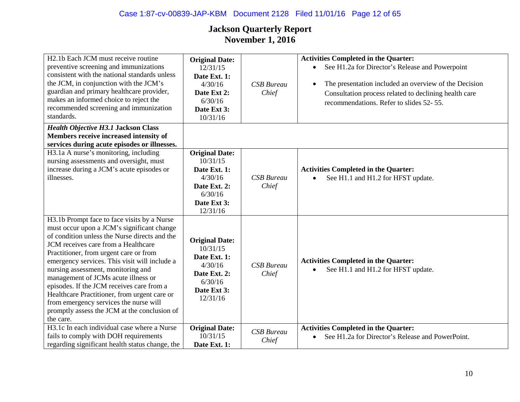## Case 1:87-cv-00839-JAP-KBM Document 2128 Filed 11/01/16 Page 12 of 65

| H <sub>2</sub> .1b Each JCM must receive routine<br>preventive screening and immunizations<br>consistent with the national standards unless<br>the JCM, in conjunction with the JCM's<br>guardian and primary healthcare provider,<br>makes an informed choice to reject the<br>recommended screening and immunization<br>standards.                                                                                                                                                                                                                          | <b>Original Date:</b><br>12/31/15<br>Date Ext. 1:<br>4/30/16<br>Date Ext 2:<br>6/30/16<br>Date Ext 3:<br>10/31/16  | <b>CSB</b> Bureau<br>Chief | <b>Activities Completed in the Quarter:</b><br>See H1.2a for Director's Release and Powerpoint<br>$\bullet$<br>The presentation included an overview of the Decision<br>$\bullet$<br>Consultation process related to declining health care<br>recommendations. Refer to slides 52- 55. |
|---------------------------------------------------------------------------------------------------------------------------------------------------------------------------------------------------------------------------------------------------------------------------------------------------------------------------------------------------------------------------------------------------------------------------------------------------------------------------------------------------------------------------------------------------------------|--------------------------------------------------------------------------------------------------------------------|----------------------------|----------------------------------------------------------------------------------------------------------------------------------------------------------------------------------------------------------------------------------------------------------------------------------------|
| <b>Health Objective H3.1 Jackson Class</b><br>Members receive increased intensity of<br>services during acute episodes or illnesses.                                                                                                                                                                                                                                                                                                                                                                                                                          |                                                                                                                    |                            |                                                                                                                                                                                                                                                                                        |
| H3.1a A nurse's monitoring, including<br>nursing assessments and oversight, must<br>increase during a JCM's acute episodes or<br>illnesses.                                                                                                                                                                                                                                                                                                                                                                                                                   | <b>Original Date:</b><br>10/31/15<br>Date Ext. 1:<br>4/30/16<br>Date Ext. 2:<br>6/30/16<br>Date Ext 3:<br>12/31/16 | <b>CSB</b> Bureau<br>Chief | <b>Activities Completed in the Quarter:</b><br>See H1.1 and H1.2 for HFST update.                                                                                                                                                                                                      |
| H3.1b Prompt face to face visits by a Nurse<br>must occur upon a JCM's significant change<br>of condition unless the Nurse directs and the<br>JCM receives care from a Healthcare<br>Practitioner, from urgent care or from<br>emergency services. This visit will include a<br>nursing assessment, monitoring and<br>management of JCMs acute illness or<br>episodes. If the JCM receives care from a<br>Healthcare Practitioner, from urgent care or<br>from emergency services the nurse will<br>promptly assess the JCM at the conclusion of<br>the care. | <b>Original Date:</b><br>10/31/15<br>Date Ext. 1:<br>4/30/16<br>Date Ext. 2:<br>6/30/16<br>Date Ext 3:<br>12/31/16 | <b>CSB</b> Bureau<br>Chief | <b>Activities Completed in the Quarter:</b><br>See H1.1 and H1.2 for HFST update.                                                                                                                                                                                                      |
| H3.1c In each individual case where a Nurse<br>fails to comply with DOH requirements<br>regarding significant health status change, the                                                                                                                                                                                                                                                                                                                                                                                                                       | <b>Original Date:</b><br>10/31/15<br>Date Ext. 1:                                                                  | <b>CSB</b> Bureau<br>Chief | <b>Activities Completed in the Quarter:</b><br>See H1.2a for Director's Release and PowerPoint.<br>$\bullet$                                                                                                                                                                           |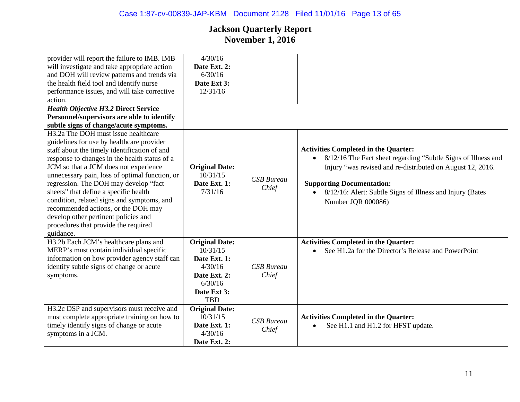| provider will report the failure to IMB. IMB<br>will investigate and take appropriate action<br>and DOH will review patterns and trends via<br>the health field tool and identify nurse<br>performance issues, and will take corrective<br>action.<br><b>Health Objective H3.2 Direct Service</b><br>Personnel/supervisors are able to identify<br>subtle signs of change/acute symptoms.                                                                                                                                                                     | 4/30/16<br>Date Ext. 2:<br>6/30/16<br>Date Ext 3:<br>12/31/16                                                        |                            |                                                                                                                                                                                                                                                                                                                             |
|---------------------------------------------------------------------------------------------------------------------------------------------------------------------------------------------------------------------------------------------------------------------------------------------------------------------------------------------------------------------------------------------------------------------------------------------------------------------------------------------------------------------------------------------------------------|----------------------------------------------------------------------------------------------------------------------|----------------------------|-----------------------------------------------------------------------------------------------------------------------------------------------------------------------------------------------------------------------------------------------------------------------------------------------------------------------------|
| H <sub>3</sub> .2a The DOH must issue healthcare<br>guidelines for use by healthcare provider<br>staff about the timely identification of and<br>response to changes in the health status of a<br>JCM so that a JCM does not experience<br>unnecessary pain, loss of optimal function, or<br>regression. The DOH may develop "fact<br>sheets" that define a specific health<br>condition, related signs and symptoms, and<br>recommended actions, or the DOH may<br>develop other pertinent policies and<br>procedures that provide the required<br>guidance. | <b>Original Date:</b><br>10/31/15<br>Date Ext. 1:<br>7/31/16                                                         | <b>CSB</b> Bureau<br>Chief | <b>Activities Completed in the Quarter:</b><br>8/12/16 The Fact sheet regarding "Subtle Signs of Illness and<br>$\bullet$<br>Injury "was revised and re-distributed on August 12, 2016.<br><b>Supporting Documentation:</b><br>8/12/16: Alert: Subtle Signs of Illness and Injury (Bates<br>$\bullet$<br>Number JQR 000086) |
| H3.2b Each JCM's healthcare plans and<br>MERP's must contain individual specific<br>information on how provider agency staff can<br>identify subtle signs of change or acute<br>symptoms.                                                                                                                                                                                                                                                                                                                                                                     | <b>Original Date:</b><br>10/31/15<br>Date Ext. 1:<br>4/30/16<br>Date Ext. 2:<br>6/30/16<br>Date Ext 3:<br><b>TBD</b> | <b>CSB</b> Bureau<br>Chief | <b>Activities Completed in the Quarter:</b><br>See H1.2a for the Director's Release and PowerPoint<br>$\bullet$                                                                                                                                                                                                             |
| H3.2c DSP and supervisors must receive and<br>must complete appropriate training on how to<br>timely identify signs of change or acute<br>symptoms in a JCM.                                                                                                                                                                                                                                                                                                                                                                                                  | <b>Original Date:</b><br>10/31/15<br>Date Ext. 1:<br>4/30/16<br>Date Ext. 2:                                         | <b>CSB</b> Bureau<br>Chief | <b>Activities Completed in the Quarter:</b><br>See H1.1 and H1.2 for HFST update.<br>$\bullet$                                                                                                                                                                                                                              |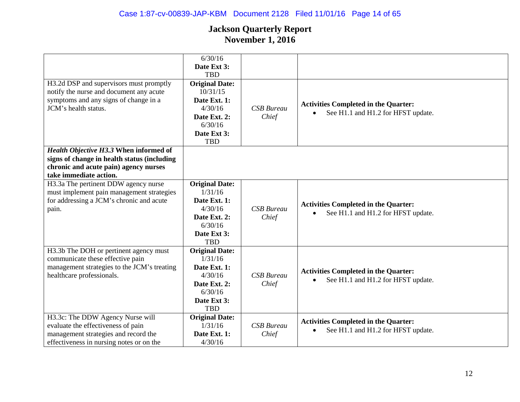|                                               | 6/30/16                          |                   |                                                 |
|-----------------------------------------------|----------------------------------|-------------------|-------------------------------------------------|
|                                               | Date Ext 3:                      |                   |                                                 |
|                                               | <b>TBD</b>                       |                   |                                                 |
| H3.2d DSP and supervisors must promptly       | <b>Original Date:</b>            |                   |                                                 |
| notify the nurse and document any acute       | 10/31/15                         |                   |                                                 |
| symptoms and any signs of change in a         | Date Ext. 1:                     |                   |                                                 |
| JCM's health status.                          | 4/30/16                          | <b>CSB</b> Bureau | <b>Activities Completed in the Quarter:</b>     |
|                                               | Date Ext. 2:                     | Chief             | See H1.1 and H1.2 for HFST update.              |
|                                               | 6/30/16                          |                   |                                                 |
|                                               | Date Ext 3:                      |                   |                                                 |
|                                               | <b>TBD</b>                       |                   |                                                 |
| <b>Health Objective H3.3 When informed of</b> |                                  |                   |                                                 |
| signs of change in health status (including   |                                  |                   |                                                 |
| chronic and acute pain) agency nurses         |                                  |                   |                                                 |
| take immediate action.                        |                                  |                   |                                                 |
| H3.3a The pertinent DDW agency nurse          |                                  |                   |                                                 |
| must implement pain management strategies     | <b>Original Date:</b><br>1/31/16 |                   |                                                 |
|                                               |                                  |                   |                                                 |
| for addressing a JCM's chronic and acute      | Date Ext. 1:<br>4/30/16          | <b>CSB</b> Bureau | <b>Activities Completed in the Quarter:</b>     |
| pain.                                         |                                  |                   | See H1.1 and H1.2 for HFST update.<br>$\bullet$ |
|                                               | Date Ext. 2:<br>6/30/16          | Chief             |                                                 |
|                                               |                                  |                   |                                                 |
|                                               | Date Ext 3:                      |                   |                                                 |
|                                               | <b>TBD</b>                       |                   |                                                 |
| H3.3b The DOH or pertinent agency must        | <b>Original Date:</b>            |                   |                                                 |
| communicate these effective pain              | 1/31/16                          |                   |                                                 |
| management strategies to the JCM's treating   | Date Ext. 1:                     |                   | <b>Activities Completed in the Quarter:</b>     |
| healthcare professionals.                     | 4/30/16                          | <b>CSB</b> Bureau | See H1.1 and H1.2 for HFST update.              |
|                                               | Date Ext. 2:                     | Chief             |                                                 |
|                                               | 6/30/16                          |                   |                                                 |
|                                               | Date Ext 3:                      |                   |                                                 |
|                                               | <b>TBD</b>                       |                   |                                                 |
| H3.3c: The DDW Agency Nurse will              | <b>Original Date:</b>            |                   | <b>Activities Completed in the Quarter:</b>     |
| evaluate the effectiveness of pain            | 1/31/16                          | <b>CSB</b> Bureau | See H1.1 and H1.2 for HFST update.<br>$\bullet$ |
| management strategies and record the          | Date Ext. 1:                     | Chief             |                                                 |
| effectiveness in nursing notes or on the      | 4/30/16                          |                   |                                                 |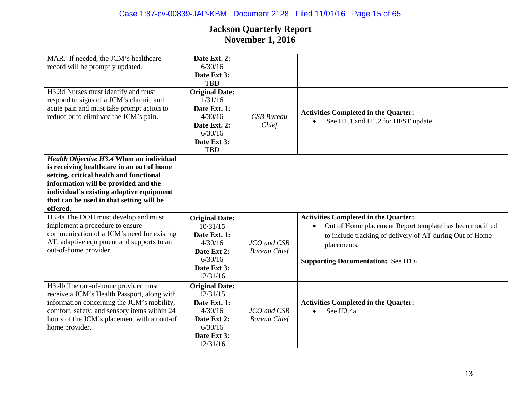| MAR. If needed, the JCM's healthcare<br>record will be promptly updated.                                                                                                                                                                                                            | Date Ext. 2:<br>6/30/16                                                                                             |                                    |                                                                                                                                                                                                                                |
|-------------------------------------------------------------------------------------------------------------------------------------------------------------------------------------------------------------------------------------------------------------------------------------|---------------------------------------------------------------------------------------------------------------------|------------------------------------|--------------------------------------------------------------------------------------------------------------------------------------------------------------------------------------------------------------------------------|
|                                                                                                                                                                                                                                                                                     | Date Ext 3:<br><b>TBD</b>                                                                                           |                                    |                                                                                                                                                                                                                                |
| H3.3d Nurses must identify and must<br>respond to signs of a JCM's chronic and<br>acute pain and must take prompt action to<br>reduce or to eliminate the JCM's pain.                                                                                                               | <b>Original Date:</b><br>1/31/16<br>Date Ext. 1:<br>4/30/16<br>Date Ext. 2:<br>6/30/16<br>Date Ext 3:<br><b>TBD</b> | <b>CSB</b> Bureau<br>Chief         | <b>Activities Completed in the Quarter:</b><br>See H1.1 and H1.2 for HFST update.                                                                                                                                              |
| <b>Health Objective H3.4 When an individual</b><br>is receiving healthcare in an out of home<br>setting, critical health and functional<br>information will be provided and the<br>individual's existing adaptive equipment<br>that can be used in that setting will be<br>offered. |                                                                                                                     |                                    |                                                                                                                                                                                                                                |
| H3.4a The DOH must develop and must<br>implement a procedure to ensure<br>communication of a JCM's need for existing<br>AT, adaptive equipment and supports to an<br>out-of-home provider.                                                                                          | <b>Original Date:</b><br>10/31/15<br>Date Ext. 1:<br>4/30/16<br>Date Ext 2:<br>6/30/16<br>Date Ext 3:<br>12/31/16   | JCO and CSB<br><b>Bureau Chief</b> | <b>Activities Completed in the Quarter:</b><br>Out of Home placement Report template has been modified<br>to include tracking of delivery of AT during Out of Home<br>placements.<br><b>Supporting Documentation: See H1.6</b> |
| H3.4b The out-of-home provider must<br>receive a JCM's Health Passport, along with<br>information concerning the JCM's mobility,<br>comfort, safety, and sensory items within 24<br>hours of the JCM's placement with an out-of<br>home provider.                                   | <b>Original Date:</b><br>12/31/15<br>Date Ext. 1:<br>4/30/16<br>Date Ext 2:<br>6/30/16<br>Date Ext 3:<br>12/31/16   | JCO and CSB<br><b>Bureau Chief</b> | <b>Activities Completed in the Quarter:</b><br>See H3.4a                                                                                                                                                                       |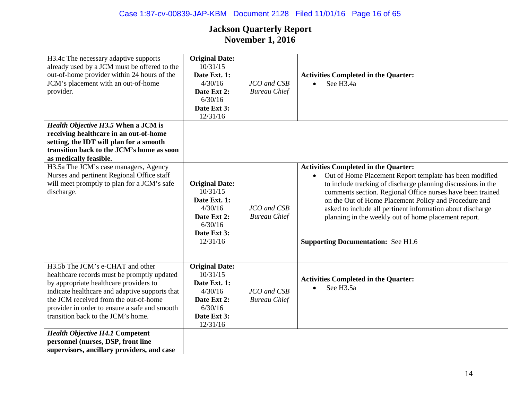## Case 1:87-cv-00839-JAP-KBM Document 2128 Filed 11/01/16 Page 16 of 65

| H3.4c The necessary adaptive supports<br>already used by a JCM must be offered to the<br>out-of-home provider within 24 hours of the<br>JCM's placement with an out-of-home<br>provider.<br>Health Objective H3.5 When a JCM is<br>receiving healthcare in an out-of-home<br>setting, the IDT will plan for a smooth | <b>Original Date:</b><br>10/31/15<br>Date Ext. 1:<br>4/30/16<br>Date Ext 2:<br>6/30/16<br>Date Ext 3:<br>12/31/16 | JCO and CSB<br><b>Bureau Chief</b> | <b>Activities Completed in the Quarter:</b><br>See H3.4a<br>$\bullet$                                                                                                                                                                                                                                                                                                                                                                                                         |
|----------------------------------------------------------------------------------------------------------------------------------------------------------------------------------------------------------------------------------------------------------------------------------------------------------------------|-------------------------------------------------------------------------------------------------------------------|------------------------------------|-------------------------------------------------------------------------------------------------------------------------------------------------------------------------------------------------------------------------------------------------------------------------------------------------------------------------------------------------------------------------------------------------------------------------------------------------------------------------------|
| transition back to the JCM's home as soon<br>as medically feasible.                                                                                                                                                                                                                                                  |                                                                                                                   |                                    |                                                                                                                                                                                                                                                                                                                                                                                                                                                                               |
| H3.5a The JCM's case managers, Agency<br>Nurses and pertinent Regional Office staff<br>will meet promptly to plan for a JCM's safe<br>discharge.                                                                                                                                                                     | <b>Original Date:</b><br>10/31/15<br>Date Ext. 1:<br>4/30/16<br>Date Ext 2:<br>6/30/16<br>Date Ext 3:<br>12/31/16 | JCO and CSB<br><b>Bureau Chief</b> | <b>Activities Completed in the Quarter:</b><br>Out of Home Placement Report template has been modified<br>$\bullet$<br>to include tracking of discharge planning discussions in the<br>comments section. Regional Office nurses have been trained<br>on the Out of Home Placement Policy and Procedure and<br>asked to include all pertinent information about discharge<br>planning in the weekly out of home placement report.<br><b>Supporting Documentation:</b> See H1.6 |
| H3.5b The JCM's e-CHAT and other<br>healthcare records must be promptly updated<br>by appropriate healthcare providers to<br>indicate healthcare and adaptive supports that<br>the JCM received from the out-of-home<br>provider in order to ensure a safe and smooth<br>transition back to the JCM's home.          | <b>Original Date:</b><br>10/31/15<br>Date Ext. 1:<br>4/30/16<br>Date Ext 2:<br>6/30/16<br>Date Ext 3:<br>12/31/16 | JCO and CSB<br><b>Bureau Chief</b> | <b>Activities Completed in the Quarter:</b><br>See H3.5a                                                                                                                                                                                                                                                                                                                                                                                                                      |
| <b>Health Objective H4.1 Competent</b><br>personnel (nurses, DSP, front line<br>supervisors, ancillary providers, and case                                                                                                                                                                                           |                                                                                                                   |                                    |                                                                                                                                                                                                                                                                                                                                                                                                                                                                               |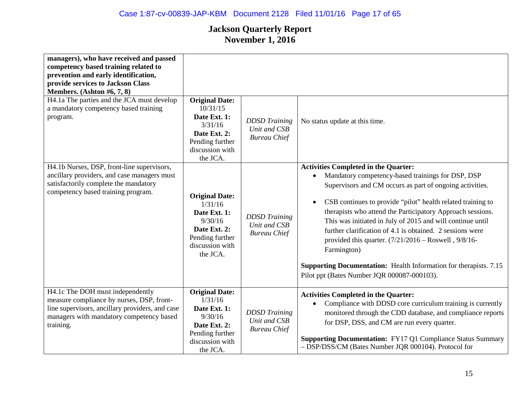| managers), who have received and passed<br>competency based training related to<br>prevention and early identification,<br>provide services to Jackson Class<br>Members. (Ashton $#6, 7, 8$ )<br>H4.1a The parties and the JCA must develop<br>a mandatory competency based training<br>program. | <b>Original Date:</b><br>10/31/15<br>Date Ext. 1:<br>3/31/16<br>Date Ext. 2:<br>Pending further<br>discussion with<br>the JCA. | <b>DDSD</b> Training<br>Unit and CSB<br><b>Bureau Chief</b> | No status update at this time.                                                                                                                                                                                                                                                                                                                                                                                                                                                                                                                                                                                                        |
|--------------------------------------------------------------------------------------------------------------------------------------------------------------------------------------------------------------------------------------------------------------------------------------------------|--------------------------------------------------------------------------------------------------------------------------------|-------------------------------------------------------------|---------------------------------------------------------------------------------------------------------------------------------------------------------------------------------------------------------------------------------------------------------------------------------------------------------------------------------------------------------------------------------------------------------------------------------------------------------------------------------------------------------------------------------------------------------------------------------------------------------------------------------------|
| H4.1b Nurses, DSP, front-line supervisors,<br>ancillary providers, and case managers must<br>satisfactorily complete the mandatory<br>competency based training program.                                                                                                                         | <b>Original Date:</b><br>1/31/16<br>Date Ext. 1:<br>9/30/16<br>Date Ext. 2:<br>Pending further<br>discussion with<br>the JCA.  | <b>DDSD</b> Training<br>Unit and CSB<br><b>Bureau Chief</b> | <b>Activities Completed in the Quarter:</b><br>Mandatory competency-based trainings for DSP, DSP<br>Supervisors and CM occurs as part of ongoing activities.<br>CSB continues to provide "pilot" health related training to<br>$\bullet$<br>therapists who attend the Participatory Approach sessions.<br>This was initiated in July of 2015 and will continue until<br>further clarification of 4.1 is obtained. 2 sessions were<br>provided this quarter. $(7/21/2016 - Roswell, 9/8/16-$<br>Farmington)<br><b>Supporting Documentation:</b> Health Information for therapists. 7.15<br>Pilot ppt (Bates Number JQR 000087-000103). |
| H4.1c The DOH must independently<br>measure compliance by nurses, DSP, front-<br>line supervisors, ancillary providers, and case<br>managers with mandatory competency based<br>training.                                                                                                        | <b>Original Date:</b><br>1/31/16<br>Date Ext. 1:<br>9/30/16<br>Date Ext. 2:<br>Pending further<br>discussion with<br>the JCA.  | <b>DDSD</b> Training<br>Unit and CSB<br><b>Bureau Chief</b> | <b>Activities Completed in the Quarter:</b><br>Compliance with DDSD core curriculum training is currently<br>monitored through the CDD database, and compliance reports<br>for DSP, DSS, and CM are run every quarter.<br><b>Supporting Documentation:</b> FY17 Q1 Compliance Status Summary<br>- DSP/DSS/CM (Bates Number JQR 000104). Protocol for                                                                                                                                                                                                                                                                                  |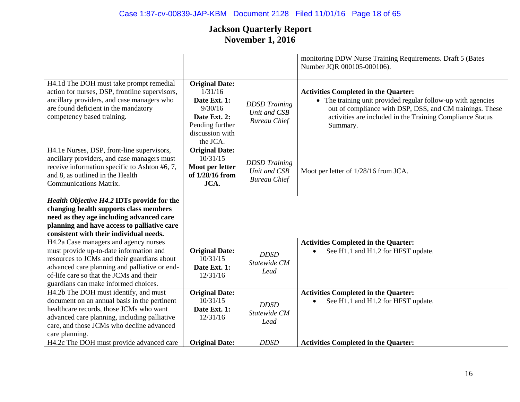## Case 1:87-cv-00839-JAP-KBM Document 2128 Filed 11/01/16 Page 18 of 65

|                                                                                                                                                                                                                                                 |                                                                                                                               |                                                             | monitoring DDW Nurse Training Requirements. Draft 5 (Bates<br>Number JQR 000105-000106).                                                                                                                                                         |
|-------------------------------------------------------------------------------------------------------------------------------------------------------------------------------------------------------------------------------------------------|-------------------------------------------------------------------------------------------------------------------------------|-------------------------------------------------------------|--------------------------------------------------------------------------------------------------------------------------------------------------------------------------------------------------------------------------------------------------|
| H4.1d The DOH must take prompt remedial<br>action for nurses, DSP, frontline supervisors,<br>ancillary providers, and case managers who<br>are found deficient in the mandatory<br>competency based training.                                   | <b>Original Date:</b><br>1/31/16<br>Date Ext. 1:<br>9/30/16<br>Date Ext. 2:<br>Pending further<br>discussion with<br>the JCA. | <b>DDSD</b> Training<br>Unit and CSB<br><b>Bureau Chief</b> | <b>Activities Completed in the Quarter:</b><br>• The training unit provided regular follow-up with agencies<br>out of compliance with DSP, DSS, and CM trainings. These<br>activities are included in the Training Compliance Status<br>Summary. |
| H4.1e Nurses, DSP, front-line supervisors,<br>ancillary providers, and case managers must<br>receive information specific to Ashton #6, 7,<br>and 8, as outlined in the Health<br><b>Communications Matrix.</b>                                 | <b>Original Date:</b><br>10/31/15<br>Moot per letter<br>of 1/28/16 from<br>JCA.                                               | <b>DDSD</b> Training<br>Unit and CSB<br><b>Bureau Chief</b> | Moot per letter of 1/28/16 from JCA.                                                                                                                                                                                                             |
| Health Objective H4.2 IDTs provide for the                                                                                                                                                                                                      |                                                                                                                               |                                                             |                                                                                                                                                                                                                                                  |
| changing health supports class members<br>need as they age including advanced care                                                                                                                                                              |                                                                                                                               |                                                             |                                                                                                                                                                                                                                                  |
| planning and have access to palliative care<br>consistent with their individual needs.                                                                                                                                                          |                                                                                                                               |                                                             |                                                                                                                                                                                                                                                  |
| H4.2a Case managers and agency nurses                                                                                                                                                                                                           |                                                                                                                               |                                                             | <b>Activities Completed in the Quarter:</b>                                                                                                                                                                                                      |
| must provide up-to-date information and<br>resources to JCMs and their guardians about                                                                                                                                                          | <b>Original Date:</b><br>10/31/15                                                                                             | <b>DDSD</b>                                                 | See H1.1 and H1.2 for HFST update.                                                                                                                                                                                                               |
| advanced care planning and palliative or end-<br>of-life care so that the JCMs and their                                                                                                                                                        | Date Ext. 1:<br>12/31/16                                                                                                      | Statewide CM<br>Lead                                        |                                                                                                                                                                                                                                                  |
| guardians can make informed choices.                                                                                                                                                                                                            |                                                                                                                               |                                                             |                                                                                                                                                                                                                                                  |
| H4.2b The DOH must identify, and must<br>document on an annual basis in the pertinent<br>healthcare records, those JCMs who want<br>advanced care planning, including palliative<br>care, and those JCMs who decline advanced<br>care planning. | <b>Original Date:</b><br>10/31/15<br>Date Ext. 1:<br>12/31/16                                                                 | <b>DDSD</b><br>Statewide CM<br>Lead                         | <b>Activities Completed in the Quarter:</b><br>See H1.1 and H1.2 for HFST update.                                                                                                                                                                |
| H4.2c The DOH must provide advanced care                                                                                                                                                                                                        | <b>Original Date:</b>                                                                                                         | <b>DDSD</b>                                                 | <b>Activities Completed in the Quarter:</b>                                                                                                                                                                                                      |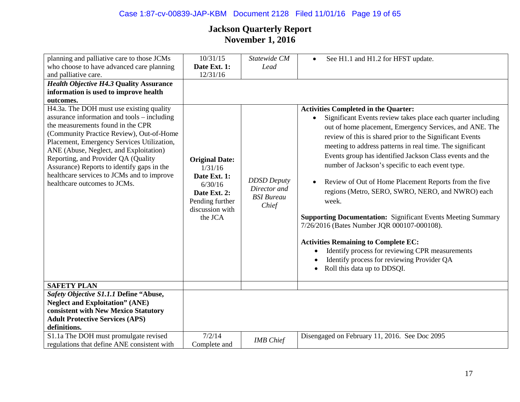## Case 1:87-cv-00839-JAP-KBM Document 2128 Filed 11/01/16 Page 19 of 65

| planning and palliative care to those JCMs                                                                                                                                                                                                                                                                                                                                                                                          | 10/31/15                                                                                                                     | Statewide CM                                                     | See H1.1 and H1.2 for HFST update.<br>$\bullet$                                                                                                                                                                                                                                                                                                                                                                                                                                                                                                                                                                                                                                                                                                                                                                                            |
|-------------------------------------------------------------------------------------------------------------------------------------------------------------------------------------------------------------------------------------------------------------------------------------------------------------------------------------------------------------------------------------------------------------------------------------|------------------------------------------------------------------------------------------------------------------------------|------------------------------------------------------------------|--------------------------------------------------------------------------------------------------------------------------------------------------------------------------------------------------------------------------------------------------------------------------------------------------------------------------------------------------------------------------------------------------------------------------------------------------------------------------------------------------------------------------------------------------------------------------------------------------------------------------------------------------------------------------------------------------------------------------------------------------------------------------------------------------------------------------------------------|
| who choose to have advanced care planning                                                                                                                                                                                                                                                                                                                                                                                           | Date Ext. 1:                                                                                                                 | Lead                                                             |                                                                                                                                                                                                                                                                                                                                                                                                                                                                                                                                                                                                                                                                                                                                                                                                                                            |
| and palliative care.                                                                                                                                                                                                                                                                                                                                                                                                                | 12/31/16                                                                                                                     |                                                                  |                                                                                                                                                                                                                                                                                                                                                                                                                                                                                                                                                                                                                                                                                                                                                                                                                                            |
| <b>Health Objective H4.3 Quality Assurance</b>                                                                                                                                                                                                                                                                                                                                                                                      |                                                                                                                              |                                                                  |                                                                                                                                                                                                                                                                                                                                                                                                                                                                                                                                                                                                                                                                                                                                                                                                                                            |
| information is used to improve health                                                                                                                                                                                                                                                                                                                                                                                               |                                                                                                                              |                                                                  |                                                                                                                                                                                                                                                                                                                                                                                                                                                                                                                                                                                                                                                                                                                                                                                                                                            |
| outcomes.                                                                                                                                                                                                                                                                                                                                                                                                                           |                                                                                                                              |                                                                  |                                                                                                                                                                                                                                                                                                                                                                                                                                                                                                                                                                                                                                                                                                                                                                                                                                            |
| H4.3a. The DOH must use existing quality<br>assurance information and tools – including<br>the measurements found in the CPR<br>(Community Practice Review), Out-of-Home<br>Placement, Emergency Services Utilization,<br>ANE (Abuse, Neglect, and Exploitation)<br>Reporting, and Provider QA (Quality<br>Assurance) Reports to identify gaps in the<br>healthcare services to JCMs and to improve<br>healthcare outcomes to JCMs. | <b>Original Date:</b><br>1/31/16<br>Date Ext. 1:<br>6/30/16<br>Date Ext. 2:<br>Pending further<br>discussion with<br>the JCA | <b>DDSD</b> Deputy<br>Director and<br><b>BSI</b> Bureau<br>Chief | <b>Activities Completed in the Quarter:</b><br>Significant Events review takes place each quarter including<br>out of home placement, Emergency Services, and ANE. The<br>review of this is shared prior to the Significant Events<br>meeting to address patterns in real time. The significant<br>Events group has identified Jackson Class events and the<br>number of Jackson's specific to each event type.<br>Review of Out of Home Placement Reports from the five<br>regions (Metro, SERO, SWRO, NERO, and NWRO) each<br>week.<br><b>Supporting Documentation:</b> Significant Events Meeting Summary<br>7/26/2016 (Bates Number JQR 000107-000108).<br><b>Activities Remaining to Complete EC:</b><br>Identify process for reviewing CPR measurements<br>Identify process for reviewing Provider QA<br>Roll this data up to DDSQI. |
| <b>SAFETY PLAN</b>                                                                                                                                                                                                                                                                                                                                                                                                                  |                                                                                                                              |                                                                  |                                                                                                                                                                                                                                                                                                                                                                                                                                                                                                                                                                                                                                                                                                                                                                                                                                            |
| Safety Objective S1.1.1 Define "Abuse,<br><b>Neglect and Exploitation" (ANE)</b>                                                                                                                                                                                                                                                                                                                                                    |                                                                                                                              |                                                                  |                                                                                                                                                                                                                                                                                                                                                                                                                                                                                                                                                                                                                                                                                                                                                                                                                                            |
|                                                                                                                                                                                                                                                                                                                                                                                                                                     |                                                                                                                              |                                                                  |                                                                                                                                                                                                                                                                                                                                                                                                                                                                                                                                                                                                                                                                                                                                                                                                                                            |
| consistent with New Mexico Statutory                                                                                                                                                                                                                                                                                                                                                                                                |                                                                                                                              |                                                                  |                                                                                                                                                                                                                                                                                                                                                                                                                                                                                                                                                                                                                                                                                                                                                                                                                                            |
| <b>Adult Protective Services (APS)</b>                                                                                                                                                                                                                                                                                                                                                                                              |                                                                                                                              |                                                                  |                                                                                                                                                                                                                                                                                                                                                                                                                                                                                                                                                                                                                                                                                                                                                                                                                                            |
| definitions.                                                                                                                                                                                                                                                                                                                                                                                                                        |                                                                                                                              |                                                                  |                                                                                                                                                                                                                                                                                                                                                                                                                                                                                                                                                                                                                                                                                                                                                                                                                                            |
| S1.1a The DOH must promulgate revised                                                                                                                                                                                                                                                                                                                                                                                               | 7/2/14                                                                                                                       | <b>IMB</b> Chief                                                 | Disengaged on February 11, 2016. See Doc 2095                                                                                                                                                                                                                                                                                                                                                                                                                                                                                                                                                                                                                                                                                                                                                                                              |
| regulations that define ANE consistent with                                                                                                                                                                                                                                                                                                                                                                                         | Complete and                                                                                                                 |                                                                  |                                                                                                                                                                                                                                                                                                                                                                                                                                                                                                                                                                                                                                                                                                                                                                                                                                            |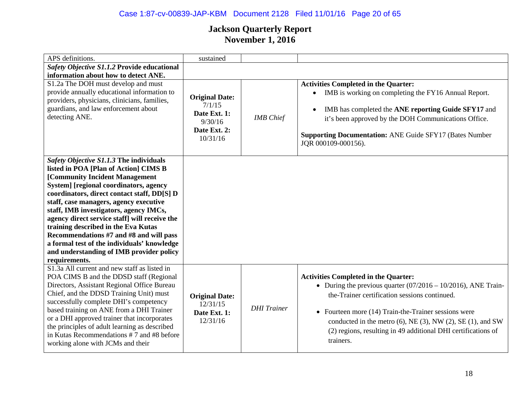## Case 1:87-cv-00839-JAP-KBM Document 2128 Filed 11/01/16 Page 20 of 65

| APS definitions.                                                                                                                                                                                                                                                                                                                                                                                                                                                                                                                               | sustained                                                                              |                    |                                                                                                                                                                                                                                                                                                                                                                        |
|------------------------------------------------------------------------------------------------------------------------------------------------------------------------------------------------------------------------------------------------------------------------------------------------------------------------------------------------------------------------------------------------------------------------------------------------------------------------------------------------------------------------------------------------|----------------------------------------------------------------------------------------|--------------------|------------------------------------------------------------------------------------------------------------------------------------------------------------------------------------------------------------------------------------------------------------------------------------------------------------------------------------------------------------------------|
| Safety Objective S1.1.2 Provide educational<br>information about how to detect ANE.                                                                                                                                                                                                                                                                                                                                                                                                                                                            |                                                                                        |                    |                                                                                                                                                                                                                                                                                                                                                                        |
| S1.2a The DOH must develop and must<br>provide annually educational information to<br>providers, physicians, clinicians, families,<br>guardians, and law enforcement about<br>detecting ANE.                                                                                                                                                                                                                                                                                                                                                   | <b>Original Date:</b><br>7/1/15<br>Date Ext. 1:<br>9/30/16<br>Date Ext. 2:<br>10/31/16 | <b>IMB</b> Chief   | <b>Activities Completed in the Quarter:</b><br>IMB is working on completing the FY16 Annual Report.<br>$\bullet$<br>IMB has completed the ANE reporting Guide SFY17 and<br>$\bullet$<br>it's been approved by the DOH Communications Office.<br><b>Supporting Documentation: ANE Guide SFY17 (Bates Number</b><br>JQR 000109-000156).                                  |
| Safety Objective S1.1.3 The individuals<br>listed in POA [Plan of Action] CIMS B<br>[Community Incident Management<br>System] [regional coordinators, agency<br>coordinators, direct contact staff, DD[S] D<br>staff, case managers, agency executive<br>staff, IMB investigators, agency IMCs,<br>agency direct service staff] will receive the<br>training described in the Eva Kutas<br>Recommendations #7 and #8 and will pass<br>a formal test of the individuals' knowledge<br>and understanding of IMB provider policy<br>requirements. |                                                                                        |                    |                                                                                                                                                                                                                                                                                                                                                                        |
| S1.3a All current and new staff as listed in<br>POA CIMS B and the DDSD staff (Regional<br>Directors, Assistant Regional Office Bureau<br>Chief, and the DDSD Training Unit) must<br>successfully complete DHI's competency<br>based training on ANE from a DHI Trainer<br>or a DHI approved trainer that incorporates<br>the principles of adult learning as described<br>in Kutas Recommendations #7 and #8 before<br>working alone with JCMs and their                                                                                      | <b>Original Date:</b><br>12/31/15<br>Date Ext. 1:<br>12/31/16                          | <b>DHI</b> Trainer | <b>Activities Completed in the Quarter:</b><br>• During the previous quarter $(07/2016 - 10/2016)$ , ANE Train-<br>the-Trainer certification sessions continued.<br>• Fourteen more $(14)$ Train-the-Trainer sessions were<br>conducted in the metro (6), NE (3), NW (2), SE (1), and SW<br>(2) regions, resulting in 49 additional DHI certifications of<br>trainers. |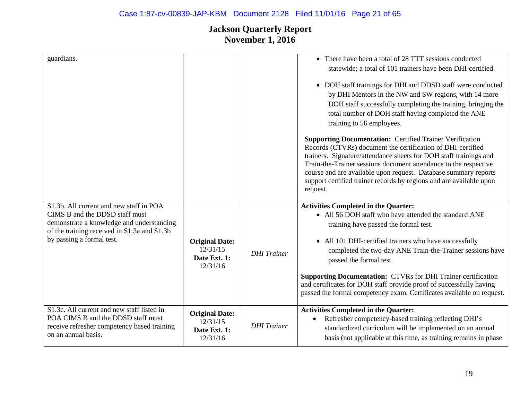| guardians.                                  |                       |                    | • There have been a total of 28 TTT sessions conducted                                                                                                                                                                                                                                                                                                                                                                        |
|---------------------------------------------|-----------------------|--------------------|-------------------------------------------------------------------------------------------------------------------------------------------------------------------------------------------------------------------------------------------------------------------------------------------------------------------------------------------------------------------------------------------------------------------------------|
|                                             |                       |                    |                                                                                                                                                                                                                                                                                                                                                                                                                               |
|                                             |                       |                    | statewide; a total of 101 trainers have been DHI-certified.                                                                                                                                                                                                                                                                                                                                                                   |
|                                             |                       |                    | • DOH staff trainings for DHI and DDSD staff were conducted<br>by DHI Mentors in the NW and SW regions, with 14 more<br>DOH staff successfully completing the training, bringing the<br>total number of DOH staff having completed the ANE<br>training to 56 employees.                                                                                                                                                       |
|                                             |                       |                    | <b>Supporting Documentation: Certified Trainer Verification</b><br>Records (CTVRs) document the certification of DHI-certified<br>trainers. Signature/attendance sheets for DOH staff trainings and<br>Train-the-Trainer sessions document attendance to the respective<br>course and are available upon request. Database summary reports<br>support certified trainer records by regions and are available upon<br>request. |
| S1.3b. All current and new staff in POA     |                       |                    | <b>Activities Completed in the Quarter:</b>                                                                                                                                                                                                                                                                                                                                                                                   |
| CIMS B and the DDSD staff must              |                       |                    | • All 56 DOH staff who have attended the standard ANE                                                                                                                                                                                                                                                                                                                                                                         |
| demonstrate a knowledge and understanding   |                       |                    | training have passed the formal test.                                                                                                                                                                                                                                                                                                                                                                                         |
| of the training received in S1.3a and S1.3b |                       |                    |                                                                                                                                                                                                                                                                                                                                                                                                                               |
| by passing a formal test.                   | <b>Original Date:</b> |                    | • All 101 DHI-certified trainers who have successfully                                                                                                                                                                                                                                                                                                                                                                        |
|                                             | 12/31/15              |                    | completed the two-day ANE Train-the-Trainer sessions have                                                                                                                                                                                                                                                                                                                                                                     |
|                                             | Date Ext. 1:          | <b>DHI</b> Trainer | passed the formal test.                                                                                                                                                                                                                                                                                                                                                                                                       |
|                                             | 12/31/16              |                    |                                                                                                                                                                                                                                                                                                                                                                                                                               |
|                                             |                       |                    | <b>Supporting Documentation: CTVRs for DHI Trainer certification</b><br>and certificates for DOH staff provide proof of successfully having<br>passed the formal competency exam. Certificates available on request.                                                                                                                                                                                                          |
| S1.3c. All current and new staff listed in  | <b>Original Date:</b> |                    | <b>Activities Completed in the Quarter:</b>                                                                                                                                                                                                                                                                                                                                                                                   |
| POA CIMS B and the DDSD staff must          | 12/31/15              |                    | Refresher competency-based training reflecting DHI's                                                                                                                                                                                                                                                                                                                                                                          |
| receive refresher competency based training | Date Ext. 1:          | <b>DHI</b> Trainer | standardized curriculum will be implemented on an annual                                                                                                                                                                                                                                                                                                                                                                      |
| on an annual basis.                         | 12/31/16              |                    | basis (not applicable at this time, as training remains in phase                                                                                                                                                                                                                                                                                                                                                              |
|                                             |                       |                    |                                                                                                                                                                                                                                                                                                                                                                                                                               |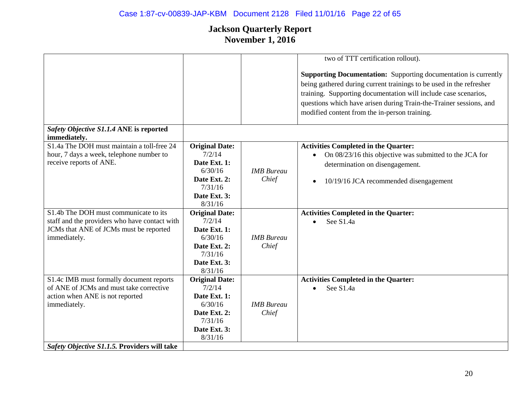# Case 1:87-cv-00839-JAP-KBM Document 2128 Filed 11/01/16 Page 22 of 65

|                                                                                                                                                  |                                                                                                                  |                            | two of TTT certification rollout).                                                                                                                                                                                                                                                                                                      |
|--------------------------------------------------------------------------------------------------------------------------------------------------|------------------------------------------------------------------------------------------------------------------|----------------------------|-----------------------------------------------------------------------------------------------------------------------------------------------------------------------------------------------------------------------------------------------------------------------------------------------------------------------------------------|
|                                                                                                                                                  |                                                                                                                  |                            | <b>Supporting Documentation:</b> Supporting documentation is currently<br>being gathered during current trainings to be used in the refresher<br>training. Supporting documentation will include case scenarios,<br>questions which have arisen during Train-the-Trainer sessions, and<br>modified content from the in-person training. |
| Safety Objective S1.1.4 ANE is reported<br>immediately.                                                                                          |                                                                                                                  |                            |                                                                                                                                                                                                                                                                                                                                         |
| S1.4a The DOH must maintain a toll-free 24<br>hour, 7 days a week, telephone number to<br>receive reports of ANE.                                | <b>Original Date:</b><br>7/2/14<br>Date Ext. 1:<br>6/30/16<br>Date Ext. 2:<br>7/31/16<br>Date Ext. 3:<br>8/31/16 | <b>IMB</b> Bureau<br>Chief | <b>Activities Completed in the Quarter:</b><br>On 08/23/16 this objective was submitted to the JCA for<br>$\bullet$<br>determination on disengagement.<br>10/19/16 JCA recommended disengagement<br>$\bullet$                                                                                                                           |
| S1.4b The DOH must communicate to its<br>staff and the providers who have contact with<br>JCMs that ANE of JCMs must be reported<br>immediately. | <b>Original Date:</b><br>7/2/14<br>Date Ext. 1:<br>6/30/16<br>Date Ext. 2:<br>7/31/16<br>Date Ext. 3:<br>8/31/16 | <b>IMB</b> Bureau<br>Chief | <b>Activities Completed in the Quarter:</b><br>See S1.4a<br>$\bullet$                                                                                                                                                                                                                                                                   |
| S1.4c IMB must formally document reports<br>of ANE of JCMs and must take corrective<br>action when ANE is not reported<br>immediately.           | <b>Original Date:</b><br>7/2/14<br>Date Ext. 1:<br>6/30/16<br>Date Ext. 2:<br>7/31/16<br>Date Ext. 3:<br>8/31/16 | <b>IMB</b> Bureau<br>Chief | <b>Activities Completed in the Quarter:</b><br>See S1.4a<br>$\bullet$                                                                                                                                                                                                                                                                   |
| Safety Objective S1.1.5. Providers will take                                                                                                     |                                                                                                                  |                            |                                                                                                                                                                                                                                                                                                                                         |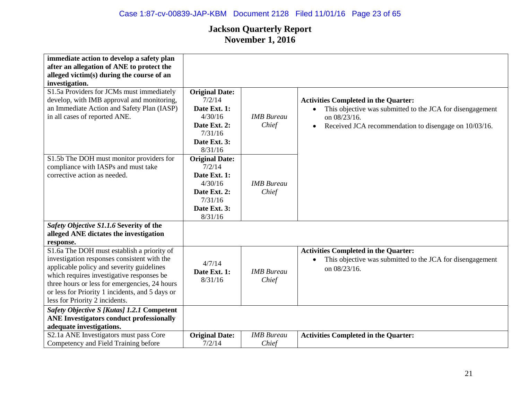| immediate action to develop a safety plan                                                                                                                                                                                                                                                                                 |                                                                                                                  |                            |                                                                                                                                                                                                             |
|---------------------------------------------------------------------------------------------------------------------------------------------------------------------------------------------------------------------------------------------------------------------------------------------------------------------------|------------------------------------------------------------------------------------------------------------------|----------------------------|-------------------------------------------------------------------------------------------------------------------------------------------------------------------------------------------------------------|
| after an allegation of ANE to protect the                                                                                                                                                                                                                                                                                 |                                                                                                                  |                            |                                                                                                                                                                                                             |
| alleged victim(s) during the course of an                                                                                                                                                                                                                                                                                 |                                                                                                                  |                            |                                                                                                                                                                                                             |
| investigation.                                                                                                                                                                                                                                                                                                            |                                                                                                                  |                            |                                                                                                                                                                                                             |
| S1.5a Providers for JCMs must immediately<br>develop, with IMB approval and monitoring,<br>an Immediate Action and Safety Plan (IASP)<br>in all cases of reported ANE.                                                                                                                                                    | <b>Original Date:</b><br>7/2/14<br>Date Ext. 1:<br>4/30/16<br>Date Ext. 2:<br>7/31/16<br>Date Ext. 3:<br>8/31/16 | <b>IMB</b> Bureau<br>Chief | <b>Activities Completed in the Quarter:</b><br>This objective was submitted to the JCA for disengagement<br>$\bullet$<br>on 08/23/16.<br>Received JCA recommendation to disengage on 10/03/16.<br>$\bullet$ |
| S1.5b The DOH must monitor providers for<br>compliance with IASPs and must take<br>corrective action as needed.                                                                                                                                                                                                           | <b>Original Date:</b><br>7/2/14<br>Date Ext. 1:<br>4/30/16<br>Date Ext. 2:<br>7/31/16<br>Date Ext. 3:<br>8/31/16 | <b>IMB</b> Bureau<br>Chief |                                                                                                                                                                                                             |
| Safety Objective S1.1.6 Severity of the<br>alleged ANE dictates the investigation<br>response.                                                                                                                                                                                                                            |                                                                                                                  |                            |                                                                                                                                                                                                             |
| S1.6a The DOH must establish a priority of<br>investigation responses consistent with the<br>applicable policy and severity guidelines<br>which requires investigative responses be<br>three hours or less for emergencies, 24 hours<br>or less for Priority 1 incidents, and 5 days or<br>less for Priority 2 incidents. | 4/7/14<br>Date Ext. 1:<br>8/31/16                                                                                | <b>IMB</b> Bureau<br>Chief | <b>Activities Completed in the Quarter:</b><br>This objective was submitted to the JCA for disengagement<br>on 08/23/16.                                                                                    |
| Safety Objective S [Kutas] 1.2.1 Competent                                                                                                                                                                                                                                                                                |                                                                                                                  |                            |                                                                                                                                                                                                             |
| <b>ANE Investigators conduct professionally</b>                                                                                                                                                                                                                                                                           |                                                                                                                  |                            |                                                                                                                                                                                                             |
| adequate investigations.                                                                                                                                                                                                                                                                                                  |                                                                                                                  |                            |                                                                                                                                                                                                             |
| S2.1a ANE Investigators must pass Core<br>Competency and Field Training before                                                                                                                                                                                                                                            | <b>Original Date:</b><br>7/2/14                                                                                  | <b>IMB</b> Bureau<br>Chief | <b>Activities Completed in the Quarter:</b>                                                                                                                                                                 |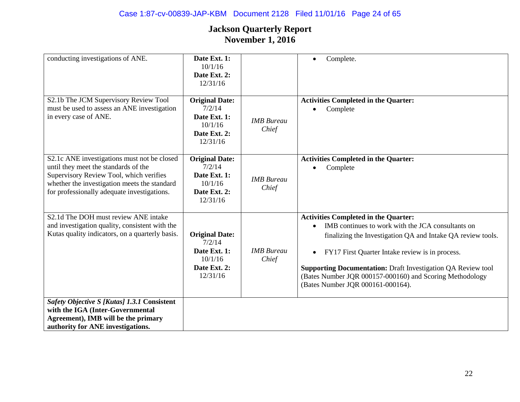| conducting investigations of ANE.                                                                                                                                                                                             | Date Ext. 1:<br>10/1/16<br>Date Ext. 2:<br>12/31/16                                    |                            | Complete.                                                                                                                                                                                                                                                                                                                                                                                  |
|-------------------------------------------------------------------------------------------------------------------------------------------------------------------------------------------------------------------------------|----------------------------------------------------------------------------------------|----------------------------|--------------------------------------------------------------------------------------------------------------------------------------------------------------------------------------------------------------------------------------------------------------------------------------------------------------------------------------------------------------------------------------------|
| S2.1b The JCM Supervisory Review Tool<br>must be used to assess an ANE investigation<br>in every case of ANE.                                                                                                                 | <b>Original Date:</b><br>7/2/14<br>Date Ext. 1:<br>10/1/16<br>Date Ext. 2:<br>12/31/16 | <b>IMB</b> Bureau<br>Chief | <b>Activities Completed in the Quarter:</b><br>Complete                                                                                                                                                                                                                                                                                                                                    |
| S2.1c ANE investigations must not be closed<br>until they meet the standards of the<br>Supervisory Review Tool, which verifies<br>whether the investigation meets the standard<br>for professionally adequate investigations. | <b>Original Date:</b><br>7/2/14<br>Date Ext. 1:<br>10/1/16<br>Date Ext. 2:<br>12/31/16 | <b>IMB</b> Bureau<br>Chief | <b>Activities Completed in the Quarter:</b><br>Complete                                                                                                                                                                                                                                                                                                                                    |
| S2.1d The DOH must review ANE intake<br>and investigation quality, consistent with the<br>Kutas quality indicators, on a quarterly basis.                                                                                     | <b>Original Date:</b><br>7/2/14<br>Date Ext. 1:<br>10/1/16<br>Date Ext. 2:<br>12/31/16 | <b>IMB</b> Bureau<br>Chief | <b>Activities Completed in the Quarter:</b><br>IMB continues to work with the JCA consultants on<br>finalizing the Investigation QA and Intake QA review tools.<br>FY17 First Quarter Intake review is in process.<br><b>Supporting Documentation:</b> Draft Investigation QA Review tool<br>(Bates Number JQR 000157-000160) and Scoring Methodology<br>(Bates Number JQR 000161-000164). |
| Safety Objective S [Kutas] 1.3.1 Consistent<br>with the IGA (Inter-Governmental<br>Agreement), IMB will be the primary<br>authority for ANE investigations.                                                                   |                                                                                        |                            |                                                                                                                                                                                                                                                                                                                                                                                            |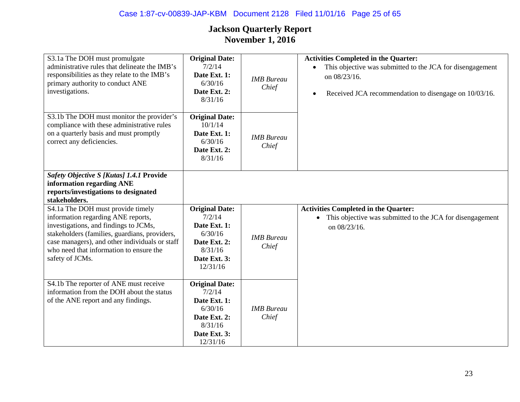## Case 1:87-cv-00839-JAP-KBM Document 2128 Filed 11/01/16 Page 25 of 65

| S3.1a The DOH must promulgate<br>administrative rules that delineate the IMB's<br>responsibilities as they relate to the IMB's<br>primary authority to conduct ANE<br>investigations.                                                                                             | <b>Original Date:</b><br>7/2/14<br>Date Ext. 1:<br>6/30/16<br>Date Ext. 2:<br>8/31/16                             | <b>IMB</b> Bureau<br>Chief | <b>Activities Completed in the Quarter:</b><br>This objective was submitted to the JCA for disengagement<br>$\bullet$<br>on 08/23/16.<br>Received JCA recommendation to disengage on 10/03/16.<br>$\bullet$ |
|-----------------------------------------------------------------------------------------------------------------------------------------------------------------------------------------------------------------------------------------------------------------------------------|-------------------------------------------------------------------------------------------------------------------|----------------------------|-------------------------------------------------------------------------------------------------------------------------------------------------------------------------------------------------------------|
| S3.1b The DOH must monitor the provider's<br>compliance with these administrative rules<br>on a quarterly basis and must promptly<br>correct any deficiencies.                                                                                                                    | <b>Original Date:</b><br>10/1/14<br>Date Ext. 1:<br>6/30/16<br>Date Ext. 2:<br>8/31/16                            | <b>IMB</b> Bureau<br>Chief |                                                                                                                                                                                                             |
| Safety Objective S [Kutas] 1.4.1 Provide<br>information regarding ANE<br>reports/investigations to designated<br>stakeholders.                                                                                                                                                    |                                                                                                                   |                            |                                                                                                                                                                                                             |
| S4.1a The DOH must provide timely<br>information regarding ANE reports,<br>investigations, and findings to JCMs,<br>stakeholders (families, guardians, providers,<br>case managers), and other individuals or staff<br>who need that information to ensure the<br>safety of JCMs. | <b>Original Date:</b><br>7/2/14<br>Date Ext. 1:<br>6/30/16<br>Date Ext. 2:<br>8/31/16<br>Date Ext. 3:<br>12/31/16 | <b>IMB</b> Bureau<br>Chief | <b>Activities Completed in the Quarter:</b><br>This objective was submitted to the JCA for disengagement<br>on 08/23/16.                                                                                    |
| S4.1b The reporter of ANE must receive<br>information from the DOH about the status<br>of the ANE report and any findings.                                                                                                                                                        | <b>Original Date:</b><br>7/2/14<br>Date Ext. 1:<br>6/30/16<br>Date Ext. 2:<br>8/31/16<br>Date Ext. 3:<br>12/31/16 | <b>IMB</b> Bureau<br>Chief |                                                                                                                                                                                                             |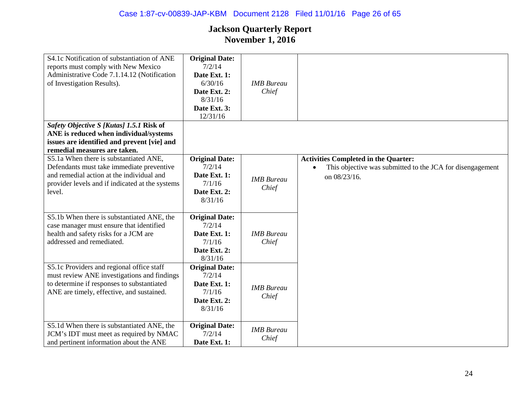| S4.1c Notification of substantiation of ANE<br>reports must comply with New Mexico<br>Administrative Code 7.1.14.12 (Notification<br>of Investigation Results). | <b>Original Date:</b><br>7/2/14<br>Date Ext. 1:<br>6/30/16<br>Date Ext. 2:<br>8/31/16<br>Date Ext. 3:<br>12/31/16 | <b>IMB</b> Bureau<br>Chief |                                                           |
|-----------------------------------------------------------------------------------------------------------------------------------------------------------------|-------------------------------------------------------------------------------------------------------------------|----------------------------|-----------------------------------------------------------|
| Safety Objective S [Kutas] 1.5.1 Risk of                                                                                                                        |                                                                                                                   |                            |                                                           |
| ANE is reduced when individual/systems                                                                                                                          |                                                                                                                   |                            |                                                           |
| issues are identified and prevent [vie] and                                                                                                                     |                                                                                                                   |                            |                                                           |
| remedial measures are taken.                                                                                                                                    |                                                                                                                   |                            |                                                           |
| S5.1a When there is substantiated ANE,                                                                                                                          | <b>Original Date:</b>                                                                                             |                            | <b>Activities Completed in the Quarter:</b>               |
| Defendants must take immediate preventive                                                                                                                       | 7/2/14                                                                                                            |                            | This objective was submitted to the JCA for disengagement |
| and remedial action at the individual and                                                                                                                       | Date Ext. 1:                                                                                                      | <b>IMB</b> Bureau          | on 08/23/16.                                              |
| provider levels and if indicated at the systems                                                                                                                 | 7/1/16                                                                                                            | Chief                      |                                                           |
| level.                                                                                                                                                          | Date Ext. 2:                                                                                                      |                            |                                                           |
|                                                                                                                                                                 | 8/31/16                                                                                                           |                            |                                                           |
| S5.1b When there is substantiated ANE, the                                                                                                                      | <b>Original Date:</b>                                                                                             |                            |                                                           |
| case manager must ensure that identified                                                                                                                        | 7/2/14                                                                                                            |                            |                                                           |
| health and safety risks for a JCM are                                                                                                                           | Date Ext. 1:                                                                                                      | <b>IMB</b> Bureau          |                                                           |
| addressed and remediated.                                                                                                                                       | 7/1/16                                                                                                            | Chief                      |                                                           |
|                                                                                                                                                                 | Date Ext. 2:                                                                                                      |                            |                                                           |
|                                                                                                                                                                 | 8/31/16                                                                                                           |                            |                                                           |
| S5.1c Providers and regional office staff                                                                                                                       | <b>Original Date:</b>                                                                                             |                            |                                                           |
| must review ANE investigations and findings                                                                                                                     | 7/2/14                                                                                                            |                            |                                                           |
| to determine if responses to substantiated                                                                                                                      | Date Ext. 1:                                                                                                      |                            |                                                           |
| ANE are timely, effective, and sustained.                                                                                                                       | 7/1/16                                                                                                            | <b>IMB</b> Bureau          |                                                           |
|                                                                                                                                                                 | Date Ext. 2:                                                                                                      | Chief                      |                                                           |
|                                                                                                                                                                 | 8/31/16                                                                                                           |                            |                                                           |
|                                                                                                                                                                 |                                                                                                                   |                            |                                                           |
| S5.1d When there is substantiated ANE, the                                                                                                                      | <b>Original Date:</b>                                                                                             | <b>IMB</b> Bureau          |                                                           |
| JCM's IDT must meet as required by NMAC                                                                                                                         | 7/2/14                                                                                                            | Chief                      |                                                           |
| and pertinent information about the ANE                                                                                                                         | Date Ext. 1:                                                                                                      |                            |                                                           |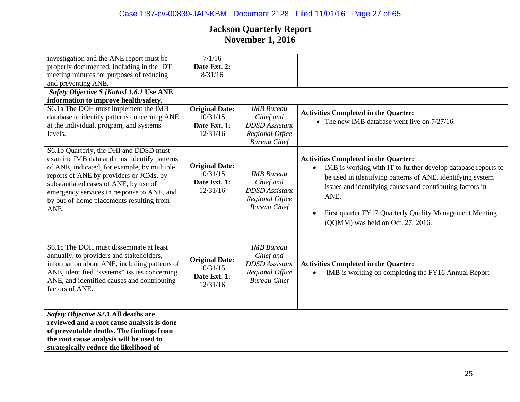| 10/31/15<br>Date Ext. 1:<br>12/31/16                          | Chief and<br><b>DDSD</b> Assistant<br>Regional Office                                             | <b>Activities Completed in the Quarter:</b><br>• The new IMB database went live on $7/27/16$ .                                                                                                                                                                                                                                                  |
|---------------------------------------------------------------|---------------------------------------------------------------------------------------------------|-------------------------------------------------------------------------------------------------------------------------------------------------------------------------------------------------------------------------------------------------------------------------------------------------------------------------------------------------|
| <b>Original Date:</b><br>10/31/15<br>Date Ext. 1:<br>12/31/16 | <b>IMB</b> Bureau<br>Chief and<br><b>DDSD</b> Assistant<br>Regional Office<br><b>Bureau Chief</b> | <b>Activities Completed in the Quarter:</b><br>IMB is working with IT to further develop database reports to<br>be used in identifying patterns of ANE, identifying system<br>issues and identifying causes and contributing factors in<br>ANE.<br>First quarter FY17 Quarterly Quality Management Meeting<br>(QQMM) was held on Oct. 27, 2016. |
| <b>Original Date:</b><br>10/31/15<br>Date Ext. 1:<br>12/31/16 | <b>IMB</b> Bureau<br>Chief and<br><b>DDSD</b> Assistant<br>Regional Office<br><b>Bureau Chief</b> | <b>Activities Completed in the Quarter:</b><br>IMB is working on completing the FY16 Annual Report                                                                                                                                                                                                                                              |
|                                                               |                                                                                                   |                                                                                                                                                                                                                                                                                                                                                 |
|                                                               |                                                                                                   |                                                                                                                                                                                                                                                                                                                                                 |
|                                                               |                                                                                                   |                                                                                                                                                                                                                                                                                                                                                 |
|                                                               |                                                                                                   |                                                                                                                                                                                                                                                                                                                                                 |
|                                                               |                                                                                                   |                                                                                                                                                                                                                                                                                                                                                 |
|                                                               | 7/1/16<br>Date Ext. 2:<br>8/31/16<br><b>Original Date:</b>                                        | <b>IMB</b> Bureau<br><b>Bureau Chief</b>                                                                                                                                                                                                                                                                                                        |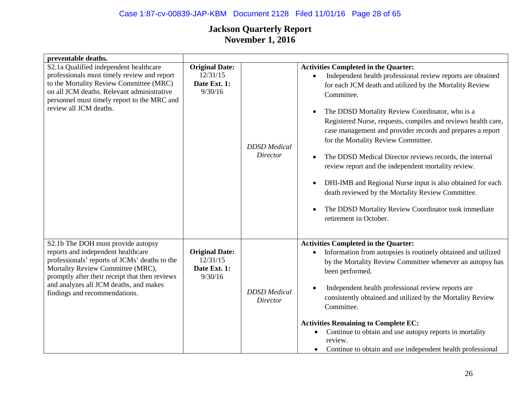## Case 1:87-cv-00839-JAP-KBM Document 2128 Filed 11/01/16 Page 28 of 65

| preventable deaths.                                                                                                                                                                                                                                                                         |                                                              |                                        |                                                                                                                                                                                                                                                                                                                                                                                                                                                                                                                                                                                                                                                                                                                                                                                                      |
|---------------------------------------------------------------------------------------------------------------------------------------------------------------------------------------------------------------------------------------------------------------------------------------------|--------------------------------------------------------------|----------------------------------------|------------------------------------------------------------------------------------------------------------------------------------------------------------------------------------------------------------------------------------------------------------------------------------------------------------------------------------------------------------------------------------------------------------------------------------------------------------------------------------------------------------------------------------------------------------------------------------------------------------------------------------------------------------------------------------------------------------------------------------------------------------------------------------------------------|
| S2.1a Qualified independent healthcare<br>professionals must timely review and report<br>to the Mortality Review Committee (MRC)<br>on all JCM deaths. Relevant administrative<br>personnel must timely report to the MRC and<br>review all JCM deaths.                                     | <b>Original Date:</b><br>12/31/15<br>Date Ext. 1:<br>9/30/16 | <b>DDSD</b> Medical<br><b>Director</b> | <b>Activities Completed in the Quarter:</b><br>Independent health professional review reports are obtained<br>$\bullet$<br>for each JCM death and utilized by the Mortality Review<br>Committee.<br>The DDSD Mortality Review Coordinator, who is a<br>$\bullet$<br>Registered Nurse, requests, compiles and reviews health care,<br>case management and provider records and prepares a report<br>for the Mortality Review Committee.<br>The DDSD Medical Director reviews records, the internal<br>$\bullet$<br>review report and the independent mortality review.<br>DHI-IMB and Regional Nurse input is also obtained for each<br>$\bullet$<br>death reviewed by the Mortality Review Committee.<br>The DDSD Mortality Review Coordinator took immediate<br>$\bullet$<br>retirement in October. |
| S2.1b The DOH must provide autopsy<br>reports and independent healthcare<br>professionals' reports of JCMs' deaths to the<br>Mortality Review Committee (MRC),<br>promptly after their receipt that then reviews<br>and analyzes all JCM deaths, and makes<br>findings and recommendations. | <b>Original Date:</b><br>12/31/15<br>Date Ext. 1:<br>9/30/16 | <b>DDSD</b> Medical<br><b>Director</b> | <b>Activities Completed in the Quarter:</b><br>Information from autopsies is routinely obtained and utilized<br>$\bullet$<br>by the Mortality Review Committee whenever an autopsy has<br>been performed.<br>Independent health professional review reports are<br>$\bullet$<br>consistently obtained and utilized by the Mortality Review<br>Committee.<br><b>Activities Remaining to Complete EC:</b><br>Continue to obtain and use autopsy reports in mortality<br>review.<br>Continue to obtain and use independent health professional<br>$\bullet$                                                                                                                                                                                                                                             |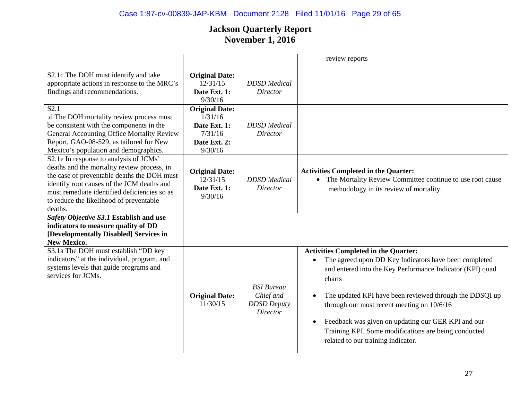## Case 1:87-cv-00839-JAP-KBM Document 2128 Filed 11/01/16 Page 29 of 65

|                                                                                                                                                                                                                                                                                          |                                                                                        |                                                                         | review reports                                                                                                                                                                                                                                                                                                                                                                                                                                                     |
|------------------------------------------------------------------------------------------------------------------------------------------------------------------------------------------------------------------------------------------------------------------------------------------|----------------------------------------------------------------------------------------|-------------------------------------------------------------------------|--------------------------------------------------------------------------------------------------------------------------------------------------------------------------------------------------------------------------------------------------------------------------------------------------------------------------------------------------------------------------------------------------------------------------------------------------------------------|
| S2.1c The DOH must identify and take<br>appropriate actions in response to the MRC's<br>findings and recommendations.                                                                                                                                                                    | <b>Original Date:</b><br>12/31/15<br>Date Ext. 1:<br>9/30/16                           | <b>DDSD</b> Medical<br>Director                                         |                                                                                                                                                                                                                                                                                                                                                                                                                                                                    |
| S <sub>2.1</sub><br>.d The DOH mortality review process must<br>be consistent with the components in the<br><b>General Accounting Office Mortality Review</b><br>Report, GAO-08-529, as tailored for New<br>Mexico's population and demographics.                                        | <b>Original Date:</b><br>1/31/16<br>Date Ext. 1:<br>7/31/16<br>Date Ext. 2:<br>9/30/16 | <b>DDSD</b> Medical<br>Director                                         |                                                                                                                                                                                                                                                                                                                                                                                                                                                                    |
| S2.1e In response to analysis of JCMs'<br>deaths and the mortality review process, in<br>the case of preventable deaths the DOH must<br>identify root causes of the JCM deaths and<br>must remediate identified deficiencies so as<br>to reduce the likelihood of preventable<br>deaths. | <b>Original Date:</b><br>12/31/15<br>Date Ext. 1:<br>9/30/16                           | <b>DDSD</b> Medical<br>Director                                         | <b>Activities Completed in the Quarter:</b><br>• The Mortality Review Committee continue to use root cause<br>methodology in its review of mortality.                                                                                                                                                                                                                                                                                                              |
| Safety Objective S3.1 Establish and use<br>indicators to measure quality of DD<br>[Developmentally Disabled] Services in<br><b>New Mexico.</b>                                                                                                                                           |                                                                                        |                                                                         |                                                                                                                                                                                                                                                                                                                                                                                                                                                                    |
| S3.1a The DOH must establish "DD key<br>indicators" at the individual, program, and<br>systems levels that guide programs and<br>services for JCMs.                                                                                                                                      | <b>Original Date:</b><br>11/30/15                                                      | <b>BSI</b> Bureau<br>Chief and<br><b>DDSD</b> Deputy<br><b>Director</b> | <b>Activities Completed in the Quarter:</b><br>The agreed upon DD Key Indicators have been completed<br>$\bullet$<br>and entered into the Key Performance Indicator (KPI) quad<br>charts<br>The updated KPI have been reviewed through the DDSQI up<br>through our most recent meeting on 10/6/16<br>Feedback was given on updating our GER KPI and our<br>$\bullet$<br>Training KPI. Some modifications are being conducted<br>related to our training indicator. |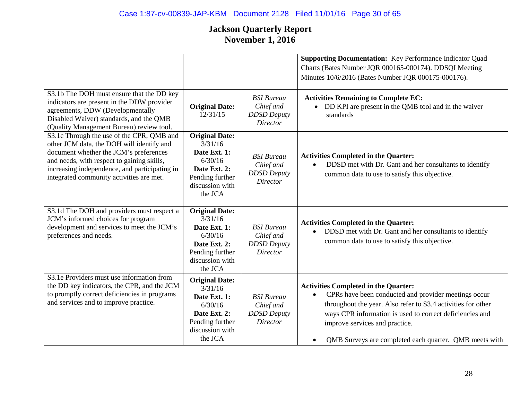|                                                                                                                                                                                                                                                                             |                                                                                                                              |                                                                         | <b>Supporting Documentation:</b> Key Performance Indicator Quad<br>Charts (Bates Number JQR 000165-000174). DDSQI Meeting<br>Minutes 10/6/2016 (Bates Number JQR 000175-000176).                                                                                                                                                                      |
|-----------------------------------------------------------------------------------------------------------------------------------------------------------------------------------------------------------------------------------------------------------------------------|------------------------------------------------------------------------------------------------------------------------------|-------------------------------------------------------------------------|-------------------------------------------------------------------------------------------------------------------------------------------------------------------------------------------------------------------------------------------------------------------------------------------------------------------------------------------------------|
| S3.1b The DOH must ensure that the DD key<br>indicators are present in the DDW provider<br>agreements, DDW (Developmentally<br>Disabled Waiver) standards, and the QMB<br>(Quality Management Bureau) review tool.                                                          | <b>Original Date:</b><br>12/31/15                                                                                            | <b>BSI</b> Bureau<br>Chief and<br><b>DDSD</b> Deputy<br><b>Director</b> | <b>Activities Remaining to Complete EC:</b><br>DD KPI are present in the QMB tool and in the waiver<br>standards                                                                                                                                                                                                                                      |
| S3.1c Through the use of the CPR, QMB and<br>other JCM data, the DOH will identify and<br>document whether the JCM's preferences<br>and needs, with respect to gaining skills,<br>increasing independence, and participating in<br>integrated community activities are met. | <b>Original Date:</b><br>3/31/16<br>Date Ext. 1:<br>6/30/16<br>Date Ext. 2:<br>Pending further<br>discussion with<br>the JCA | <b>BSI</b> Bureau<br>Chief and<br><b>DDSD</b> Deputy<br><b>Director</b> | <b>Activities Completed in the Quarter:</b><br>DDSD met with Dr. Gant and her consultants to identify<br>$\bullet$<br>common data to use to satisfy this objective.                                                                                                                                                                                   |
| S3.1d The DOH and providers must respect a<br>JCM's informed choices for program<br>development and services to meet the JCM's<br>preferences and needs.                                                                                                                    | <b>Original Date:</b><br>3/31/16<br>Date Ext. 1:<br>6/30/16<br>Date Ext. 2:<br>Pending further<br>discussion with<br>the JCA | <b>BSI</b> Bureau<br>Chief and<br><b>DDSD</b> Deputy<br><b>Director</b> | <b>Activities Completed in the Quarter:</b><br>DDSD met with Dr. Gant and her consultants to identify<br>$\bullet$<br>common data to use to satisfy this objective.                                                                                                                                                                                   |
| S3.1e Providers must use information from<br>the DD key indicators, the CPR, and the JCM<br>to promptly correct deficiencies in programs<br>and services and to improve practice.                                                                                           | <b>Original Date:</b><br>3/31/16<br>Date Ext. 1:<br>6/30/16<br>Date Ext. 2:<br>Pending further<br>discussion with<br>the JCA | <b>BSI</b> Bureau<br>Chief and<br><b>DDSD</b> Deputy<br><b>Director</b> | <b>Activities Completed in the Quarter:</b><br>CPRs have been conducted and provider meetings occur<br>$\bullet$<br>throughout the year. Also refer to S3.4 activities for other<br>ways CPR information is used to correct deficiencies and<br>improve services and practice.<br>QMB Surveys are completed each quarter. QMB meets with<br>$\bullet$ |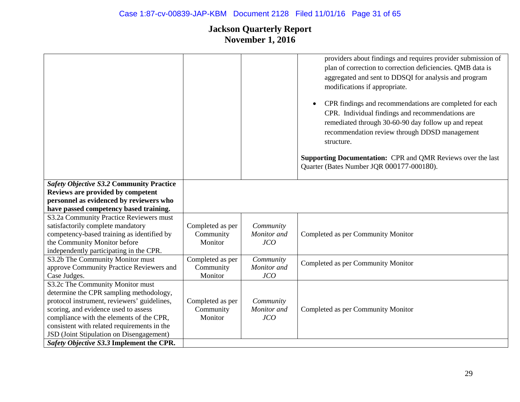|                                                 |                  |             | providers about findings and requires provider submission of<br>plan of correction to correction deficiencies. QMB data is<br>aggregated and sent to DDSQI for analysis and program<br>modifications if appropriate.<br>CPR findings and recommendations are completed for each<br>$\bullet$<br>CPR. Individual findings and recommendations are<br>remediated through 30-60-90 day follow up and repeat<br>recommendation review through DDSD management<br>structure.<br><b>Supporting Documentation: CPR and QMR Reviews over the last</b><br>Quarter (Bates Number JQR 000177-000180). |
|-------------------------------------------------|------------------|-------------|--------------------------------------------------------------------------------------------------------------------------------------------------------------------------------------------------------------------------------------------------------------------------------------------------------------------------------------------------------------------------------------------------------------------------------------------------------------------------------------------------------------------------------------------------------------------------------------------|
| <b>Safety Objective S3.2 Community Practice</b> |                  |             |                                                                                                                                                                                                                                                                                                                                                                                                                                                                                                                                                                                            |
| Reviews are provided by competent               |                  |             |                                                                                                                                                                                                                                                                                                                                                                                                                                                                                                                                                                                            |
| personnel as evidenced by reviewers who         |                  |             |                                                                                                                                                                                                                                                                                                                                                                                                                                                                                                                                                                                            |
| have passed competency based training.          |                  |             |                                                                                                                                                                                                                                                                                                                                                                                                                                                                                                                                                                                            |
| S3.2a Community Practice Reviewers must         |                  |             |                                                                                                                                                                                                                                                                                                                                                                                                                                                                                                                                                                                            |
| satisfactorily complete mandatory               | Completed as per | Community   |                                                                                                                                                                                                                                                                                                                                                                                                                                                                                                                                                                                            |
| competency-based training as identified by      | Community        | Monitor and | Completed as per Community Monitor                                                                                                                                                                                                                                                                                                                                                                                                                                                                                                                                                         |
| the Community Monitor before                    | Monitor          | JCO         |                                                                                                                                                                                                                                                                                                                                                                                                                                                                                                                                                                                            |
| independently participating in the CPR.         |                  |             |                                                                                                                                                                                                                                                                                                                                                                                                                                                                                                                                                                                            |
| S3.2b The Community Monitor must                | Completed as per | Community   | Completed as per Community Monitor                                                                                                                                                                                                                                                                                                                                                                                                                                                                                                                                                         |
| approve Community Practice Reviewers and        | Community        | Monitor and |                                                                                                                                                                                                                                                                                                                                                                                                                                                                                                                                                                                            |
| Case Judges.                                    | Monitor          | JCO         |                                                                                                                                                                                                                                                                                                                                                                                                                                                                                                                                                                                            |
| S3.2c The Community Monitor must                |                  |             |                                                                                                                                                                                                                                                                                                                                                                                                                                                                                                                                                                                            |
| determine the CPR sampling methodology,         |                  |             |                                                                                                                                                                                                                                                                                                                                                                                                                                                                                                                                                                                            |
| protocol instrument, reviewers' guidelines,     | Completed as per | Community   |                                                                                                                                                                                                                                                                                                                                                                                                                                                                                                                                                                                            |
| scoring, and evidence used to assess            | Community        | Monitor and | Completed as per Community Monitor                                                                                                                                                                                                                                                                                                                                                                                                                                                                                                                                                         |
| compliance with the elements of the CPR,        | Monitor          | JCO         |                                                                                                                                                                                                                                                                                                                                                                                                                                                                                                                                                                                            |
| consistent with related requirements in the     |                  |             |                                                                                                                                                                                                                                                                                                                                                                                                                                                                                                                                                                                            |
| JSD (Joint Stipulation on Disengagement)        |                  |             |                                                                                                                                                                                                                                                                                                                                                                                                                                                                                                                                                                                            |
| Safety Objective S3.3 Implement the CPR.        |                  |             |                                                                                                                                                                                                                                                                                                                                                                                                                                                                                                                                                                                            |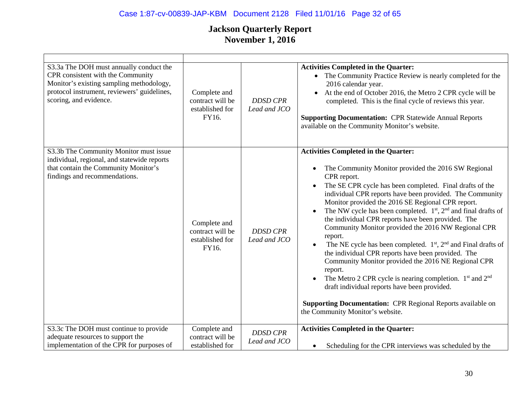# Case 1:87-cv-00839-JAP-KBM Document 2128 Filed 11/01/16 Page 32 of 65

| S3.3a The DOH must annually conduct the<br>CPR consistent with the Community<br>Monitor's existing sampling methodology,<br>protocol instrument, reviewers' guidelines,<br>scoring, and evidence. | Complete and<br>contract will be<br>established for<br>FY16. | <b>DDSD CPR</b><br>Lead and JCO | <b>Activities Completed in the Quarter:</b><br>• The Community Practice Review is nearly completed for the<br>2016 calendar year.<br>At the end of October 2016, the Metro 2 CPR cycle will be<br>completed. This is the final cycle of reviews this year.<br><b>Supporting Documentation: CPR Statewide Annual Reports</b><br>available on the Community Monitor's website.                                                                                                                                                                                                                                                                                                                                                                                                                                                                                                                                                                                |
|---------------------------------------------------------------------------------------------------------------------------------------------------------------------------------------------------|--------------------------------------------------------------|---------------------------------|-------------------------------------------------------------------------------------------------------------------------------------------------------------------------------------------------------------------------------------------------------------------------------------------------------------------------------------------------------------------------------------------------------------------------------------------------------------------------------------------------------------------------------------------------------------------------------------------------------------------------------------------------------------------------------------------------------------------------------------------------------------------------------------------------------------------------------------------------------------------------------------------------------------------------------------------------------------|
| S3.3b The Community Monitor must issue<br>individual, regional, and statewide reports<br>that contain the Community Monitor's<br>findings and recommendations.                                    | Complete and<br>contract will be<br>established for<br>FY16. | <b>DDSD CPR</b><br>Lead and JCO | <b>Activities Completed in the Quarter:</b><br>The Community Monitor provided the 2016 SW Regional<br>$\bullet$<br>CPR report.<br>The SE CPR cycle has been completed. Final drafts of the<br>individual CPR reports have been provided. The Community<br>Monitor provided the 2016 SE Regional CPR report.<br>The NW cycle has been completed. $1st$ , $2nd$ and final drafts of<br>$\bullet$<br>the individual CPR reports have been provided. The<br>Community Monitor provided the 2016 NW Regional CPR<br>report.<br>The NE cycle has been completed. $1st$ , $2nd$ and Final drafts of<br>the individual CPR reports have been provided. The<br>Community Monitor provided the 2016 NE Regional CPR<br>report.<br>The Metro 2 CPR cycle is nearing completion. $1st$ and $2nd$<br>$\bullet$<br>draft individual reports have been provided.<br><b>Supporting Documentation: CPR Regional Reports available on</b><br>the Community Monitor's website. |
| S3.3c The DOH must continue to provide<br>adequate resources to support the<br>implementation of the CPR for purposes of                                                                          | Complete and<br>contract will be<br>established for          | <b>DDSD CPR</b><br>Lead and JCO | <b>Activities Completed in the Quarter:</b><br>Scheduling for the CPR interviews was scheduled by the<br>$\bullet$                                                                                                                                                                                                                                                                                                                                                                                                                                                                                                                                                                                                                                                                                                                                                                                                                                          |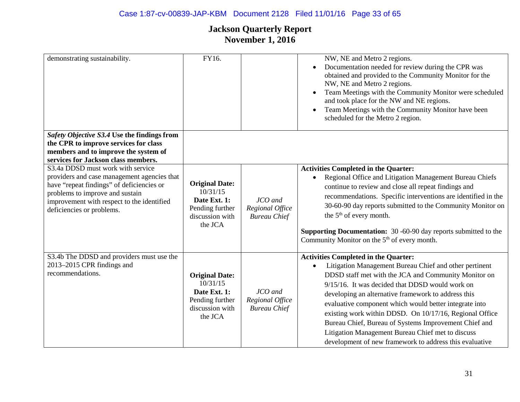## Case 1:87-cv-00839-JAP-KBM Document 2128 Filed 11/01/16 Page 33 of 65

| demonstrating sustainability.                                                                                                                                                                                                               | FY16.                                                                                              |                                                   | NW, NE and Metro 2 regions.<br>Documentation needed for review during the CPR was<br>$\bullet$<br>obtained and provided to the Community Monitor for the<br>NW, NE and Metro 2 regions.<br>Team Meetings with the Community Monitor were scheduled<br>$\bullet$<br>and took place for the NW and NE regions.<br>Team Meetings with the Community Monitor have been<br>$\bullet$                                                                                                                                                                                                    |
|---------------------------------------------------------------------------------------------------------------------------------------------------------------------------------------------------------------------------------------------|----------------------------------------------------------------------------------------------------|---------------------------------------------------|------------------------------------------------------------------------------------------------------------------------------------------------------------------------------------------------------------------------------------------------------------------------------------------------------------------------------------------------------------------------------------------------------------------------------------------------------------------------------------------------------------------------------------------------------------------------------------|
|                                                                                                                                                                                                                                             |                                                                                                    |                                                   | scheduled for the Metro 2 region.                                                                                                                                                                                                                                                                                                                                                                                                                                                                                                                                                  |
| Safety Objective S3.4 Use the findings from<br>the CPR to improve services for class<br>members and to improve the system of<br>services for Jackson class members.                                                                         |                                                                                                    |                                                   |                                                                                                                                                                                                                                                                                                                                                                                                                                                                                                                                                                                    |
| S3.4a DDSD must work with service<br>providers and case management agencies that<br>have "repeat findings" of deficiencies or<br>problems to improve and sustain<br>improvement with respect to the identified<br>deficiencies or problems. | <b>Original Date:</b><br>10/31/15<br>Date Ext. 1:<br>Pending further<br>discussion with<br>the JCA | JCO and<br>Regional Office<br><b>Bureau Chief</b> | <b>Activities Completed in the Quarter:</b><br>Regional Office and Litigation Management Bureau Chiefs<br>$\bullet$<br>continue to review and close all repeat findings and<br>recommendations. Specific interventions are identified in the<br>30-60-90 day reports submitted to the Community Monitor on<br>the 5 <sup>th</sup> of every month.<br><b>Supporting Documentation:</b> 30 -60-90 day reports submitted to the<br>Community Monitor on the 5 <sup>th</sup> of every month.                                                                                           |
| S3.4b The DDSD and providers must use the<br>2013–2015 CPR findings and<br>recommendations.                                                                                                                                                 | <b>Original Date:</b><br>10/31/15<br>Date Ext. 1:<br>Pending further<br>discussion with<br>the JCA | JCO and<br>Regional Office<br><b>Bureau Chief</b> | <b>Activities Completed in the Quarter:</b><br>Litigation Management Bureau Chief and other pertinent<br>$\bullet$<br>DDSD staff met with the JCA and Community Monitor on<br>9/15/16. It was decided that DDSD would work on<br>developing an alternative framework to address this<br>evaluative component which would better integrate into<br>existing work within DDSD. On 10/17/16, Regional Office<br>Bureau Chief, Bureau of Systems Improvement Chief and<br>Litigation Management Bureau Chief met to discuss<br>development of new framework to address this evaluative |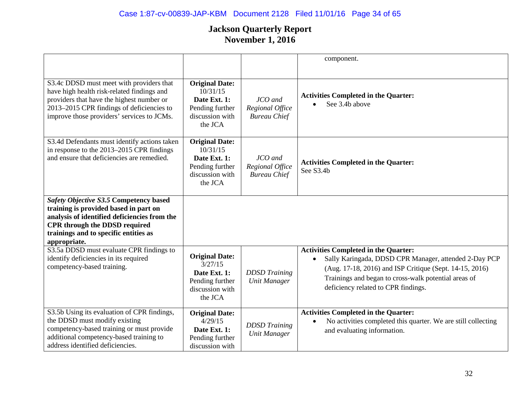|                                                                                                                                                                                                                                  |                                                                                                    |                                                   | component.                                                                                                                                                                                                                                                                  |
|----------------------------------------------------------------------------------------------------------------------------------------------------------------------------------------------------------------------------------|----------------------------------------------------------------------------------------------------|---------------------------------------------------|-----------------------------------------------------------------------------------------------------------------------------------------------------------------------------------------------------------------------------------------------------------------------------|
|                                                                                                                                                                                                                                  |                                                                                                    |                                                   |                                                                                                                                                                                                                                                                             |
| S3.4c DDSD must meet with providers that<br>have high health risk-related findings and<br>providers that have the highest number or<br>2013-2015 CPR findings of deficiencies to<br>improve those providers' services to JCMs.   | <b>Original Date:</b><br>10/31/15<br>Date Ext. 1:<br>Pending further<br>discussion with<br>the JCA | JCO and<br>Regional Office<br><b>Bureau Chief</b> | <b>Activities Completed in the Quarter:</b><br>See 3.4b above                                                                                                                                                                                                               |
| S3.4d Defendants must identify actions taken<br>in response to the 2013–2015 CPR findings<br>and ensure that deficiencies are remedied.                                                                                          | <b>Original Date:</b><br>10/31/15<br>Date Ext. 1:<br>Pending further<br>discussion with<br>the JCA | JCO and<br>Regional Office<br><b>Bureau Chief</b> | <b>Activities Completed in the Quarter:</b><br>See S3.4b                                                                                                                                                                                                                    |
| Safety Objective S3.5 Competency based<br>training is provided based in part on<br>analysis of identified deficiencies from the<br><b>CPR</b> through the DDSD required<br>trainings and to specific entities as<br>appropriate. |                                                                                                    |                                                   |                                                                                                                                                                                                                                                                             |
| S3.5a DDSD must evaluate CPR findings to<br>identify deficiencies in its required<br>competency-based training.                                                                                                                  | <b>Original Date:</b><br>3/27/15<br>Date Ext. 1:<br>Pending further<br>discussion with<br>the JCA  | <b>DDSD</b> Training<br><b>Unit Manager</b>       | <b>Activities Completed in the Quarter:</b><br>Sally Karingada, DDSD CPR Manager, attended 2-Day PCP<br>$\bullet$<br>(Aug. 17-18, 2016) and ISP Critique (Sept. 14-15, 2016)<br>Trainings and began to cross-walk potential areas of<br>deficiency related to CPR findings. |
| S3.5b Using its evaluation of CPR findings,<br>the DDSD must modify existing<br>competency-based training or must provide<br>additional competency-based training to<br>address identified deficiencies.                         | <b>Original Date:</b><br>4/29/15<br>Date Ext. 1:<br>Pending further<br>discussion with             | <b>DDSD</b> Training<br><b>Unit Manager</b>       | <b>Activities Completed in the Quarter:</b><br>No activities completed this quarter. We are still collecting<br>and evaluating information.                                                                                                                                 |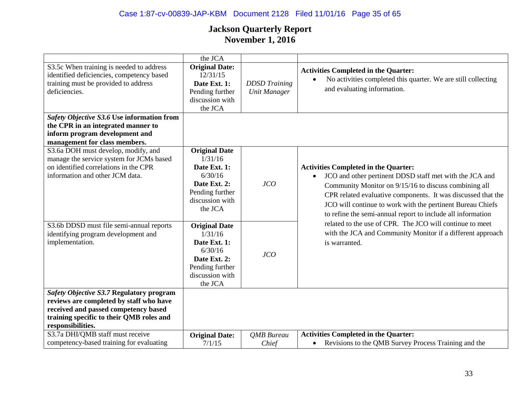## Case 1:87-cv-00839-JAP-KBM Document 2128 Filed 11/01/16 Page 35 of 65

|                                                                                                                                                                                              | the JCA                                                                                                                     |                                             |                                                                                                                                                                                                                                                                                                                                                                           |
|----------------------------------------------------------------------------------------------------------------------------------------------------------------------------------------------|-----------------------------------------------------------------------------------------------------------------------------|---------------------------------------------|---------------------------------------------------------------------------------------------------------------------------------------------------------------------------------------------------------------------------------------------------------------------------------------------------------------------------------------------------------------------------|
| S3.5c When training is needed to address<br>identified deficiencies, competency based<br>training must be provided to address<br>deficiencies.                                               | <b>Original Date:</b><br>12/31/15<br>Date Ext. 1:<br>Pending further<br>discussion with<br>the JCA                          | <b>DDSD</b> Training<br><b>Unit Manager</b> | <b>Activities Completed in the Quarter:</b><br>No activities completed this quarter. We are still collecting<br>and evaluating information.                                                                                                                                                                                                                               |
| Safety Objective S3.6 Use information from<br>the CPR in an integrated manner to<br>inform program development and<br>management for class members.                                          |                                                                                                                             |                                             |                                                                                                                                                                                                                                                                                                                                                                           |
| S3.6a DOH must develop, modify, and<br>manage the service system for JCMs based<br>on identified correlations in the CPR<br>information and other JCM data.                                  | <b>Original Date</b><br>1/31/16<br>Date Ext. 1:<br>6/30/16<br>Date Ext. 2:<br>Pending further<br>discussion with<br>the JCA | JCO                                         | <b>Activities Completed in the Quarter:</b><br>JCO and other pertinent DDSD staff met with the JCA and<br>$\bullet$<br>Community Monitor on 9/15/16 to discuss combining all<br>CPR related evaluative components. It was discussed that the<br>JCO will continue to work with the pertinent Bureau Chiefs<br>to refine the semi-annual report to include all information |
| S3.6b DDSD must file semi-annual reports<br>identifying program development and<br>implementation.                                                                                           | <b>Original Date</b><br>1/31/16<br>Date Ext. 1:<br>6/30/16<br>Date Ext. 2:<br>Pending further<br>discussion with<br>the JCA | JCO                                         | related to the use of CPR. The JCO will continue to meet<br>with the JCA and Community Monitor if a different approach<br>is warranted.                                                                                                                                                                                                                                   |
| Safety Objective S3.7 Regulatory program<br>reviews are completed by staff who have<br>received and passed competency based<br>training specific to their QMB roles and<br>responsibilities. |                                                                                                                             |                                             |                                                                                                                                                                                                                                                                                                                                                                           |
| S3.7a DHI/QMB staff must receive<br>competency-based training for evaluating                                                                                                                 | <b>Original Date:</b><br>7/1/15                                                                                             | <b>OMB</b> Bureau<br>Chief                  | <b>Activities Completed in the Quarter:</b><br>Revisions to the QMB Survey Process Training and the<br>$\bullet$                                                                                                                                                                                                                                                          |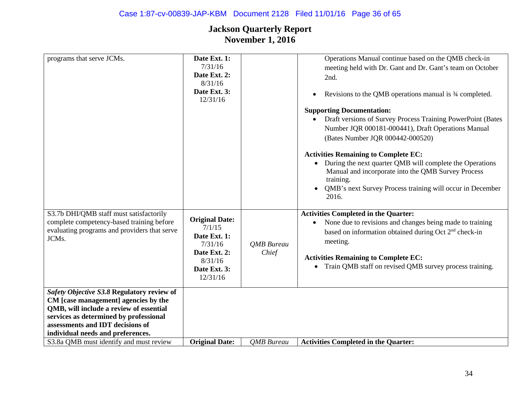| programs that serve JCMs.                                                                                                                                                                                                                                                                   | Date Ext. 1:<br>7/31/16<br>Date Ext. 2:<br>8/31/16<br>Date Ext. 3:<br>12/31/16                                    |                            | Operations Manual continue based on the QMB check-in<br>meeting held with Dr. Gant and Dr. Gant's team on October<br>2nd.<br>Revisions to the QMB operations manual is 3/4 completed.<br>$\bullet$<br><b>Supporting Documentation:</b><br>Draft versions of Survey Process Training PowerPoint (Bates<br>Number JQR 000181-000441), Draft Operations Manual<br>(Bates Number JQR 000442-000520)<br><b>Activities Remaining to Complete EC:</b><br>During the next quarter QMB will complete the Operations<br>Manual and incorporate into the QMB Survey Process<br>training.<br>QMB's next Survey Process training will occur in December<br>2016. |
|---------------------------------------------------------------------------------------------------------------------------------------------------------------------------------------------------------------------------------------------------------------------------------------------|-------------------------------------------------------------------------------------------------------------------|----------------------------|-----------------------------------------------------------------------------------------------------------------------------------------------------------------------------------------------------------------------------------------------------------------------------------------------------------------------------------------------------------------------------------------------------------------------------------------------------------------------------------------------------------------------------------------------------------------------------------------------------------------------------------------------------|
| S3.7b DHI/QMB staff must satisfactorily<br>complete competency-based training before<br>evaluating programs and providers that serve<br>JCMs.                                                                                                                                               | <b>Original Date:</b><br>7/1/15<br>Date Ext. 1:<br>7/31/16<br>Date Ext. 2:<br>8/31/16<br>Date Ext. 3:<br>12/31/16 | <b>QMB</b> Bureau<br>Chief | <b>Activities Completed in the Quarter:</b><br>None due to revisions and changes being made to training<br>$\bullet$<br>based on information obtained during Oct 2 <sup>nd</sup> check-in<br>meeting.<br><b>Activities Remaining to Complete EC:</b><br>Train QMB staff on revised QMB survey process training.<br>$\bullet$                                                                                                                                                                                                                                                                                                                        |
| Safety Objective S3.8 Regulatory review of<br>CM [case management] agencies by the<br>QMB, will include a review of essential<br>services as determined by professional<br>assessments and IDT decisions of<br>individual needs and preferences.<br>S3.8a QMB must identify and must review | <b>Original Date:</b>                                                                                             | <b>OMB</b> Bureau          | <b>Activities Completed in the Quarter:</b>                                                                                                                                                                                                                                                                                                                                                                                                                                                                                                                                                                                                         |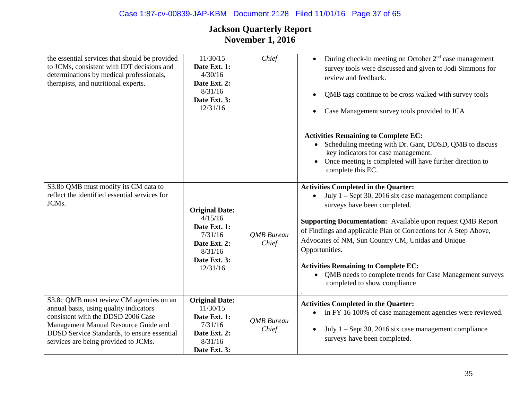| the essential services that should be provided<br>to JCMs, consistent with IDT decisions and<br>determinations by medical professionals,<br>therapists, and nutritional experts.                                                                       | 11/30/15<br>Date Ext. 1:<br>4/30/16<br>Date Ext. 2:<br>8/31/16<br>Date Ext. 3:<br>12/31/16                         | Chief                      | During check-in meeting on October $2nd$ case management<br>$\bullet$<br>survey tools were discussed and given to Jodi Simmons for<br>review and feedback.<br>QMB tags continue to be cross walked with survey tools<br>$\bullet$<br>Case Management survey tools provided to JCA<br>$\bullet$<br><b>Activities Remaining to Complete EC:</b><br>Scheduling meeting with Dr. Gant, DDSD, QMB to discuss<br>key indicators for case management.<br>Once meeting is completed will have further direction to<br>complete this EC. |
|--------------------------------------------------------------------------------------------------------------------------------------------------------------------------------------------------------------------------------------------------------|--------------------------------------------------------------------------------------------------------------------|----------------------------|---------------------------------------------------------------------------------------------------------------------------------------------------------------------------------------------------------------------------------------------------------------------------------------------------------------------------------------------------------------------------------------------------------------------------------------------------------------------------------------------------------------------------------|
| S3.8b QMB must modify its CM data to<br>reflect the identified essential services for<br>JCMs.                                                                                                                                                         | <b>Original Date:</b><br>4/15/16<br>Date Ext. 1:<br>7/31/16<br>Date Ext. 2:<br>8/31/16<br>Date Ext. 3:<br>12/31/16 | <b>QMB</b> Bureau<br>Chief | <b>Activities Completed in the Quarter:</b><br>July 1 - Sept 30, 2016 six case management compliance<br>$\bullet$<br>surveys have been completed.<br><b>Supporting Documentation:</b> Available upon request QMB Report<br>of Findings and applicable Plan of Corrections for A Step Above,<br>Advocates of NM, Sun Country CM, Unidas and Unique<br>Opportunities.<br><b>Activities Remaining to Complete EC:</b><br>QMB needs to complete trends for Case Management surveys<br>completed to show compliance                  |
| S3.8c QMB must review CM agencies on an<br>annual basis, using quality indicators<br>consistent with the DDSD 2006 Case<br>Management Manual Resource Guide and<br>DDSD Service Standards, to ensure essential<br>services are being provided to JCMs. | <b>Original Date:</b><br>11/30/15<br>Date Ext. 1:<br>7/31/16<br>Date Ext. 2:<br>8/31/16<br>Date Ext. 3:            | <b>QMB</b> Bureau<br>Chief | <b>Activities Completed in the Quarter:</b><br>In FY 16 100% of case management agencies were reviewed.<br>$\bullet$<br>July 1 – Sept 30, 2016 six case management compliance<br>$\bullet$<br>surveys have been completed.                                                                                                                                                                                                                                                                                                      |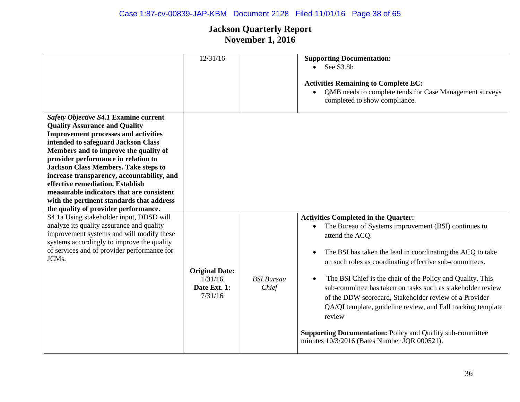## Case 1:87-cv-00839-JAP-KBM Document 2128 Filed 11/01/16 Page 38 of 65

|                                                                                                                                                                                                                                                                                                                                                                                                                                                                                                                        | 12/31/16                                                    |                            | <b>Supporting Documentation:</b><br>$\bullet$ See S3.8b<br><b>Activities Remaining to Complete EC:</b><br>QMB needs to complete tends for Case Management surveys<br>$\bullet$<br>completed to show compliance.                                                                                                                                                                                                                                                                                                                                                                                                                                                              |
|------------------------------------------------------------------------------------------------------------------------------------------------------------------------------------------------------------------------------------------------------------------------------------------------------------------------------------------------------------------------------------------------------------------------------------------------------------------------------------------------------------------------|-------------------------------------------------------------|----------------------------|------------------------------------------------------------------------------------------------------------------------------------------------------------------------------------------------------------------------------------------------------------------------------------------------------------------------------------------------------------------------------------------------------------------------------------------------------------------------------------------------------------------------------------------------------------------------------------------------------------------------------------------------------------------------------|
| Safety Objective S4.1 Examine current<br><b>Quality Assurance and Quality</b><br><b>Improvement processes and activities</b><br>intended to safeguard Jackson Class<br>Members and to improve the quality of<br>provider performance in relation to<br><b>Jackson Class Members. Take steps to</b><br>increase transparency, accountability, and<br>effective remediation. Establish<br>measurable indicators that are consistent<br>with the pertinent standards that address<br>the quality of provider performance. |                                                             |                            |                                                                                                                                                                                                                                                                                                                                                                                                                                                                                                                                                                                                                                                                              |
| S4.1a Using stakeholder input, DDSD will<br>analyze its quality assurance and quality<br>improvement systems and will modify these<br>systems accordingly to improve the quality<br>of services and of provider performance for<br>JCMs.                                                                                                                                                                                                                                                                               | <b>Original Date:</b><br>1/31/16<br>Date Ext. 1:<br>7/31/16 | <b>BSI</b> Bureau<br>Chief | <b>Activities Completed in the Quarter:</b><br>The Bureau of Systems improvement (BSI) continues to<br>$\bullet$<br>attend the ACQ.<br>The BSI has taken the lead in coordinating the ACQ to take<br>$\bullet$<br>on such roles as coordinating effective sub-committees.<br>The BSI Chief is the chair of the Policy and Quality. This<br>$\bullet$<br>sub-committee has taken on tasks such as stakeholder review<br>of the DDW scorecard, Stakeholder review of a Provider<br>QA/QI template, guideline review, and Fall tracking template<br>review<br><b>Supporting Documentation: Policy and Quality sub-committee</b><br>minutes 10/3/2016 (Bates Number JQR 000521). |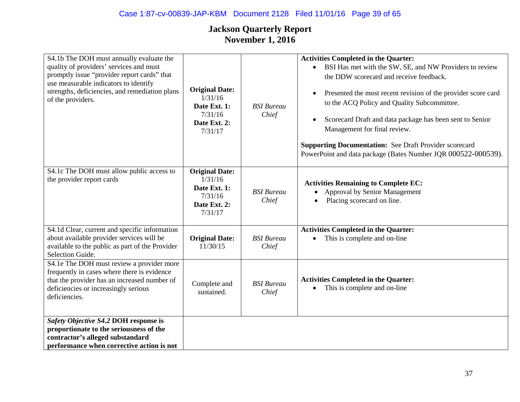| S4.1b The DOH must annually evaluate the<br>quality of providers' services and must<br>promptly issue "provider report cards" that<br>use measurable indicators to identify<br>strengths, deficiencies, and remediation plans<br>of the providers. | <b>Original Date:</b><br>1/31/16<br>Date Ext. 1:<br>7/31/16<br>Date Ext. 2:<br>7/31/17 | <b>BSI</b> Bureau<br>Chief | <b>Activities Completed in the Quarter:</b><br>• BSI Has met with the SW, SE, and NW Providers to review<br>the DDW scorecard and receive feedback.<br>Presented the most recent revision of the provider score card<br>$\bullet$<br>to the ACQ Policy and Quality Subcommittee.<br>Scorecard Draft and data package has been sent to Senior<br>Management for final review.<br><b>Supporting Documentation:</b> See Draft Provider scorecard<br>PowerPoint and data package (Bates Number JQR 000522-000539). |
|----------------------------------------------------------------------------------------------------------------------------------------------------------------------------------------------------------------------------------------------------|----------------------------------------------------------------------------------------|----------------------------|----------------------------------------------------------------------------------------------------------------------------------------------------------------------------------------------------------------------------------------------------------------------------------------------------------------------------------------------------------------------------------------------------------------------------------------------------------------------------------------------------------------|
| S4.1c The DOH must allow public access to<br>the provider report cards                                                                                                                                                                             | <b>Original Date:</b><br>1/31/16<br>Date Ext. 1:<br>7/31/16<br>Date Ext. 2:<br>7/31/17 | <b>BSI</b> Bureau<br>Chief | <b>Activities Remaining to Complete EC:</b><br>Approval by Senior Management<br>Placing scorecard on line.                                                                                                                                                                                                                                                                                                                                                                                                     |
| S4.1d Clear, current and specific information<br>about available provider services will be<br>available to the public as part of the Provider<br>Selection Guide.                                                                                  | <b>Original Date:</b><br>11/30/15                                                      | <b>BSI</b> Bureau<br>Chief | <b>Activities Completed in the Quarter:</b><br>This is complete and on-line                                                                                                                                                                                                                                                                                                                                                                                                                                    |
| S4.1e The DOH must review a provider more<br>frequently in cases where there is evidence<br>that the provider has an increased number of<br>deficiencies or increasingly serious<br>deficiencies.                                                  | Complete and<br>sustained.                                                             | <b>BSI</b> Bureau<br>Chief | <b>Activities Completed in the Quarter:</b><br>This is complete and on-line<br>$\bullet$                                                                                                                                                                                                                                                                                                                                                                                                                       |
| Safety Objective S4.2 DOH response is<br>proportionate to the seriousness of the<br>contractor's alleged substandard<br>performance when corrective action is not                                                                                  |                                                                                        |                            |                                                                                                                                                                                                                                                                                                                                                                                                                                                                                                                |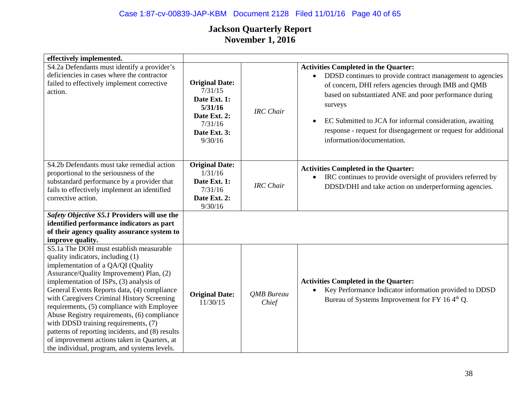## Case 1:87-cv-00839-JAP-KBM Document 2128 Filed 11/01/16 Page 40 of 65

| effectively implemented.                                                                                                                                                                                                                                                                                                                                                                                                                                                                                                                                                                        |                                                                                                                   |                     |                                                                                                                                                                                                                                                                                                                                                                                                                            |
|-------------------------------------------------------------------------------------------------------------------------------------------------------------------------------------------------------------------------------------------------------------------------------------------------------------------------------------------------------------------------------------------------------------------------------------------------------------------------------------------------------------------------------------------------------------------------------------------------|-------------------------------------------------------------------------------------------------------------------|---------------------|----------------------------------------------------------------------------------------------------------------------------------------------------------------------------------------------------------------------------------------------------------------------------------------------------------------------------------------------------------------------------------------------------------------------------|
| S4.2a Defendants must identify a provider's<br>deficiencies in cases where the contractor<br>failed to effectively implement corrective<br>action.                                                                                                                                                                                                                                                                                                                                                                                                                                              | <b>Original Date:</b><br>7/31/15<br>Date Ext. 1:<br>5/31/16<br>Date Ext. 2:<br>7/31/16<br>Date Ext. 3:<br>9/30/16 | <b>IRC</b> Chair    | <b>Activities Completed in the Quarter:</b><br>DDSD continues to provide contract management to agencies<br>$\bullet$<br>of concern, DHI refers agencies through IMB and QMB<br>based on substantiated ANE and poor performance during<br>surveys<br>EC Submitted to JCA for informal consideration, awaiting<br>$\bullet$<br>response - request for disengagement or request for additional<br>information/documentation. |
| S4.2b Defendants must take remedial action<br>proportional to the seriousness of the<br>substandard performance by a provider that<br>fails to effectively implement an identified<br>corrective action.                                                                                                                                                                                                                                                                                                                                                                                        | <b>Original Date:</b><br>1/31/16<br>Date Ext. 1:<br>7/31/16<br>Date Ext. 2:<br>9/30/16                            | <b>IRC</b> Chair    | <b>Activities Completed in the Quarter:</b><br>IRC continues to provide oversight of providers referred by<br>$\bullet$<br>DDSD/DHI and take action on underperforming agencies.                                                                                                                                                                                                                                           |
| Safety Objective S5.1 Providers will use the<br>identified performance indicators as part<br>of their agency quality assurance system to<br>improve quality.                                                                                                                                                                                                                                                                                                                                                                                                                                    |                                                                                                                   |                     |                                                                                                                                                                                                                                                                                                                                                                                                                            |
| S5.1a The DOH must establish measurable<br>quality indicators, including (1)<br>implementation of a QA/QI (Quality<br>Assurance/Quality Improvement) Plan, (2)<br>implementation of ISPs, (3) analysis of<br>General Events Reports data, (4) compliance<br>with Caregivers Criminal History Screening<br>requirements, (5) compliance with Employee<br>Abuse Registry requirements, (6) compliance<br>with DDSD training requirements, (7)<br>patterns of reporting incidents, and (8) results<br>of improvement actions taken in Quarters, at<br>the individual, program, and systems levels. | <b>Original Date:</b><br>11/30/15                                                                                 | QMB Bureau<br>Chief | <b>Activities Completed in the Quarter:</b><br>Key Performance Indicator information provided to DDSD<br>$\bullet$<br>Bureau of Systems Improvement for FY 164 <sup>th</sup> Q.                                                                                                                                                                                                                                            |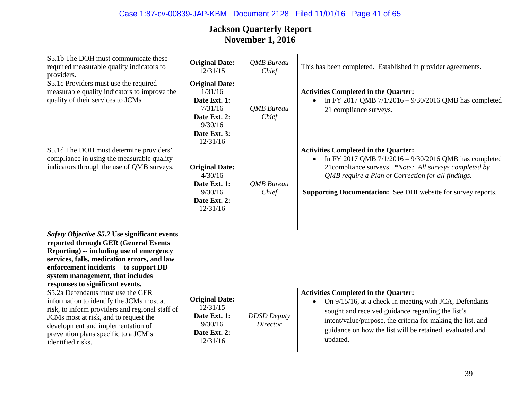## Case 1:87-cv-00839-JAP-KBM Document 2128 Filed 11/01/16 Page 41 of 65

| S5.1b The DOH must communicate these<br>required measurable quality indicators to<br>providers.                                                                                                                                                                                                   | <b>Original Date:</b><br>12/31/15                                                                                  | QMB Bureau<br>Chief                   | This has been completed. Established in provider agreements.                                                                                                                                                                                                                                                   |
|---------------------------------------------------------------------------------------------------------------------------------------------------------------------------------------------------------------------------------------------------------------------------------------------------|--------------------------------------------------------------------------------------------------------------------|---------------------------------------|----------------------------------------------------------------------------------------------------------------------------------------------------------------------------------------------------------------------------------------------------------------------------------------------------------------|
| $\overline{S5.1c}$ Providers must use the required<br>measurable quality indicators to improve the<br>quality of their services to JCMs.                                                                                                                                                          | <b>Original Date:</b><br>1/31/16<br>Date Ext. 1:<br>7/31/16<br>Date Ext. 2:<br>9/30/16<br>Date Ext. 3:<br>12/31/16 | QMB Bureau<br>Chief                   | <b>Activities Completed in the Quarter:</b><br>In FY 2017 QMB 7/1/2016 - 9/30/2016 QMB has completed<br>$\bullet$<br>21 compliance surveys.                                                                                                                                                                    |
| S5.1d The DOH must determine providers'<br>compliance in using the measurable quality<br>indicators through the use of QMB surveys.                                                                                                                                                               | <b>Original Date:</b><br>4/30/16<br>Date Ext. 1:<br>9/30/16<br>Date Ext. 2:<br>12/31/16                            | <b>QMB</b> Bureau<br>Chief            | <b>Activities Completed in the Quarter:</b><br>In FY 2017 QMB 7/1/2016 - 9/30/2016 QMB has completed<br>$\bullet$<br>21compliance surveys. *Note: All surveys completed by<br>QMB require a Plan of Correction for all findings.<br><b>Supporting Documentation:</b> See DHI website for survey reports.       |
| Safety Objective S5.2 Use significant events<br>reported through GER (General Events<br>Reporting) -- including use of emergency<br>services, falls, medication errors, and law<br>enforcement incidents -- to support DD<br>system management, that includes<br>responses to significant events. |                                                                                                                    |                                       |                                                                                                                                                                                                                                                                                                                |
| S5.2a Defendants must use the GER<br>information to identify the JCMs most at<br>risk, to inform providers and regional staff of<br>JCMs most at risk, and to request the<br>development and implementation of<br>prevention plans specific to a JCM's<br>identified risks.                       | <b>Original Date:</b><br>12/31/15<br>Date Ext. 1:<br>9/30/16<br>Date Ext. 2:<br>12/31/16                           | <b>DDSD</b> Deputy<br><b>Director</b> | <b>Activities Completed in the Quarter:</b><br>On 9/15/16, at a check-in meeting with JCA, Defendants<br>$\bullet$<br>sought and received guidance regarding the list's<br>intent/value/purpose, the criteria for making the list, and<br>guidance on how the list will be retained, evaluated and<br>updated. |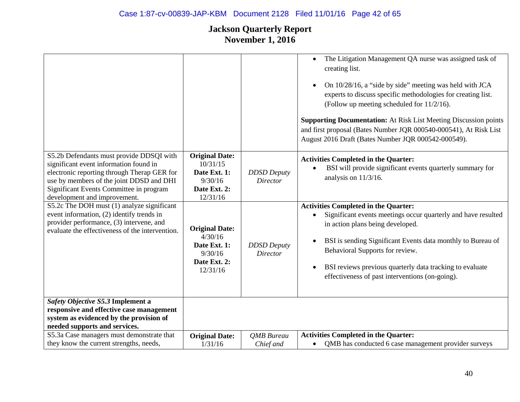# Case 1:87-cv-00839-JAP-KBM Document 2128 Filed 11/01/16 Page 42 of 65

|                                                                                                                                                                                                                                                          |                                                                                          |                                       | The Litigation Management QA nurse was assigned task of<br>$\bullet$<br>creating list.<br>On 10/28/16, a "side by side" meeting was held with JCA<br>$\bullet$<br>experts to discuss specific methodologies for creating list.<br>(Follow up meeting scheduled for 11/2/16).<br><b>Supporting Documentation:</b> At Risk List Meeting Discussion points<br>and first proposal (Bates Number JQR 000540-000541), At Risk List<br>August 2016 Draft (Bates Number JQR 000542-000549). |
|----------------------------------------------------------------------------------------------------------------------------------------------------------------------------------------------------------------------------------------------------------|------------------------------------------------------------------------------------------|---------------------------------------|-------------------------------------------------------------------------------------------------------------------------------------------------------------------------------------------------------------------------------------------------------------------------------------------------------------------------------------------------------------------------------------------------------------------------------------------------------------------------------------|
| S5.2b Defendants must provide DDSQI with<br>significant event information found in<br>electronic reporting through Therap GER for<br>use by members of the joint DDSD and DHI<br>Significant Events Committee in program<br>development and improvement. | <b>Original Date:</b><br>10/31/15<br>Date Ext. 1:<br>9/30/16<br>Date Ext. 2:<br>12/31/16 | <b>DDSD</b> Deputy<br><b>Director</b> | <b>Activities Completed in the Quarter:</b><br>BSI will provide significant events quarterly summary for<br>analysis on $11/3/16$ .                                                                                                                                                                                                                                                                                                                                                 |
| S5.2c The DOH must (1) analyze significant<br>event information, (2) identify trends in<br>provider performance, (3) intervene, and<br>evaluate the effectiveness of the intervention.                                                                   | <b>Original Date:</b><br>4/30/16<br>Date Ext. 1:<br>9/30/16<br>Date Ext. 2:<br>12/31/16  | <b>DDSD</b> Deputy<br>Director        | <b>Activities Completed in the Quarter:</b><br>Significant events meetings occur quarterly and have resulted<br>in action plans being developed.<br>BSI is sending Significant Events data monthly to Bureau of<br>Behavioral Supports for review.<br>BSI reviews previous quarterly data tracking to evaluate<br>$\bullet$<br>effectiveness of past interventions (on-going).                                                                                                      |
| Safety Objective S5.3 Implement a<br>responsive and effective case management<br>system as evidenced by the provision of<br>needed supports and services.                                                                                                |                                                                                          |                                       |                                                                                                                                                                                                                                                                                                                                                                                                                                                                                     |
| S5.3a Case managers must demonstrate that<br>they know the current strengths, needs,                                                                                                                                                                     | <b>Original Date:</b><br>1/31/16                                                         | <b>OMB</b> Bureau<br>Chief and        | <b>Activities Completed in the Quarter:</b><br>QMB has conducted 6 case management provider surveys<br>$\bullet$                                                                                                                                                                                                                                                                                                                                                                    |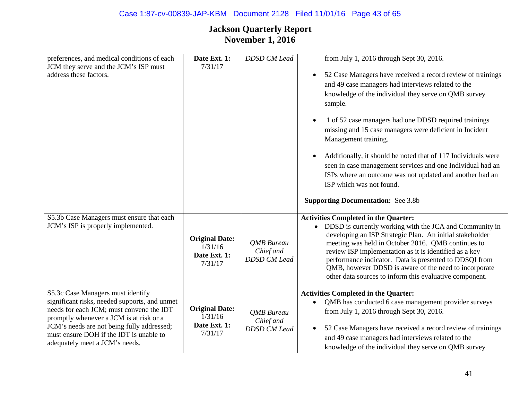| preferences, and medical conditions of each<br>JCM they serve and the JCM's ISP must<br>address these factors.                                                                                                                                                                                       | Date Ext. 1:<br>7/31/17                                     | <b>DDSD CM Lead</b>                                   | from July 1, 2016 through Sept 30, 2016.<br>52 Case Managers have received a record review of trainings<br>$\bullet$<br>and 49 case managers had interviews related to the<br>knowledge of the individual they serve on QMB survey<br>sample.<br>1 of 52 case managers had one DDSD required trainings<br>missing and 15 case managers were deficient in Incident<br>Management training.<br>Additionally, it should be noted that of 117 Individuals were<br>seen in case management services and one Individual had an<br>ISPs where an outcome was not updated and another had an<br>ISP which was not found. |
|------------------------------------------------------------------------------------------------------------------------------------------------------------------------------------------------------------------------------------------------------------------------------------------------------|-------------------------------------------------------------|-------------------------------------------------------|------------------------------------------------------------------------------------------------------------------------------------------------------------------------------------------------------------------------------------------------------------------------------------------------------------------------------------------------------------------------------------------------------------------------------------------------------------------------------------------------------------------------------------------------------------------------------------------------------------------|
|                                                                                                                                                                                                                                                                                                      |                                                             |                                                       | <b>Supporting Documentation:</b> See 3.8b                                                                                                                                                                                                                                                                                                                                                                                                                                                                                                                                                                        |
| S5.3b Case Managers must ensure that each<br>JCM's ISP is properly implemented.                                                                                                                                                                                                                      | <b>Original Date:</b><br>1/31/16<br>Date Ext. 1:<br>7/31/17 | <b>OMB</b> Bureau<br>Chief and<br><b>DDSD CM Lead</b> | <b>Activities Completed in the Quarter:</b><br>• DDSD is currently working with the JCA and Community in<br>developing an ISP Strategic Plan. An initial stakeholder<br>meeting was held in October 2016. QMB continues to<br>review ISP implementation as it is identified as a key<br>performance indicator. Data is presented to DDSQI from<br>QMB, however DDSD is aware of the need to incorporate<br>other data sources to inform this evaluative component.                                                                                                                                               |
| S5.3c Case Managers must identify<br>significant risks, needed supports, and unmet<br>needs for each JCM; must convene the IDT<br>promptly whenever a JCM is at risk or a<br>JCM's needs are not being fully addressed;<br>must ensure DOH if the IDT is unable to<br>adequately meet a JCM's needs. | <b>Original Date:</b><br>1/31/16<br>Date Ext. 1:<br>7/31/17 | QMB Bureau<br>Chief and<br><b>DDSD CM Lead</b>        | <b>Activities Completed in the Quarter:</b><br>QMB has conducted 6 case management provider surveys<br>from July 1, 2016 through Sept 30, 2016.<br>52 Case Managers have received a record review of trainings<br>and 49 case managers had interviews related to the<br>knowledge of the individual they serve on QMB survey                                                                                                                                                                                                                                                                                     |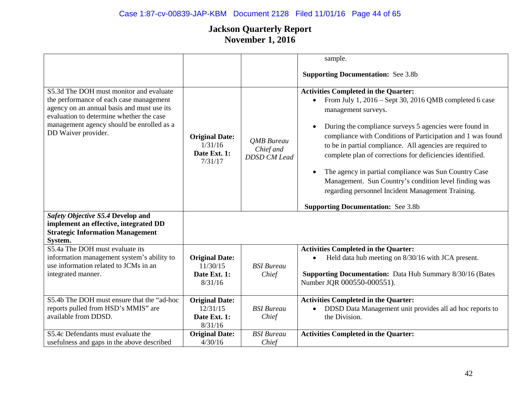|                                                                                                                                                                                                                                                  |                                                              |                                                       | sample.                                                                                                                                                                                                                                                                                                                                                                                                                                                                                                                                                                                                                                    |
|--------------------------------------------------------------------------------------------------------------------------------------------------------------------------------------------------------------------------------------------------|--------------------------------------------------------------|-------------------------------------------------------|--------------------------------------------------------------------------------------------------------------------------------------------------------------------------------------------------------------------------------------------------------------------------------------------------------------------------------------------------------------------------------------------------------------------------------------------------------------------------------------------------------------------------------------------------------------------------------------------------------------------------------------------|
|                                                                                                                                                                                                                                                  |                                                              |                                                       | <b>Supporting Documentation:</b> See 3.8b                                                                                                                                                                                                                                                                                                                                                                                                                                                                                                                                                                                                  |
| S5.3d The DOH must monitor and evaluate<br>the performance of each case management<br>agency on an annual basis and must use its<br>evaluation to determine whether the case<br>management agency should be enrolled as a<br>DD Waiver provider. | <b>Original Date:</b><br>1/31/16<br>Date Ext. 1:<br>7/31/17  | <b>OMB</b> Bureau<br>Chief and<br><b>DDSD CM Lead</b> | <b>Activities Completed in the Quarter:</b><br>From July 1, 2016 – Sept 30, 2016 QMB completed 6 case<br>$\bullet$<br>management surveys.<br>During the compliance surveys 5 agencies were found in<br>$\bullet$<br>compliance with Conditions of Participation and 1 was found<br>to be in partial compliance. All agencies are required to<br>complete plan of corrections for deficiencies identified.<br>The agency in partial compliance was Sun Country Case<br>$\bullet$<br>Management. Sun Country's condition level finding was<br>regarding personnel Incident Management Training.<br><b>Supporting Documentation:</b> See 3.8b |
| Safety Objective S5.4 Develop and<br>implement an effective, integrated DD<br><b>Strategic Information Management</b><br>System.                                                                                                                 |                                                              |                                                       |                                                                                                                                                                                                                                                                                                                                                                                                                                                                                                                                                                                                                                            |
| S5.4a The DOH must evaluate its<br>information management system's ability to<br>use information related to JCMs in an<br>integrated manner.                                                                                                     | <b>Original Date:</b><br>11/30/15<br>Date Ext. 1:<br>8/31/16 | <b>BSI</b> Bureau<br>Chief                            | <b>Activities Completed in the Quarter:</b><br>Held data hub meeting on 8/30/16 with JCA present.<br><b>Supporting Documentation:</b> Data Hub Summary 8/30/16 (Bates<br>Number JQR 000550-000551).                                                                                                                                                                                                                                                                                                                                                                                                                                        |
| S5.4b The DOH must ensure that the "ad-hoc<br>reports pulled from HSD's MMIS" are<br>available from DDSD.                                                                                                                                        | <b>Original Date:</b><br>12/31/15<br>Date Ext. 1:<br>8/31/16 | <b>BSI</b> Bureau<br>Chief                            | <b>Activities Completed in the Quarter:</b><br>DDSD Data Management unit provides all ad hoc reports to<br>the Division.                                                                                                                                                                                                                                                                                                                                                                                                                                                                                                                   |
| S5.4c Defendants must evaluate the<br>usefulness and gaps in the above described                                                                                                                                                                 | <b>Original Date:</b><br>4/30/16                             | <b>BSI</b> Bureau<br>Chief                            | <b>Activities Completed in the Quarter:</b>                                                                                                                                                                                                                                                                                                                                                                                                                                                                                                                                                                                                |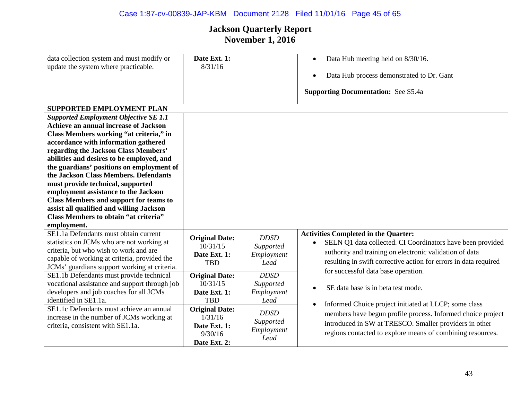## Case 1:87-cv-00839-JAP-KBM Document 2128 Filed 11/01/16 Page 45 of 65

| data collection system and must modify or<br>update the system where practicable.                                                                                                                                                                                                                                                                                                                                                                                                                                                                                                                                                                                                                                                                                                                                                                                | Date Ext. 1:<br>8/31/16                                                                                                                        |                                                                                                  | Data Hub meeting held on 8/30/16.<br>$\bullet$<br>Data Hub process demonstrated to Dr. Gant<br>$\bullet$<br><b>Supporting Documentation:</b> See S5.4a                                                                                                                                                                                              |
|------------------------------------------------------------------------------------------------------------------------------------------------------------------------------------------------------------------------------------------------------------------------------------------------------------------------------------------------------------------------------------------------------------------------------------------------------------------------------------------------------------------------------------------------------------------------------------------------------------------------------------------------------------------------------------------------------------------------------------------------------------------------------------------------------------------------------------------------------------------|------------------------------------------------------------------------------------------------------------------------------------------------|--------------------------------------------------------------------------------------------------|-----------------------------------------------------------------------------------------------------------------------------------------------------------------------------------------------------------------------------------------------------------------------------------------------------------------------------------------------------|
| SUPPORTED EMPLOYMENT PLAN<br><b>Supported Employment Objective SE 1.1</b><br><b>Achieve an annual increase of Jackson</b><br>Class Members working "at criteria," in<br>accordance with information gathered<br>regarding the Jackson Class Members'<br>abilities and desires to be employed, and<br>the guardians' positions on employment of<br>the Jackson Class Members. Defendants<br>must provide technical, supported<br>employment assistance to the Jackson<br><b>Class Members and support for teams to</b><br>assist all qualified and willing Jackson<br><b>Class Members to obtain "at criteria"</b><br>employment.<br>SE1.1a Defendants must obtain current<br>statistics on JCMs who are not working at<br>criteria, but who wish to work and are<br>capable of working at criteria, provided the<br>JCMs' guardians support working at criteria. | <b>Original Date:</b><br>10/31/15<br>Date Ext. 1:<br><b>TBD</b>                                                                                | <b>DDSD</b><br>Supported<br>Employment<br>Lead                                                   | <b>Activities Completed in the Quarter:</b><br>SELN Q1 data collected. CI Coordinators have been provided<br>$\bullet$<br>authority and training on electronic validation of data<br>resulting in swift corrective action for errors in data required                                                                                               |
| SE1.1b Defendants must provide technical<br>vocational assistance and support through job<br>developers and job coaches for all JCMs<br>identified in SE1.1a.<br>SE1.1c Defendants must achieve an annual<br>increase in the number of JCMs working at<br>criteria, consistent with SE1.1a.                                                                                                                                                                                                                                                                                                                                                                                                                                                                                                                                                                      | <b>Original Date:</b><br>10/31/15<br>Date Ext. 1:<br><b>TBD</b><br><b>Original Date:</b><br>1/31/16<br>Date Ext. 1:<br>9/30/16<br>Date Ext. 2: | <b>DDSD</b><br>Supported<br>Employment<br>Lead<br><b>DDSD</b><br>Supported<br>Employment<br>Lead | for successful data base operation.<br>SE data base is in beta test mode.<br>$\bullet$<br>Informed Choice project initiated at LLCP; some class<br>$\bullet$<br>members have begun profile process. Informed choice project<br>introduced in SW at TRESCO. Smaller providers in other<br>regions contacted to explore means of combining resources. |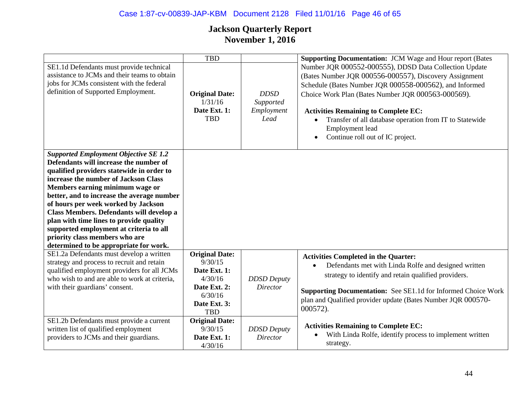#### Case 1:87-cv-00839-JAP-KBM Document 2128 Filed 11/01/16 Page 46 of 65

|                                                                                                                                                                                                                                                                                                                                                                                                                                                                                                                   | <b>TBD</b>                                                                                                           |                                                | <b>Supporting Documentation: JCM Wage and Hour report (Bates</b>                                                                                                                                                                                                                                                                                                                                                |
|-------------------------------------------------------------------------------------------------------------------------------------------------------------------------------------------------------------------------------------------------------------------------------------------------------------------------------------------------------------------------------------------------------------------------------------------------------------------------------------------------------------------|----------------------------------------------------------------------------------------------------------------------|------------------------------------------------|-----------------------------------------------------------------------------------------------------------------------------------------------------------------------------------------------------------------------------------------------------------------------------------------------------------------------------------------------------------------------------------------------------------------|
| SE1.1d Defendants must provide technical<br>assistance to JCMs and their teams to obtain<br>jobs for JCMs consistent with the federal<br>definition of Supported Employment.                                                                                                                                                                                                                                                                                                                                      | <b>Original Date:</b><br>1/31/16<br>Date Ext. 1:<br><b>TBD</b>                                                       | <b>DDSD</b><br>Supported<br>Employment<br>Lead | Number JQR 000552-000555), DDSD Data Collection Update<br>(Bates Number JQR 000556-000557), Discovery Assignment<br>Schedule (Bates Number JQR 000558-000562), and Informed<br>Choice Work Plan (Bates Number JQR 000563-000569).<br><b>Activities Remaining to Complete EC:</b><br>Transfer of all database operation from IT to Statewide<br>Employment lead<br>Continue roll out of IC project.<br>$\bullet$ |
| <b>Supported Employment Objective SE 1.2</b><br>Defendants will increase the number of<br>qualified providers statewide in order to<br>increase the number of Jackson Class<br>Members earning minimum wage or<br>better, and to increase the average number<br>of hours per week worked by Jackson<br>Class Members. Defendants will develop a<br>plan with time lines to provide quality<br>supported employment at criteria to all<br>priority class members who are<br>determined to be appropriate for work. |                                                                                                                      |                                                |                                                                                                                                                                                                                                                                                                                                                                                                                 |
| SE1.2a Defendants must develop a written<br>strategy and process to recruit and retain<br>qualified employment providers for all JCMs<br>who wish to and are able to work at criteria,<br>with their guardians' consent.                                                                                                                                                                                                                                                                                          | <b>Original Date:</b><br>9/30/15<br>Date Ext. 1:<br>4/30/16<br>Date Ext. 2:<br>6/30/16<br>Date Ext. 3:<br><b>TBD</b> | <b>DDSD</b> Deputy<br><b>Director</b>          | <b>Activities Completed in the Quarter:</b><br>Defendants met with Linda Rolfe and designed written<br>$\bullet$<br>strategy to identify and retain qualified providers.<br>Supporting Documentation: See SE1.1d for Informed Choice Work<br>plan and Qualified provider update (Bates Number JQR 000570-<br>$000572$ ).                                                                                        |
| SE1.2b Defendants must provide a current<br>written list of qualified employment<br>providers to JCMs and their guardians.                                                                                                                                                                                                                                                                                                                                                                                        | <b>Original Date:</b><br>9/30/15<br>Date Ext. 1:<br>4/30/16                                                          | <b>DDSD</b> Deputy<br><b>Director</b>          | <b>Activities Remaining to Complete EC:</b><br>With Linda Rolfe, identify process to implement written<br>strategy.                                                                                                                                                                                                                                                                                             |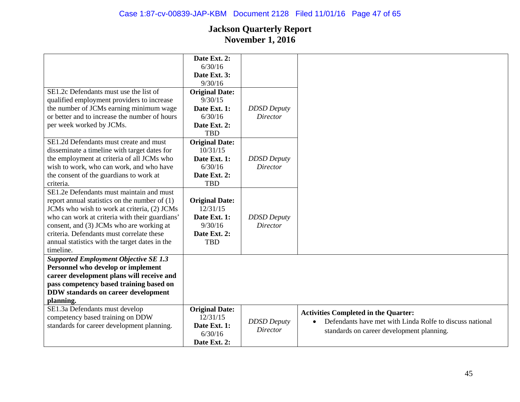|                                                 | Date Ext. 2:          |                    |                                                          |
|-------------------------------------------------|-----------------------|--------------------|----------------------------------------------------------|
|                                                 | 6/30/16               |                    |                                                          |
|                                                 | Date Ext. 3:          |                    |                                                          |
|                                                 | 9/30/16               |                    |                                                          |
| SE1.2c Defendants must use the list of          | <b>Original Date:</b> |                    |                                                          |
| qualified employment providers to increase      | 9/30/15               |                    |                                                          |
| the number of JCMs earning minimum wage         | Date Ext. 1:          | <b>DDSD</b> Deputy |                                                          |
| or better and to increase the number of hours   | 6/30/16               | Director           |                                                          |
| per week worked by JCMs.                        | Date Ext. 2:          |                    |                                                          |
|                                                 | <b>TBD</b>            |                    |                                                          |
| SE1.2d Defendants must create and must          | <b>Original Date:</b> |                    |                                                          |
| disseminate a timeline with target dates for    | 10/31/15              |                    |                                                          |
| the employment at criteria of all JCMs who      | Date Ext. 1:          | <b>DDSD</b> Deputy |                                                          |
| wish to work, who can work, and who have        | 6/30/16               | Director           |                                                          |
| the consent of the guardians to work at         | Date Ext. 2:          |                    |                                                          |
| criteria.                                       | <b>TBD</b>            |                    |                                                          |
| SE1.2e Defendants must maintain and must        |                       |                    |                                                          |
| report annual statistics on the number of $(1)$ | <b>Original Date:</b> |                    |                                                          |
| JCMs who wish to work at criteria, (2) JCMs     | 12/31/15              |                    |                                                          |
| who can work at criteria with their guardians'  | Date Ext. 1:          | <b>DDSD</b> Deputy |                                                          |
| consent, and (3) JCMs who are working at        | 9/30/16               | Director           |                                                          |
| criteria. Defendants must correlate these       | Date Ext. 2:          |                    |                                                          |
| annual statistics with the target dates in the  | <b>TBD</b>            |                    |                                                          |
| timeline.                                       |                       |                    |                                                          |
| <b>Supported Employment Objective SE 1.3</b>    |                       |                    |                                                          |
| Personnel who develop or implement              |                       |                    |                                                          |
| career development plans will receive and       |                       |                    |                                                          |
| pass competency based training based on         |                       |                    |                                                          |
| <b>DDW</b> standards on career development      |                       |                    |                                                          |
| planning.                                       |                       |                    |                                                          |
| SE1.3a Defendants must develop                  | <b>Original Date:</b> |                    | <b>Activities Completed in the Quarter:</b>              |
| competency based training on DDW                | 12/31/15              |                    | Defendants have met with Linda Rolfe to discuss national |
| standards for career development planning.      | Date Ext. 1:          | <b>DDSD</b> Deputy | $\bullet$                                                |
|                                                 | 6/30/16               | <b>Director</b>    | standards on career development planning.                |
|                                                 | Date Ext. 2:          |                    |                                                          |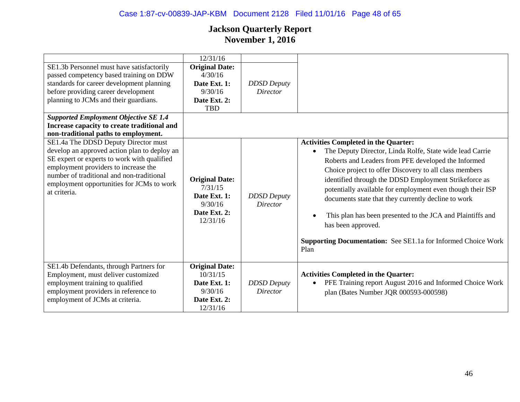## Case 1:87-cv-00839-JAP-KBM Document 2128 Filed 11/01/16 Page 48 of 65

| SE1.3b Personnel must have satisfactorily<br>passed competency based training on DDW<br>standards for career development planning<br>before providing career development<br>planning to JCMs and their guardians.                                                                     | 12/31/16<br><b>Original Date:</b><br>4/30/16<br>Date Ext. 1:<br>9/30/16<br>Date Ext. 2:<br><b>TBD</b> | <b>DDSD</b> Deputy<br><b>Director</b> |                                                                                                                                                                                                                                                                                                                                                                                                                                                                                                                                                                                         |
|---------------------------------------------------------------------------------------------------------------------------------------------------------------------------------------------------------------------------------------------------------------------------------------|-------------------------------------------------------------------------------------------------------|---------------------------------------|-----------------------------------------------------------------------------------------------------------------------------------------------------------------------------------------------------------------------------------------------------------------------------------------------------------------------------------------------------------------------------------------------------------------------------------------------------------------------------------------------------------------------------------------------------------------------------------------|
| <b>Supported Employment Objective SE 1.4</b><br>Increase capacity to create traditional and<br>non-traditional paths to employment.                                                                                                                                                   |                                                                                                       |                                       |                                                                                                                                                                                                                                                                                                                                                                                                                                                                                                                                                                                         |
| SE1.4a The DDSD Deputy Director must<br>develop an approved action plan to deploy an<br>SE expert or experts to work with qualified<br>employment providers to increase the<br>number of traditional and non-traditional<br>employment opportunities for JCMs to work<br>at criteria. | <b>Original Date:</b><br>7/31/15<br>Date Ext. 1:<br>9/30/16<br>Date Ext. 2:<br>12/31/16               | <b>DDSD</b> Deputy<br><b>Director</b> | <b>Activities Completed in the Quarter:</b><br>The Deputy Director, Linda Rolfe, State wide lead Carrie<br>$\bullet$<br>Roberts and Leaders from PFE developed the Informed<br>Choice project to offer Discovery to all class members<br>identified through the DDSD Employment Strikeforce as<br>potentially available for employment even though their ISP<br>documents state that they currently decline to work<br>This plan has been presented to the JCA and Plaintiffs and<br>has been approved.<br><b>Supporting Documentation:</b> See SE1.1a for Informed Choice Work<br>Plan |
| SE1.4b Defendants, through Partners for<br>Employment, must deliver customized<br>employment training to qualified<br>employment providers in reference to<br>employment of JCMs at criteria.                                                                                         | <b>Original Date:</b><br>10/31/15<br>Date Ext. 1:<br>9/30/16<br>Date Ext. 2:<br>12/31/16              | <b>DDSD</b> Deputy<br>Director        | <b>Activities Completed in the Quarter:</b><br>PFE Training report August 2016 and Informed Choice Work<br>plan (Bates Number JQR 000593-000598)                                                                                                                                                                                                                                                                                                                                                                                                                                        |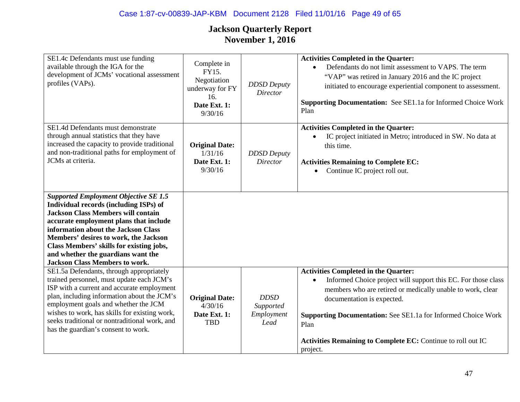#### Case 1:87-cv-00839-JAP-KBM Document 2128 Filed 11/01/16 Page 49 of 65

| SE1.4c Defendants must use funding<br>available through the IGA for the<br>development of JCMs' vocational assessment<br>profiles (VAPs).                                                                                                                                                                                                                                                                                            | Complete in<br>FY15.<br>Negotiation<br>underway for FY<br>16.<br>Date Ext. 1:<br>9/30/16 | <b>DDSD</b> Deputy<br><b>Director</b>          | <b>Activities Completed in the Quarter:</b><br>Defendants do not limit assessment to VAPS. The term<br>$\bullet$<br>"VAP" was retired in January 2016 and the IC project<br>initiated to encourage experiential component to assessment.<br>Supporting Documentation: See SE1.1a for Informed Choice Work<br>Plan          |
|--------------------------------------------------------------------------------------------------------------------------------------------------------------------------------------------------------------------------------------------------------------------------------------------------------------------------------------------------------------------------------------------------------------------------------------|------------------------------------------------------------------------------------------|------------------------------------------------|----------------------------------------------------------------------------------------------------------------------------------------------------------------------------------------------------------------------------------------------------------------------------------------------------------------------------|
| SE1.4d Defendants must demonstrate<br>through annual statistics that they have<br>increased the capacity to provide traditional<br>and non-traditional paths for employment of<br>JCMs at criteria.                                                                                                                                                                                                                                  | <b>Original Date:</b><br>1/31/16<br>Date Ext. 1:<br>9/30/16                              | <b>DDSD</b> Deputy<br>Director                 | <b>Activities Completed in the Quarter:</b><br>IC project initiated in Metro; introduced in SW. No data at<br>$\bullet$<br>this time.<br><b>Activities Remaining to Complete EC:</b><br>Continue IC project roll out.                                                                                                      |
| <b>Supported Employment Objective SE 1.5</b><br>Individual records (including ISPs) of<br><b>Jackson Class Members will contain</b><br>accurate employment plans that include<br>information about the Jackson Class<br>Members' desires to work, the Jackson<br>Class Members' skills for existing jobs,<br>and whether the guardians want the<br><b>Jackson Class Members to work.</b><br>SE1.5a Defendants, through appropriately |                                                                                          |                                                | <b>Activities Completed in the Quarter:</b>                                                                                                                                                                                                                                                                                |
| trained personnel, must update each JCM's<br>ISP with a current and accurate employment<br>plan, including information about the JCM's<br>employment goals and whether the JCM<br>wishes to work, has skills for existing work,<br>seeks traditional or nontraditional work, and<br>has the guardian's consent to work.                                                                                                              | <b>Original Date:</b><br>4/30/16<br>Date Ext. 1:<br><b>TBD</b>                           | <b>DDSD</b><br>Supported<br>Employment<br>Lead | Informed Choice project will support this EC. For those class<br>٠<br>members who are retired or medically unable to work, clear<br>documentation is expected.<br><b>Supporting Documentation:</b> See SE1.1a for Informed Choice Work<br>Plan<br>Activities Remaining to Complete EC: Continue to roll out IC<br>project. |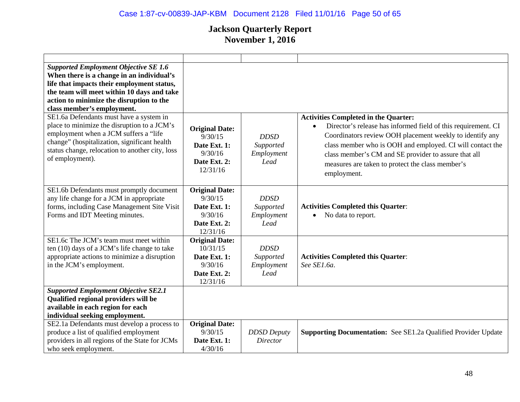## Case 1:87-cv-00839-JAP-KBM Document 2128 Filed 11/01/16 Page 50 of 65

| <b>Supported Employment Objective SE 1.6</b><br>When there is a change in an individual's<br>life that impacts their employment status,<br>the team will meet within 10 days and take<br>action to minimize the disruption to the<br>class member's employment. |                                                                                          |                                                |                                                                                                                                                                                                                                                                                                                                                                               |
|-----------------------------------------------------------------------------------------------------------------------------------------------------------------------------------------------------------------------------------------------------------------|------------------------------------------------------------------------------------------|------------------------------------------------|-------------------------------------------------------------------------------------------------------------------------------------------------------------------------------------------------------------------------------------------------------------------------------------------------------------------------------------------------------------------------------|
| SE1.6a Defendants must have a system in<br>place to minimize the disruption to a JCM's<br>employment when a JCM suffers a "life<br>change" (hospitalization, significant health<br>status change, relocation to another city, loss<br>of employment).           | <b>Original Date:</b><br>9/30/15<br>Date Ext. 1:<br>9/30/16<br>Date Ext. 2:<br>12/31/16  | <b>DDSD</b><br>Supported<br>Employment<br>Lead | <b>Activities Completed in the Quarter:</b><br>Director's release has informed field of this requirement. CI<br>$\bullet$<br>Coordinators review OOH placement weekly to identify any<br>class member who is OOH and employed. CI will contact the<br>class member's CM and SE provider to assure that all<br>measures are taken to protect the class member's<br>employment. |
| SE1.6b Defendants must promptly document<br>any life change for a JCM in appropriate<br>forms, including Case Management Site Visit<br>Forms and IDT Meeting minutes.                                                                                           | <b>Original Date:</b><br>9/30/15<br>Date Ext. 1:<br>9/30/16<br>Date Ext. 2:<br>12/31/16  | <b>DDSD</b><br>Supported<br>Employment<br>Lead | <b>Activities Completed this Quarter:</b><br>No data to report.<br>$\bullet$                                                                                                                                                                                                                                                                                                  |
| SE1.6c The JCM's team must meet within<br>ten (10) days of a JCM's life change to take<br>appropriate actions to minimize a disruption<br>in the JCM's employment.                                                                                              | <b>Original Date:</b><br>10/31/15<br>Date Ext. 1:<br>9/30/16<br>Date Ext. 2:<br>12/31/16 | <b>DDSD</b><br>Supported<br>Employment<br>Lead | <b>Activities Completed this Quarter:</b><br>See SE1.6a.                                                                                                                                                                                                                                                                                                                      |
| <b>Supported Employment Objective SE2.1</b><br>Qualified regional providers will be<br>available in each region for each<br>individual seeking employment.                                                                                                      |                                                                                          |                                                |                                                                                                                                                                                                                                                                                                                                                                               |
| SE2.1a Defendants must develop a process to<br>produce a list of qualified employment<br>providers in all regions of the State for JCMs<br>who seek employment.                                                                                                 | <b>Original Date:</b><br>9/30/15<br>Date Ext. 1:<br>4/30/16                              | <b>DDSD</b> Deputy<br><b>Director</b>          | <b>Supporting Documentation:</b> See SE1.2a Qualified Provider Update                                                                                                                                                                                                                                                                                                         |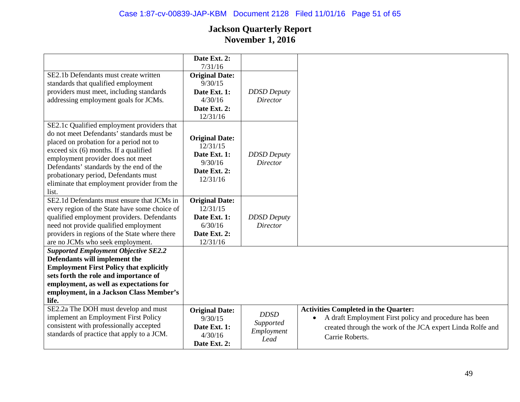|                                                                                                                                                                                                                                                                                                                                                             | Date Ext. 2:                                                                             |                                                |                                                                                                                                                                                                     |
|-------------------------------------------------------------------------------------------------------------------------------------------------------------------------------------------------------------------------------------------------------------------------------------------------------------------------------------------------------------|------------------------------------------------------------------------------------------|------------------------------------------------|-----------------------------------------------------------------------------------------------------------------------------------------------------------------------------------------------------|
|                                                                                                                                                                                                                                                                                                                                                             | 7/31/16                                                                                  |                                                |                                                                                                                                                                                                     |
| SE2.1b Defendants must create written<br>standards that qualified employment<br>providers must meet, including standards<br>addressing employment goals for JCMs.                                                                                                                                                                                           | <b>Original Date:</b><br>9/30/15<br>Date Ext. 1:<br>4/30/16<br>Date Ext. 2:<br>12/31/16  | <b>DDSD</b> Deputy<br><b>Director</b>          |                                                                                                                                                                                                     |
| SE2.1c Qualified employment providers that<br>do not meet Defendants' standards must be<br>placed on probation for a period not to<br>exceed six (6) months. If a qualified<br>employment provider does not meet<br>Defendants' standards by the end of the<br>probationary period, Defendants must<br>eliminate that employment provider from the<br>list. | <b>Original Date:</b><br>12/31/15<br>Date Ext. 1:<br>9/30/16<br>Date Ext. 2:<br>12/31/16 | <b>DDSD</b> Deputy<br>Director                 |                                                                                                                                                                                                     |
| SE2.1d Defendants must ensure that JCMs in<br>every region of the State have some choice of<br>qualified employment providers. Defendants<br>need not provide qualified employment<br>providers in regions of the State where there<br>are no JCMs who seek employment.                                                                                     | <b>Original Date:</b><br>12/31/15<br>Date Ext. 1:<br>6/30/16<br>Date Ext. 2:<br>12/31/16 | <b>DDSD</b> Deputy<br>Director                 |                                                                                                                                                                                                     |
| <b>Supported Employment Objective SE2.2</b><br>Defendants will implement the<br><b>Employment First Policy that explicitly</b><br>sets forth the role and importance of<br>employment, as well as expectations for<br>employment, in a Jackson Class Member's<br>life.                                                                                      |                                                                                          |                                                |                                                                                                                                                                                                     |
| SE2.2a The DOH must develop and must<br>implement an Employment First Policy<br>consistent with professionally accepted<br>standards of practice that apply to a JCM.                                                                                                                                                                                       | <b>Original Date:</b><br>9/30/15<br>Date Ext. 1:<br>4/30/16<br>Date Ext. 2:              | <b>DDSD</b><br>Supported<br>Employment<br>Lead | <b>Activities Completed in the Quarter:</b><br>A draft Employment First policy and procedure has been<br>$\bullet$<br>created through the work of the JCA expert Linda Rolfe and<br>Carrie Roberts. |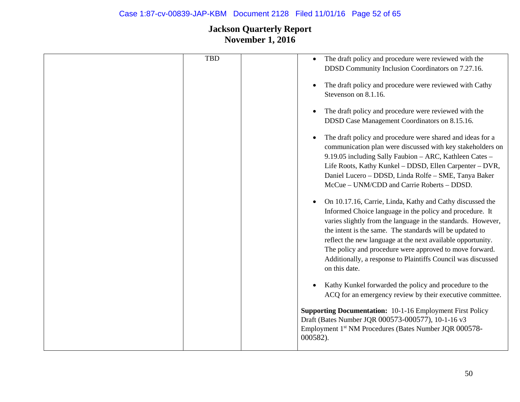## Case 1:87-cv-00839-JAP-KBM Document 2128 Filed 11/01/16 Page 52 of 65

| <b>TBD</b> | The draft policy and procedure were reviewed with the<br>DDSD Community Inclusion Coordinators on 7.27.16. |
|------------|------------------------------------------------------------------------------------------------------------|
|            |                                                                                                            |
|            | The draft policy and procedure were reviewed with Cathy                                                    |
|            | Stevenson on 8.1.16.                                                                                       |
|            | The draft policy and procedure were reviewed with the                                                      |
|            | DDSD Case Management Coordinators on 8.15.16.                                                              |
|            | The draft policy and procedure were shared and ideas for a                                                 |
|            | communication plan were discussed with key stakeholders on                                                 |
|            | 9.19.05 including Sally Faubion - ARC, Kathleen Cates -                                                    |
|            | Life Roots, Kathy Kunkel - DDSD, Ellen Carpenter - DVR,                                                    |
|            | Daniel Lucero - DDSD, Linda Rolfe - SME, Tanya Baker                                                       |
|            | McCue – UNM/CDD and Carrie Roberts – DDSD.                                                                 |
|            | On 10.17.16, Carrie, Linda, Kathy and Cathy discussed the                                                  |
|            | Informed Choice language in the policy and procedure. It                                                   |
|            | varies slightly from the language in the standards. However,                                               |
|            | the intent is the same. The standards will be updated to                                                   |
|            | reflect the new language at the next available opportunity.                                                |
|            | The policy and procedure were approved to move forward.                                                    |
|            | Additionally, a response to Plaintiffs Council was discussed<br>on this date.                              |
|            | Kathy Kunkel forwarded the policy and procedure to the                                                     |
|            | ACQ for an emergency review by their executive committee.                                                  |
|            | <b>Supporting Documentation:</b> 10-1-16 Employment First Policy                                           |
|            | Draft (Bates Number JQR 000573-000577), 10-1-16 v3                                                         |
|            | Employment 1st NM Procedures (Bates Number JQR 000578-                                                     |
|            | 000582).                                                                                                   |
|            |                                                                                                            |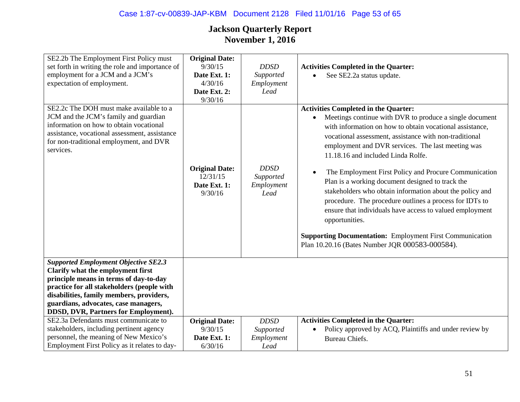# Case 1:87-cv-00839-JAP-KBM Document 2128 Filed 11/01/16 Page 53 of 65

| SE2.2b The Employment First Policy must<br>set forth in writing the role and importance of<br>employment for a JCM and a JCM's<br>expectation of employment.<br>SE2.2c The DOH must make available to a<br>JCM and the JCM's family and guardian<br>information on how to obtain vocational<br>assistance, vocational assessment, assistance<br>for non-traditional employment, and DVR<br>services. | <b>Original Date:</b><br>9/30/15<br>Date Ext. 1:<br>4/30/16<br>Date Ext. 2:<br>9/30/16 | <b>DDSD</b><br>Supported<br>Employment<br>Lead<br><b>DDSD</b> | <b>Activities Completed in the Quarter:</b><br>See SE2.2a status update.<br>$\bullet$<br><b>Activities Completed in the Quarter:</b><br>Meetings continue with DVR to produce a single document<br>$\bullet$<br>with information on how to obtain vocational assistance,<br>vocational assessment, assistance with non-traditional<br>employment and DVR services. The last meeting was<br>11.18.16 and included Linda Rolfe.                     |
|------------------------------------------------------------------------------------------------------------------------------------------------------------------------------------------------------------------------------------------------------------------------------------------------------------------------------------------------------------------------------------------------------|----------------------------------------------------------------------------------------|---------------------------------------------------------------|---------------------------------------------------------------------------------------------------------------------------------------------------------------------------------------------------------------------------------------------------------------------------------------------------------------------------------------------------------------------------------------------------------------------------------------------------|
|                                                                                                                                                                                                                                                                                                                                                                                                      | <b>Original Date:</b><br>12/31/15<br>Date Ext. 1:<br>9/30/16                           | Supported<br>Employment<br>Lead                               | The Employment First Policy and Procure Communication<br>$\bullet$<br>Plan is a working document designed to track the<br>stakeholders who obtain information about the policy and<br>procedure. The procedure outlines a process for IDTs to<br>ensure that individuals have access to valued employment<br>opportunities.<br><b>Supporting Documentation:</b> Employment First Communication<br>Plan 10.20.16 (Bates Number JQR 000583-000584). |
| <b>Supported Employment Objective SE2.3</b><br>Clarify what the employment first                                                                                                                                                                                                                                                                                                                     |                                                                                        |                                                               |                                                                                                                                                                                                                                                                                                                                                                                                                                                   |
| principle means in terms of day-to-day                                                                                                                                                                                                                                                                                                                                                               |                                                                                        |                                                               |                                                                                                                                                                                                                                                                                                                                                                                                                                                   |
| practice for all stakeholders (people with<br>disabilities, family members, providers,                                                                                                                                                                                                                                                                                                               |                                                                                        |                                                               |                                                                                                                                                                                                                                                                                                                                                                                                                                                   |
| guardians, advocates, case managers,                                                                                                                                                                                                                                                                                                                                                                 |                                                                                        |                                                               |                                                                                                                                                                                                                                                                                                                                                                                                                                                   |
| DDSD, DVR, Partners for Employment).                                                                                                                                                                                                                                                                                                                                                                 |                                                                                        |                                                               |                                                                                                                                                                                                                                                                                                                                                                                                                                                   |
| SE2.3a Defendants must communicate to                                                                                                                                                                                                                                                                                                                                                                | <b>Original Date:</b>                                                                  | <b>DDSD</b>                                                   | <b>Activities Completed in the Quarter:</b>                                                                                                                                                                                                                                                                                                                                                                                                       |
| stakeholders, including pertinent agency                                                                                                                                                                                                                                                                                                                                                             | 9/30/15                                                                                | Supported                                                     | Policy approved by ACQ, Plaintiffs and under review by<br>$\bullet$                                                                                                                                                                                                                                                                                                                                                                               |
| personnel, the meaning of New Mexico's                                                                                                                                                                                                                                                                                                                                                               | Date Ext. 1:                                                                           | Employment                                                    | Bureau Chiefs.                                                                                                                                                                                                                                                                                                                                                                                                                                    |
| Employment First Policy as it relates to day-                                                                                                                                                                                                                                                                                                                                                        | 6/30/16                                                                                | Lead                                                          |                                                                                                                                                                                                                                                                                                                                                                                                                                                   |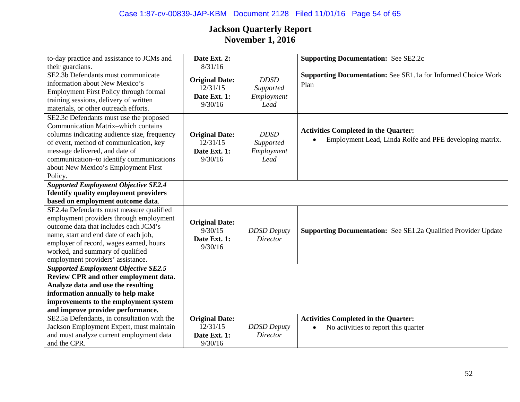## Case 1:87-cv-00839-JAP-KBM Document 2128 Filed 11/01/16 Page 54 of 65

| to-day practice and assistance to JCMs and   | Date Ext. 2:            |                                       | <b>Supporting Documentation: See SE2.2c</b>                           |
|----------------------------------------------|-------------------------|---------------------------------------|-----------------------------------------------------------------------|
| their guardians.                             | 8/31/16                 |                                       |                                                                       |
| SE2.3b Defendants must communicate           | <b>Original Date:</b>   | <b>DDSD</b>                           | Supporting Documentation: See SE1.1a for Informed Choice Work         |
| information about New Mexico's               | 12/31/15                | Supported                             | Plan                                                                  |
| Employment First Policy through formal       | Date Ext. 1:            | Employment                            |                                                                       |
| training sessions, delivery of written       | 9/30/16                 | Lead                                  |                                                                       |
| materials, or other outreach efforts.        |                         |                                       |                                                                       |
| SE2.3c Defendants must use the proposed      |                         |                                       |                                                                       |
| <b>Communication Matrix-which contains</b>   |                         |                                       |                                                                       |
| columns indicating audience size, frequency  | <b>Original Date:</b>   | <b>DDSD</b>                           | <b>Activities Completed in the Quarter:</b>                           |
| of event, method of communication, key       | 12/31/15                | Supported                             | Employment Lead, Linda Rolfe and PFE developing matrix.               |
| message delivered, and date of               | Date Ext. 1:            | Employment                            |                                                                       |
| communication-to identify communications     | 9/30/16                 | Lead                                  |                                                                       |
| about New Mexico's Employment First          |                         |                                       |                                                                       |
| Policy.                                      |                         |                                       |                                                                       |
| <b>Supported Employment Objective SE2.4</b>  |                         |                                       |                                                                       |
| <b>Identify quality employment providers</b> |                         |                                       |                                                                       |
| based on employment outcome data.            |                         |                                       |                                                                       |
| SE2.4a Defendants must measure qualified     |                         |                                       |                                                                       |
| employment providers through employment      | <b>Original Date:</b>   |                                       |                                                                       |
| outcome data that includes each JCM's        | 9/30/15                 |                                       |                                                                       |
| name, start and end date of each job,        |                         | <b>DDSD</b> Deputy<br><b>Director</b> | <b>Supporting Documentation:</b> See SE1.2a Qualified Provider Update |
| employer of record, wages earned, hours      | Date Ext. 1:<br>9/30/16 |                                       |                                                                       |
| worked, and summary of qualified             |                         |                                       |                                                                       |
| employment providers' assistance.            |                         |                                       |                                                                       |
| <b>Supported Employment Objective SE2.5</b>  |                         |                                       |                                                                       |
| Review CPR and other employment data.        |                         |                                       |                                                                       |
| Analyze data and use the resulting           |                         |                                       |                                                                       |
| information annually to help make            |                         |                                       |                                                                       |
| improvements to the employment system        |                         |                                       |                                                                       |
| and improve provider performance.            |                         |                                       |                                                                       |
| SE2.5a Defendants, in consultation with the  | <b>Original Date:</b>   |                                       | <b>Activities Completed in the Quarter:</b>                           |
| Jackson Employment Expert, must maintain     | 12/31/15                | <b>DDSD</b> Deputy                    | No activities to report this quarter<br>$\bullet$                     |
| and must analyze current employment data     | Date Ext. 1:            | Director                              |                                                                       |
| and the CPR.                                 | 9/30/16                 |                                       |                                                                       |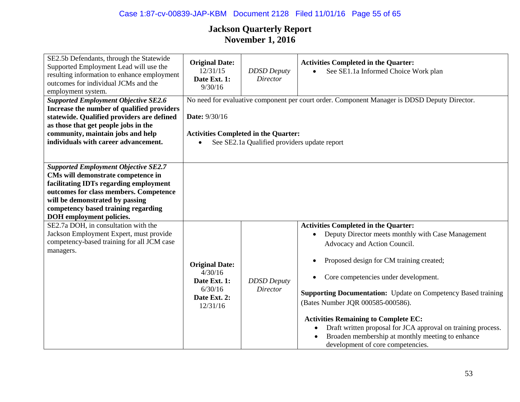## Case 1:87-cv-00839-JAP-KBM Document 2128 Filed 11/01/16 Page 55 of 65

| SE2.5b Defendants, through the Statewide<br>Supported Employment Lead will use the<br>resulting information to enhance employment<br>outcomes for individual JCMs and the<br>employment system.                                                                             | <b>Original Date:</b><br>12/31/15<br>Date Ext. 1:<br>9/30/16                            | <b>DDSD</b> Deputy<br>Director                                                              | <b>Activities Completed in the Quarter:</b><br>See SE1.1a Informed Choice Work plan<br>$\bullet$                                                                                                                                                                                                                                                                                                                                                                                                                                                                     |
|-----------------------------------------------------------------------------------------------------------------------------------------------------------------------------------------------------------------------------------------------------------------------------|-----------------------------------------------------------------------------------------|---------------------------------------------------------------------------------------------|----------------------------------------------------------------------------------------------------------------------------------------------------------------------------------------------------------------------------------------------------------------------------------------------------------------------------------------------------------------------------------------------------------------------------------------------------------------------------------------------------------------------------------------------------------------------|
| <b>Supported Employment Objective SE2.6</b><br>Increase the number of qualified providers<br>statewide. Qualified providers are defined<br>as those that get people jobs in the<br>community, maintain jobs and help<br>individuals with career advancement.                | Date: 9/30/16                                                                           | <b>Activities Completed in the Quarter:</b><br>See SE2.1a Qualified providers update report | No need for evaluative component per court order. Component Manager is DDSD Deputy Director.                                                                                                                                                                                                                                                                                                                                                                                                                                                                         |
| <b>Supported Employment Objective SE2.7</b><br>CMs will demonstrate competence in<br>facilitating IDTs regarding employment<br>outcomes for class members. Competence<br>will be demonstrated by passing<br>competency based training regarding<br>DOH employment policies. |                                                                                         |                                                                                             |                                                                                                                                                                                                                                                                                                                                                                                                                                                                                                                                                                      |
| SE2.7a DOH, in consultation with the<br>Jackson Employment Expert, must provide<br>competency-based training for all JCM case<br>managers.                                                                                                                                  | <b>Original Date:</b><br>4/30/16<br>Date Ext. 1:<br>6/30/16<br>Date Ext. 2:<br>12/31/16 | <b>DDSD</b> Deputy<br><b>Director</b>                                                       | <b>Activities Completed in the Quarter:</b><br>Deputy Director meets monthly with Case Management<br>Advocacy and Action Council.<br>Proposed design for CM training created;<br>$\bullet$<br>Core competencies under development.<br>$\bullet$<br><b>Supporting Documentation:</b> Update on Competency Based training<br>(Bates Number JQR 000585-000586).<br><b>Activities Remaining to Complete EC:</b><br>Draft written proposal for JCA approval on training process.<br>Broaden membership at monthly meeting to enhance<br>development of core competencies. |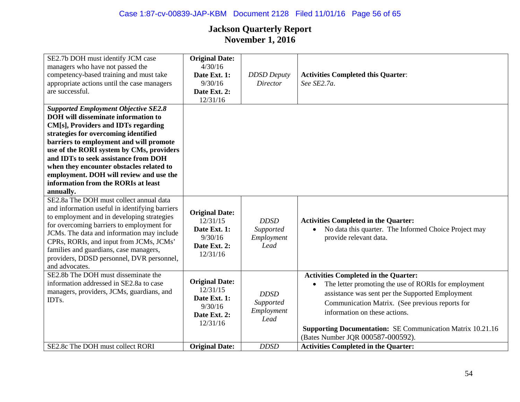## Case 1:87-cv-00839-JAP-KBM Document 2128 Filed 11/01/16 Page 56 of 65

| SE2.7b DOH must identify JCM case              | <b>Original Date:</b> |                    |                                                                   |
|------------------------------------------------|-----------------------|--------------------|-------------------------------------------------------------------|
| managers who have not passed the               | 4/30/16               |                    |                                                                   |
|                                                |                       |                    |                                                                   |
| competency-based training and must take        | Date Ext. 1:          | <b>DDSD</b> Deputy | <b>Activities Completed this Quarter:</b>                         |
| appropriate actions until the case managers    | 9/30/16               | <b>Director</b>    | See SE2.7a.                                                       |
| are successful.                                | Date Ext. 2:          |                    |                                                                   |
|                                                | 12/31/16              |                    |                                                                   |
| <b>Supported Employment Objective SE2.8</b>    |                       |                    |                                                                   |
| <b>DOH</b> will disseminate information to     |                       |                    |                                                                   |
| CM[s], Providers and IDTs regarding            |                       |                    |                                                                   |
| strategies for overcoming identified           |                       |                    |                                                                   |
| barriers to employment and will promote        |                       |                    |                                                                   |
| use of the RORI system by CMs, providers       |                       |                    |                                                                   |
| and IDTs to seek assistance from DOH           |                       |                    |                                                                   |
| when they encounter obstacles related to       |                       |                    |                                                                   |
| employment. DOH will review and use the        |                       |                    |                                                                   |
| information from the RORIs at least            |                       |                    |                                                                   |
| annually.                                      |                       |                    |                                                                   |
| SE2.8a The DOH must collect annual data        |                       |                    |                                                                   |
| and information useful in identifying barriers |                       |                    |                                                                   |
| to employment and in developing strategies     | <b>Original Date:</b> |                    |                                                                   |
| for overcoming barriers to employment for      | 12/31/15              | <b>DDSD</b>        | <b>Activities Completed in the Quarter:</b>                       |
| JCMs. The data and information may include     | Date Ext. 1:          | Supported          | No data this quarter. The Informed Choice Project may             |
| CPRs, RORIs, and input from JCMs, JCMs'        | 9/30/16               | Employment         | provide relevant data.                                            |
| families and guardians, case managers,         | Date Ext. 2:          | Lead               |                                                                   |
|                                                | 12/31/16              |                    |                                                                   |
| providers, DDSD personnel, DVR personnel,      |                       |                    |                                                                   |
| and advocates.                                 |                       |                    |                                                                   |
| SE2.8b The DOH must disseminate the            | <b>Original Date:</b> |                    | <b>Activities Completed in the Quarter:</b>                       |
| information addressed in SE2.8a to case        | 12/31/15              |                    | The letter promoting the use of RORIs for employment              |
| managers, providers, JCMs, guardians, and      |                       | <b>DDSD</b>        | assistance was sent per the Supported Employment                  |
| IDTs.                                          | Date Ext. 1:          | Supported          | Communication Matrix. (See previous reports for                   |
|                                                | 9/30/16               | Employment         | information on these actions.                                     |
|                                                | Date Ext. 2:          | Lead               |                                                                   |
|                                                | 12/31/16              |                    | <b>Supporting Documentation: SE Communication Matrix 10.21.16</b> |
|                                                |                       |                    |                                                                   |
|                                                |                       |                    | (Bates Number JQR 000587-000592).                                 |
| SE2.8c The DOH must collect RORI               | <b>Original Date:</b> | <b>DDSD</b>        | <b>Activities Completed in the Quarter:</b>                       |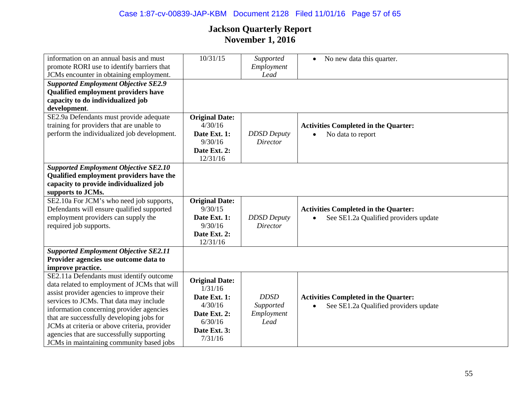## Case 1:87-cv-00839-JAP-KBM Document 2128 Filed 11/01/16 Page 57 of 65

| information on an annual basis and must<br>promote RORI use to identify barriers that<br>JCMs encounter in obtaining employment.                                                                                                                                                                                                                                                                                   | 10/31/15                                                                                                          | Supported<br>Employment<br>Lead                | No new data this quarter.<br>$\bullet$                                               |
|--------------------------------------------------------------------------------------------------------------------------------------------------------------------------------------------------------------------------------------------------------------------------------------------------------------------------------------------------------------------------------------------------------------------|-------------------------------------------------------------------------------------------------------------------|------------------------------------------------|--------------------------------------------------------------------------------------|
| <b>Supported Employment Objective SE2.9</b><br><b>Qualified employment providers have</b><br>capacity to do individualized job<br>development.                                                                                                                                                                                                                                                                     |                                                                                                                   |                                                |                                                                                      |
| SE2.9a Defendants must provide adequate<br>training for providers that are unable to<br>perform the individualized job development.                                                                                                                                                                                                                                                                                | <b>Original Date:</b><br>4/30/16<br>Date Ext. 1:<br>9/30/16<br>Date Ext. 2:<br>12/31/16                           | <b>DDSD</b> Deputy<br><b>Director</b>          | <b>Activities Completed in the Quarter:</b><br>No data to report                     |
| <b>Supported Employment Objective SE2.10</b><br>Qualified employment providers have the<br>capacity to provide individualized job<br>supports to JCMs.                                                                                                                                                                                                                                                             |                                                                                                                   |                                                |                                                                                      |
| SE2.10a For JCM's who need job supports,<br>Defendants will ensure qualified supported<br>employment providers can supply the<br>required job supports.                                                                                                                                                                                                                                                            | <b>Original Date:</b><br>9/30/15<br>Date Ext. 1:<br>9/30/16<br>Date Ext. 2:<br>12/31/16                           | <b>DDSD</b> Deputy<br><b>Director</b>          | <b>Activities Completed in the Quarter:</b><br>See SE1.2a Qualified providers update |
| <b>Supported Employment Objective SE2.11</b><br>Provider agencies use outcome data to<br>improve practice.                                                                                                                                                                                                                                                                                                         |                                                                                                                   |                                                |                                                                                      |
| SE2.11a Defendants must identify outcome<br>data related to employment of JCMs that will<br>assist provider agencies to improve their<br>services to JCMs. That data may include<br>information concerning provider agencies<br>that are successfully developing jobs for<br>JCMs at criteria or above criteria, provider<br>agencies that are successfully supporting<br>JCMs in maintaining community based jobs | <b>Original Date:</b><br>1/31/16<br>Date Ext. 1:<br>4/30/16<br>Date Ext. 2:<br>6/30/16<br>Date Ext. 3:<br>7/31/16 | <b>DDSD</b><br>Supported<br>Employment<br>Lead | <b>Activities Completed in the Quarter:</b><br>See SE1.2a Qualified providers update |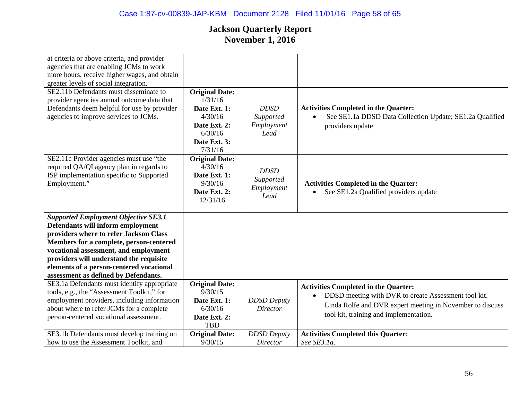| at criteria or above criteria, and provider  |                                  |                    |                                                           |
|----------------------------------------------|----------------------------------|--------------------|-----------------------------------------------------------|
| agencies that are enabling JCMs to work      |                                  |                    |                                                           |
| more hours, receive higher wages, and obtain |                                  |                    |                                                           |
| greater levels of social integration.        |                                  |                    |                                                           |
| SE2.11b Defendants must disseminate to       | <b>Original Date:</b>            |                    |                                                           |
| provider agencies annual outcome data that   | 1/31/16                          |                    |                                                           |
| Defendants deem helpful for use by provider  | Date Ext. 1:                     | <b>DDSD</b>        | <b>Activities Completed in the Quarter:</b>               |
| agencies to improve services to JCMs.        | 4/30/16                          | Supported          | See SE1.1a DDSD Data Collection Update; SE1.2a Qualified  |
|                                              | Date Ext. 2:                     | Employment         | providers update                                          |
|                                              | 6/30/16                          | Lead               |                                                           |
|                                              | Date Ext. 3:                     |                    |                                                           |
|                                              | 7/31/16                          |                    |                                                           |
| SE2.11c Provider agencies must use "the      | <b>Original Date:</b>            |                    |                                                           |
| required QA/QI agency plan in regards to     | 4/30/16                          | <b>DDSD</b>        |                                                           |
| ISP implementation specific to Supported     | Date Ext. 1:                     | Supported          |                                                           |
| Employment."                                 | 9/30/16                          | Employment         | <b>Activities Completed in the Quarter:</b>               |
|                                              | Date Ext. 2:                     | Lead               | See SE1.2a Qualified providers update                     |
|                                              | 12/31/16                         |                    |                                                           |
|                                              |                                  |                    |                                                           |
| <b>Supported Employment Objective SE3.1</b>  |                                  |                    |                                                           |
| Defendants will inform employment            |                                  |                    |                                                           |
| providers where to refer Jackson Class       |                                  |                    |                                                           |
| Members for a complete, person-centered      |                                  |                    |                                                           |
| vocational assessment, and employment        |                                  |                    |                                                           |
| providers will understand the requisite      |                                  |                    |                                                           |
| elements of a person-centered vocational     |                                  |                    |                                                           |
| assessment as defined by Defendants.         |                                  |                    |                                                           |
| SE3.1a Defendants must identify appropriate  | <b>Original Date:</b><br>9/30/15 |                    | <b>Activities Completed in the Quarter:</b>               |
| tools, e.g., the "Assessment Toolkit," for   |                                  |                    | DDSD meeting with DVR to create Assessment tool kit.      |
| employment providers, including information  | Date Ext. 1:<br>6/30/16          | <b>DDSD</b> Deputy | Linda Rolfe and DVR expert meeting in November to discuss |
| about where to refer JCMs for a complete     |                                  | Director           | tool kit, training and implementation.                    |
| person-centered vocational assessment.       | Date Ext. 2:<br><b>TBD</b>       |                    |                                                           |
|                                              |                                  |                    |                                                           |
| SE3.1b Defendants must develop training on   | <b>Original Date:</b>            | <b>DDSD</b> Deputy | <b>Activities Completed this Quarter:</b><br>See SE3.1a.  |
| how to use the Assessment Toolkit, and       | 9/30/15                          | <i>Director</i>    |                                                           |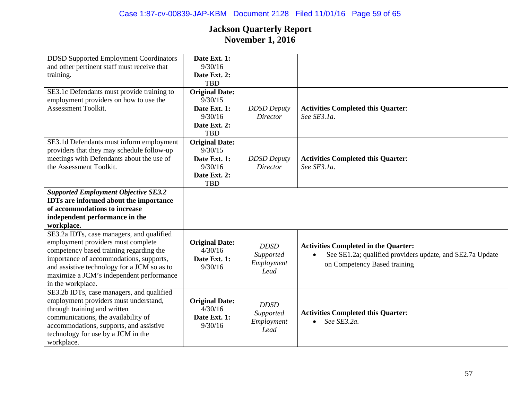| <b>DDSD</b> Supported Employment Coordinators<br>and other pertinent staff must receive that<br>training.                                                                                                                                                                             | Date Ext. 1:<br>9/30/16<br>Date Ext. 2:<br><b>TBD</b>                                     |                                                |                                                                                                                                          |
|---------------------------------------------------------------------------------------------------------------------------------------------------------------------------------------------------------------------------------------------------------------------------------------|-------------------------------------------------------------------------------------------|------------------------------------------------|------------------------------------------------------------------------------------------------------------------------------------------|
| SE3.1c Defendants must provide training to<br>employment providers on how to use the<br><b>Assessment Toolkit.</b>                                                                                                                                                                    | <b>Original Date:</b><br>9/30/15<br>Date Ext. 1:<br>9/30/16<br>Date Ext. 2:<br><b>TBD</b> | <b>DDSD</b> Deputy<br>Director                 | <b>Activities Completed this Quarter:</b><br>See SE3.1a.                                                                                 |
| SE3.1d Defendants must inform employment<br>providers that they may schedule follow-up<br>meetings with Defendants about the use of<br>the Assessment Toolkit.                                                                                                                        | <b>Original Date:</b><br>9/30/15<br>Date Ext. 1:<br>9/30/16<br>Date Ext. 2:<br><b>TBD</b> | <b>DDSD</b> Deputy<br><b>Director</b>          | <b>Activities Completed this Quarter:</b><br>See SE3.1a.                                                                                 |
| <b>Supported Employment Objective SE3.2</b><br><b>IDTs</b> are informed about the importance<br>of accommodations to increase<br>independent performance in the<br>workplace.                                                                                                         |                                                                                           |                                                |                                                                                                                                          |
| SE3.2a IDTs, case managers, and qualified<br>employment providers must complete<br>competency based training regarding the<br>importance of accommodations, supports,<br>and assistive technology for a JCM so as to<br>maximize a JCM's independent performance<br>in the workplace. | <b>Original Date:</b><br>4/30/16<br>Date Ext. 1:<br>9/30/16                               | <b>DDSD</b><br>Supported<br>Employment<br>Lead | <b>Activities Completed in the Quarter:</b><br>See SE1.2a; qualified providers update, and SE2.7a Update<br>on Competency Based training |
| SE3.2b IDTs, case managers, and qualified<br>employment providers must understand,<br>through training and written<br>communications, the availability of<br>accommodations, supports, and assistive<br>technology for use by a JCM in the<br>workplace.                              | <b>Original Date:</b><br>4/30/16<br>Date Ext. 1:<br>9/30/16                               | <b>DDSD</b><br>Supported<br>Employment<br>Lead | <b>Activities Completed this Quarter:</b><br>See SE3.2a.                                                                                 |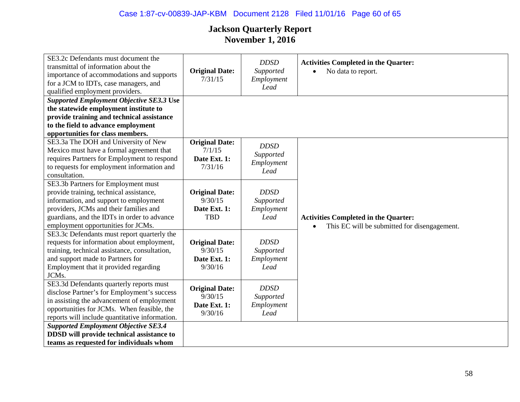## Case 1:87-cv-00839-JAP-KBM Document 2128 Filed 11/01/16 Page 60 of 65

| SE3.2c Defendants must document the<br>transmittal of information about the<br>importance of accommodations and supports<br>for a JCM to IDTs, case managers, and<br>qualified employment providers.                                                    | <b>Original Date:</b><br>7/31/15                               | <b>DDSD</b><br>Supported<br>Employment<br>Lead | <b>Activities Completed in the Quarter:</b><br>No data to report.<br>$\bullet$              |
|---------------------------------------------------------------------------------------------------------------------------------------------------------------------------------------------------------------------------------------------------------|----------------------------------------------------------------|------------------------------------------------|---------------------------------------------------------------------------------------------|
| <b>Supported Employment Objective SE3.3 Use</b><br>the statewide employment institute to<br>provide training and technical assistance<br>to the field to advance employment<br>opportunities for class members.                                         |                                                                |                                                |                                                                                             |
| SE3.3a The DOH and University of New<br>Mexico must have a formal agreement that<br>requires Partners for Employment to respond<br>to requests for employment information and<br>consultation.                                                          | <b>Original Date:</b><br>7/1/15<br>Date Ext. 1:<br>7/31/16     | <b>DDSD</b><br>Supported<br>Employment<br>Lead |                                                                                             |
| SE3.3b Partners for Employment must<br>provide training, technical assistance,<br>information, and support to employment<br>providers, JCMs and their families and<br>guardians, and the IDTs in order to advance<br>employment opportunities for JCMs. | <b>Original Date:</b><br>9/30/15<br>Date Ext. 1:<br><b>TBD</b> | <b>DDSD</b><br>Supported<br>Employment<br>Lead | <b>Activities Completed in the Quarter:</b><br>This EC will be submitted for disengagement. |
| SE3.3c Defendants must report quarterly the<br>requests for information about employment,<br>training, technical assistance, consultation,<br>and support made to Partners for<br>Employment that it provided regarding<br>JCMs.                        | <b>Original Date:</b><br>9/30/15<br>Date Ext. 1:<br>9/30/16    | <b>DDSD</b><br>Supported<br>Employment<br>Lead |                                                                                             |
| SE3.3d Defendants quarterly reports must<br>disclose Partner's for Employment's success<br>in assisting the advancement of employment<br>opportunities for JCMs. When feasible, the<br>reports will include quantitative information.                   | <b>Original Date:</b><br>9/30/15<br>Date Ext. 1:<br>9/30/16    | <b>DDSD</b><br>Supported<br>Employment<br>Lead |                                                                                             |
| <b>Supported Employment Objective SE3.4</b><br>DDSD will provide technical assistance to<br>teams as requested for individuals whom                                                                                                                     |                                                                |                                                |                                                                                             |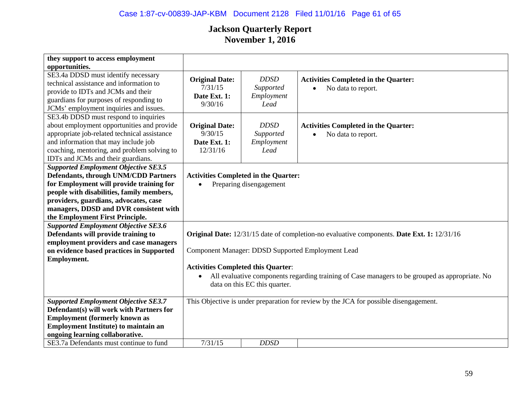## Case 1:87-cv-00839-JAP-KBM Document 2128 Filed 11/01/16 Page 61 of 65

| they support to access employment                     |                                                                                                             |                                             |                                                                                       |  |
|-------------------------------------------------------|-------------------------------------------------------------------------------------------------------------|---------------------------------------------|---------------------------------------------------------------------------------------|--|
| opportunities.<br>SE3.4a DDSD must identify necessary |                                                                                                             |                                             |                                                                                       |  |
| technical assistance and information to               | <b>Original Date:</b>                                                                                       | <b>DDSD</b>                                 | <b>Activities Completed in the Quarter:</b>                                           |  |
| provide to IDTs and JCMs and their                    | 7/31/15                                                                                                     | Supported                                   | No data to report.                                                                    |  |
| guardians for purposes of responding to               | Date Ext. 1:                                                                                                | Employment                                  |                                                                                       |  |
| JCMs' employment inquiries and issues.                | 9/30/16                                                                                                     | Lead                                        |                                                                                       |  |
| SE3.4b DDSD must respond to inquiries                 |                                                                                                             |                                             |                                                                                       |  |
| about employment opportunities and provide            | <b>Original Date:</b>                                                                                       | <b>DDSD</b>                                 | <b>Activities Completed in the Quarter:</b>                                           |  |
| appropriate job-related technical assistance          | 9/30/15                                                                                                     | Supported                                   | No data to report.                                                                    |  |
| and information that may include job                  | Date Ext. 1:                                                                                                | Employment                                  |                                                                                       |  |
| coaching, mentoring, and problem solving to           | 12/31/16                                                                                                    | Lead                                        |                                                                                       |  |
| IDTs and JCMs and their guardians.                    |                                                                                                             |                                             |                                                                                       |  |
| <b>Supported Employment Objective SE3.5</b>           |                                                                                                             |                                             |                                                                                       |  |
| <b>Defendants, through UNM/CDD Partners</b>           |                                                                                                             | <b>Activities Completed in the Quarter:</b> |                                                                                       |  |
| for Employment will provide training for              | Preparing disengagement                                                                                     |                                             |                                                                                       |  |
| people with disabilities, family members,             |                                                                                                             |                                             |                                                                                       |  |
| providers, guardians, advocates, case                 |                                                                                                             |                                             |                                                                                       |  |
| managers, DDSD and DVR consistent with                |                                                                                                             |                                             |                                                                                       |  |
| the Employment First Principle.                       |                                                                                                             |                                             |                                                                                       |  |
| <b>Supported Employment Objective SE3.6</b>           |                                                                                                             |                                             |                                                                                       |  |
| Defendants will provide training to                   | Original Date: 12/31/15 date of completion-no evaluative components. Date Ext. 1: 12/31/16                  |                                             |                                                                                       |  |
| employment providers and case managers                |                                                                                                             |                                             |                                                                                       |  |
| on evidence based practices in Supported              | Component Manager: DDSD Supported Employment Lead                                                           |                                             |                                                                                       |  |
| <b>Employment.</b>                                    |                                                                                                             |                                             |                                                                                       |  |
|                                                       | <b>Activities Completed this Quarter:</b>                                                                   |                                             |                                                                                       |  |
|                                                       | All evaluative components regarding training of Case managers to be grouped as appropriate. No<br>$\bullet$ |                                             |                                                                                       |  |
|                                                       | data on this EC this quarter.                                                                               |                                             |                                                                                       |  |
|                                                       |                                                                                                             |                                             |                                                                                       |  |
| <b>Supported Employment Objective SE3.7</b>           |                                                                                                             |                                             | This Objective is under preparation for review by the JCA for possible disengagement. |  |
| Defendant(s) will work with Partners for              |                                                                                                             |                                             |                                                                                       |  |
| <b>Employment (formerly known as</b>                  |                                                                                                             |                                             |                                                                                       |  |
| <b>Employment Institute) to maintain an</b>           |                                                                                                             |                                             |                                                                                       |  |
| ongoing learning collaborative.                       |                                                                                                             |                                             |                                                                                       |  |
| SE3.7a Defendants must continue to fund               | 7/31/15                                                                                                     | <b>DDSD</b>                                 |                                                                                       |  |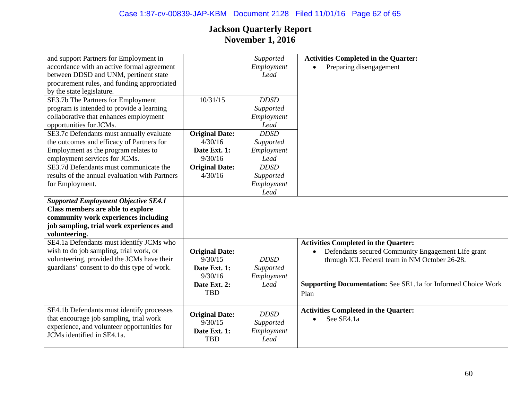| and support Partners for Employment in         |                       | Supported   | <b>Activities Completed in the Quarter:</b>                          |
|------------------------------------------------|-----------------------|-------------|----------------------------------------------------------------------|
| accordance with an active formal agreement     |                       | Employment  | Preparing disengagement                                              |
| between DDSD and UNM, pertinent state          |                       | Lead        |                                                                      |
| procurement rules, and funding appropriated    |                       |             |                                                                      |
| by the state legislature.                      |                       |             |                                                                      |
| SE3.7b The Partners for Employment             | 10/31/15              | <b>DDSD</b> |                                                                      |
| program is intended to provide a learning      |                       | Supported   |                                                                      |
| collaborative that enhances employment         |                       | Employment  |                                                                      |
| opportunities for JCMs.                        |                       | Lead        |                                                                      |
| SE3.7c Defendants must annually evaluate       | <b>Original Date:</b> | <b>DDSD</b> |                                                                      |
| the outcomes and efficacy of Partners for      | 4/30/16               | Supported   |                                                                      |
| Employment as the program relates to           | Date Ext. 1:          | Employment  |                                                                      |
| employment services for JCMs.                  | 9/30/16               | Lead        |                                                                      |
| SE3.7d Defendants must communicate the         | <b>Original Date:</b> | <b>DDSD</b> |                                                                      |
| results of the annual evaluation with Partners | 4/30/16               | Supported   |                                                                      |
| for Employment.                                |                       | Employment  |                                                                      |
|                                                |                       | Lead        |                                                                      |
| <b>Supported Employment Objective SE4.1</b>    |                       |             |                                                                      |
| <b>Class members are able to explore</b>       |                       |             |                                                                      |
| community work experiences including           |                       |             |                                                                      |
| job sampling, trial work experiences and       |                       |             |                                                                      |
| volunteering.                                  |                       |             |                                                                      |
| SE4.1a Defendants must identify JCMs who       |                       |             | <b>Activities Completed in the Quarter:</b>                          |
| wish to do job sampling, trial work, or        | <b>Original Date:</b> |             | Defendants secured Community Engagement Life grant<br>٠              |
| volunteering, provided the JCMs have their     | 9/30/15               | <b>DDSD</b> | through ICI. Federal team in NM October 26-28.                       |
| guardians' consent to do this type of work.    | Date Ext. 1:          | Supported   |                                                                      |
|                                                | 9/30/16               | Employment  |                                                                      |
|                                                | Date Ext. 2:          | Lead        | <b>Supporting Documentation:</b> See SE1.1a for Informed Choice Work |
|                                                | <b>TBD</b>            |             | Plan                                                                 |
|                                                |                       |             |                                                                      |
| SE4.1b Defendants must identify processes      | <b>Original Date:</b> | <b>DDSD</b> | <b>Activities Completed in the Quarter:</b>                          |
| that encourage job sampling, trial work        | 9/30/15               | Supported   | See SE4.1a<br>$\bullet$                                              |
| experience, and volunteer opportunities for    | Date Ext. 1:          | Employment  |                                                                      |
| JCMs identified in SE4.1a.                     | <b>TBD</b>            | Lead        |                                                                      |
|                                                |                       |             |                                                                      |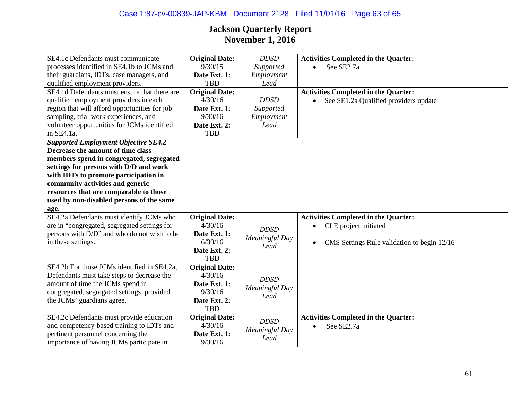| SE4.1c Defendants must communicate            | <b>Original Date:</b> | <b>DDSD</b>    | <b>Activities Completed in the Quarter:</b>              |
|-----------------------------------------------|-----------------------|----------------|----------------------------------------------------------|
| processes identified in SE4.1b to JCMs and    | 9/30/15               | Supported      | See SE2.7a                                               |
| their guardians, IDTs, case managers, and     | Date Ext. 1:          | Employment     |                                                          |
| qualified employment providers.               | <b>TBD</b>            | Lead           |                                                          |
| SE4.1d Defendants must ensure that there are  | <b>Original Date:</b> |                | <b>Activities Completed in the Quarter:</b>              |
| qualified employment providers in each        | 4/30/16               | <b>DDSD</b>    | See SE1.2a Qualified providers update                    |
| region that will afford opportunities for job | Date Ext. 1:          | Supported      |                                                          |
| sampling, trial work experiences, and         | 9/30/16               | Employment     |                                                          |
| volunteer opportunities for JCMs identified   | Date Ext. 2:          | Lead           |                                                          |
| in SE4.1a.                                    | <b>TBD</b>            |                |                                                          |
| <b>Supported Employment Objective SE4.2</b>   |                       |                |                                                          |
| Decrease the amount of time class             |                       |                |                                                          |
| members spend in congregated, segregated      |                       |                |                                                          |
| settings for persons with D/D and work        |                       |                |                                                          |
| with IDTs to promote participation in         |                       |                |                                                          |
| community activities and generic              |                       |                |                                                          |
| resources that are comparable to those        |                       |                |                                                          |
| used by non-disabled persons of the same      |                       |                |                                                          |
| age.                                          |                       |                |                                                          |
| SE4.2a Defendants must identify JCMs who      | <b>Original Date:</b> |                | <b>Activities Completed in the Quarter:</b>              |
| are in "congregated, segregated settings for  | 4/30/16               | <b>DDSD</b>    | CLE project initiated                                    |
| persons with D/D" and who do not wish to be   | Date Ext. 1:          | Meaningful Day |                                                          |
| in these settings.                            | 6/30/16               | Lead           | CMS Settings Rule validation to begin 12/16<br>$\bullet$ |
|                                               | Date Ext. 2:          |                |                                                          |
|                                               | <b>TBD</b>            |                |                                                          |
| SE4.2b For those JCMs identified in SE4.2a,   | <b>Original Date:</b> |                |                                                          |
| Defendants must take steps to decrease the    | 4/30/16               | <b>DDSD</b>    |                                                          |
| amount of time the JCMs spend in              | Date Ext. 1:          | Meaningful Day |                                                          |
| congregated, segregated settings, provided    | 9/30/16               | Lead           |                                                          |
| the JCMs' guardians agree.                    | Date Ext. 2:          |                |                                                          |
|                                               | <b>TBD</b>            |                |                                                          |
| SE4.2c Defendants must provide education      | <b>Original Date:</b> | <b>DDSD</b>    | <b>Activities Completed in the Quarter:</b>              |
| and competency-based training to IDTs and     | 4/30/16               | Meaningful Day | See SE2.7a                                               |
| pertinent personnel concerning the            | Date Ext. 1:          | Lead           |                                                          |
| importance of having JCMs participate in      | 9/30/16               |                |                                                          |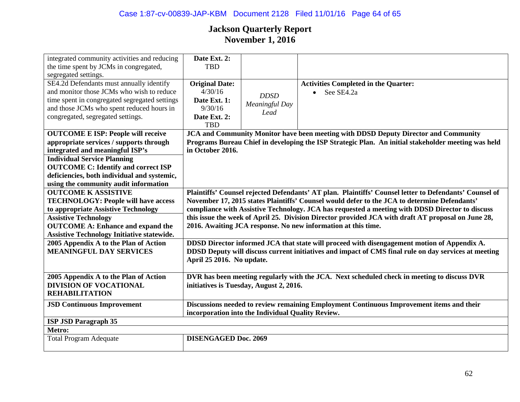| integrated community activities and reducing<br>the time spent by JCMs in congregated,<br>segregated settings.                                                                                                                                                                                      | Date Ext. 2:<br><b>TBD</b>                                                                                                                                                                                                                                                                                                                                                                                                                                                       |                                       |                                                                                                                                                                                            |  |
|-----------------------------------------------------------------------------------------------------------------------------------------------------------------------------------------------------------------------------------------------------------------------------------------------------|----------------------------------------------------------------------------------------------------------------------------------------------------------------------------------------------------------------------------------------------------------------------------------------------------------------------------------------------------------------------------------------------------------------------------------------------------------------------------------|---------------------------------------|--------------------------------------------------------------------------------------------------------------------------------------------------------------------------------------------|--|
| SE4.2d Defendants must annually identify<br>and monitor those JCMs who wish to reduce<br>time spent in congregated segregated settings<br>and those JCMs who spent reduced hours in<br>congregated, segregated settings.                                                                            | <b>Original Date:</b><br>4/30/16<br>Date Ext. 1:<br>9/30/16<br>Date Ext. 2:<br><b>TBD</b>                                                                                                                                                                                                                                                                                                                                                                                        | <b>DDSD</b><br>Meaningful Day<br>Lead | <b>Activities Completed in the Quarter:</b><br>See SE4.2a                                                                                                                                  |  |
| <b>OUTCOME E ISP: People will receive</b><br>appropriate services / supports through<br>integrated and meaningful ISP's<br><b>Individual Service Planning</b><br><b>OUTCOME C: Identify and correct ISP</b><br>deficiencies, both individual and systemic,<br>using the community audit information | in October 2016.                                                                                                                                                                                                                                                                                                                                                                                                                                                                 |                                       | JCA and Community Monitor have been meeting with DDSD Deputy Director and Community<br>Programs Bureau Chief in developing the ISP Strategic Plan. An initial stakeholder meeting was held |  |
| <b>OUTCOME K ASSISTIVE</b><br><b>TECHNOLOGY: People will have access</b><br>to appropriate Assistive Technology<br><b>Assistive Technology</b><br><b>OUTCOME A: Enhance and expand the</b><br><b>Assistive Technology Initiative statewide.</b>                                                     | Plaintiffs' Counsel rejected Defendants' AT plan. Plaintiffs' Counsel letter to Defendants' Counsel of<br>November 17, 2015 states Plaintiffs' Counsel would defer to the JCA to determine Defendants'<br>compliance with Assistive Technology. JCA has requested a meeting with DDSD Director to discuss<br>this issue the week of April 25. Division Director provided JCA with draft AT proposal on June 28,<br>2016. Awaiting JCA response. No new information at this time. |                                       |                                                                                                                                                                                            |  |
| 2005 Appendix A to the Plan of Action<br><b>MEANINGFUL DAY SERVICES</b>                                                                                                                                                                                                                             | DDSD Director informed JCA that state will proceed with disengagement motion of Appendix A.<br>DDSD Deputy will discuss current initiatives and impact of CMS final rule on day services at meeting<br>April 25 2016. No update.                                                                                                                                                                                                                                                 |                                       |                                                                                                                                                                                            |  |
| 2005 Appendix A to the Plan of Action<br><b>DIVISION OF VOCATIONAL</b><br><b>REHABILITATION</b>                                                                                                                                                                                                     | DVR has been meeting regularly with the JCA. Next scheduled check in meeting to discuss DVR<br>initiatives is Tuesday, August 2, 2016.                                                                                                                                                                                                                                                                                                                                           |                                       |                                                                                                                                                                                            |  |
| <b>JSD Continuous Improvement</b>                                                                                                                                                                                                                                                                   | Discussions needed to review remaining Employment Continuous Improvement items and their<br>incorporation into the Individual Quality Review.                                                                                                                                                                                                                                                                                                                                    |                                       |                                                                                                                                                                                            |  |
| <b>ISP JSD Paragraph 35</b>                                                                                                                                                                                                                                                                         |                                                                                                                                                                                                                                                                                                                                                                                                                                                                                  |                                       |                                                                                                                                                                                            |  |
| Metro:                                                                                                                                                                                                                                                                                              |                                                                                                                                                                                                                                                                                                                                                                                                                                                                                  |                                       |                                                                                                                                                                                            |  |
| <b>Total Program Adequate</b>                                                                                                                                                                                                                                                                       | <b>DISENGAGED Doc. 2069</b>                                                                                                                                                                                                                                                                                                                                                                                                                                                      |                                       |                                                                                                                                                                                            |  |